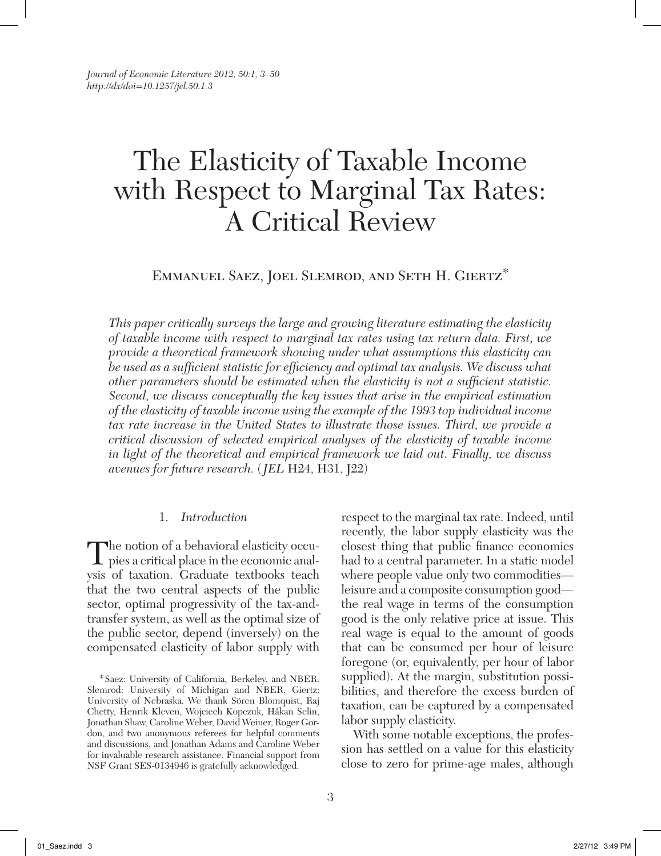# The Elasticity of Taxable Income with Respect to Marginal Tax Rates: A Critical Review

Emmanuel Saez, Joel Slemrod, and Seth H. Giertz\*

*This paper critically surveys the large and growing literature estimating the elasticity of taxable income with respect to marginal tax rates using tax return data. First, we provide a theoretical framework showing under what assumptions this elasticity can be used as a sufficient statistic for efficiency and optimal tax analysis. We discuss what other parameters should be estimated when the elasticity is not a sufficient statistic. Second, we discuss conceptually the key issues that arise in the empirical estimation of the elasticity of taxable income using the example of the 1993 top individual income tax rate increase in the United States to illustrate those issues. Third, we provide a critical discussion of selected empirical analyses of the elasticity of taxable income in light of the theoretical and empirical framework we laid out. Finally, we discuss avenues for future research.* (*JEL* H24, H31, J22)

## 1. *Introduction*

The notion of a behavioral elasticity occu-pies a critical place in the economic analysis of taxation. Graduate textbooks teach that the two central aspects of the public sector, optimal progressivity of the tax-andtransfer system, as well as the optimal size of the public sector, depend (inversely) on the compensated elasticity of labor supply with

respect to the marginal tax rate. Indeed, until recently, the labor supply elasticity was the closest thing that public finance economics had to a central parameter. In a static model where people value only two commodities leisure and a composite consumption good the real wage in terms of the consumption good is the only relative price at issue. This real wage is equal to the amount of goods that can be consumed per hour of leisure foregone (or, equivalently, per hour of labor supplied). At the margin, substitution possibilities, and therefore the excess burden of taxation, can be captured by a compensated labor supply elasticity.

With some notable exceptions, the profession has settled on a value for this elasticity close to zero for prime-age males, although

<sup>\*</sup>Saez: University of California, Berkeley, and NBER. Slemrod: University of Michigan and NBER. Giertz: University of Nebraska. We thank Sören Blomquist, Raj Chetty, Henrik Kleven, Wojciech Kopczuk, Håkan Selin, Jonathan Shaw, Caroline Weber, David Weiner, Roger Gordon, and two anonymous referees for helpful comments and discussions, and Jonathan Adams and Caroline Weber for invaluable research assistance. Financial support from NSF Grant SES-0134946 is gratefully acknowledged.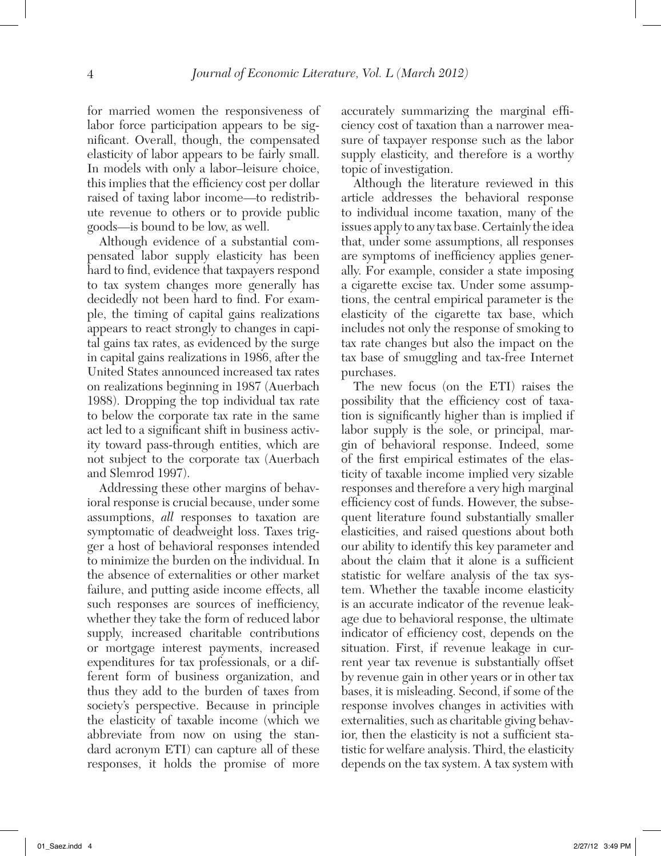for married women the responsiveness of labor force participation appears to be significant. Overall, though, the compensated elasticity of labor appears to be fairly small. In models with only a labor–leisure choice, this implies that the efficiency cost per dollar raised of taxing labor income—to redistribute revenue to others or to provide public goods—is bound to be low, as well.

Although evidence of a substantial compensated labor supply elasticity has been hard to find, evidence that taxpayers respond to tax system changes more generally has decidedly not been hard to find. For example, the timing of capital gains realizations appears to react strongly to changes in capital gains tax rates, as evidenced by the surge in capital gains realizations in 1986, after the United States announced increased tax rates on realizations beginning in 1987 (Auerbach 1988). Dropping the top individual tax rate to below the corporate tax rate in the same act led to a significant shift in business activity toward pass-through entities, which are not subject to the corporate tax (Auerbach and Slemrod 1997).

Addressing these other margins of behavioral response is crucial because, under some assumptions, *all* responses to taxation are symptomatic of deadweight loss. Taxes trigger a host of behavioral responses intended to minimize the burden on the individual. In the absence of externalities or other market failure, and putting aside income effects, all such responses are sources of inefficiency, whether they take the form of reduced labor supply, increased charitable contributions or mortgage interest payments, increased expenditures for tax professionals, or a different form of business organization, and thus they add to the burden of taxes from society's perspective. Because in principle the elasticity of taxable income (which we abbreviate from now on using the standard acronym ETI) can capture all of these responses, it holds the promise of more

accurately summarizing the marginal efficiency cost of taxation than a narrower measure of taxpayer response such as the labor supply elasticity, and therefore is a worthy topic of investigation.

Although the literature reviewed in this article addresses the behavioral response to individual income taxation, many of the issues apply to any tax base. Certainly the idea that, under some assumptions, all responses are symptoms of inefficiency applies generally. For example, consider a state imposing a cigarette excise tax. Under some assumptions, the central empirical parameter is the elasticity of the cigarette tax base, which includes not only the response of smoking to tax rate changes but also the impact on the tax base of smuggling and tax-free Internet purchases.

The new focus (on the ETI) raises the possibility that the efficiency cost of taxation is significantly higher than is implied if labor supply is the sole, or principal, margin of behavioral response. Indeed, some of the first empirical estimates of the elasticity of taxable income implied very sizable responses and therefore a very high marginal efficiency cost of funds. However, the subsequent literature found substantially smaller elasticities, and raised questions about both our ability to identify this key parameter and about the claim that it alone is a sufficient statistic for welfare analysis of the tax system. Whether the taxable income elasticity is an accurate indicator of the revenue leakage due to behavioral response, the ultimate indicator of efficiency cost, depends on the situation. First, if revenue leakage in current year tax revenue is substantially offset by revenue gain in other years or in other tax bases, it is misleading. Second, if some of the response involves changes in activities with externalities, such as charitable giving behavior, then the elasticity is not a sufficient statistic for welfare analysis. Third, the elasticity depends on the tax system. A tax system with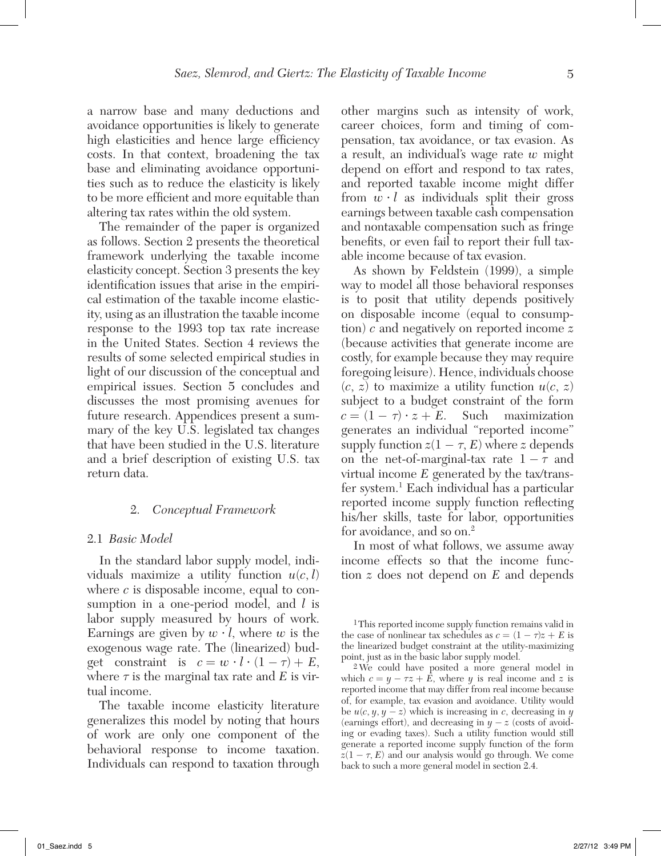a narrow base and many deductions and avoidance opportunities is likely to generate high elasticities and hence large efficiency costs. In that context, broadening the tax base and eliminating avoidance opportunities such as to reduce the elasticity is likely to be more efficient and more equitable than altering tax rates within the old system.

The remainder of the paper is organized as follows. Section 2 presents the theoretical framework underlying the taxable income elasticity concept. Section 3 presents the key identification issues that arise in the empirical estimation of the taxable income elasticity, using as an illustration the taxable income response to the 1993 top tax rate increase in the United States. Section 4 reviews the results of some selected empirical studies in light of our discussion of the conceptual and empirical issues. Section 5 concludes and discusses the most promising avenues for future research. Appendices present a summary of the key U.S. legislated tax changes that have been studied in the U.S. literature and a brief description of existing U.S. tax return data.

# 2. *Conceptual Framework*

#### 2.1 *Basic Model*

In the standard labor supply model, individuals maximize a utility function  $u(c, l)$ where *c* is disposable income, equal to consumption in a one-period model, and *l* is labor supply measured by hours of work. Earnings are given by  $w \cdot l$ , where  $w$  is the exogenous wage rate. The (linearized) budget constraint is  $c = w \cdot l \cdot (1 - \tau) + E$ , where  $\tau$  is the marginal tax rate and *E* is virtual income.

The taxable income elasticity literature generalizes this model by noting that hours of work are only one component of the behavioral response to income taxation. Individuals can respond to taxation through other margins such as intensity of work, career choices, form and timing of compensation, tax avoidance, or tax evasion. As a result, an individual's wage rate *w* might depend on effort and respond to tax rates, and reported taxable income might differ from  $w \cdot l$  as individuals split their gross earnings between taxable cash compensation and nontaxable compensation such as fringe benefits, or even fail to report their full taxable income because of tax evasion.

As shown by Feldstein (1999), a simple way to model all those behavioral responses is to posit that utility depends positively on disposable income (equal to consumption) *c* and negatively on reported income *z* (because activities that generate income are costly, for example because they may require foregoing leisure). Hence, individuals choose (*c*, *z*) to maximize a utility function *u*(*c*, *z*) subject to a budget constraint of the form  $c = (1 - \tau) \cdot z + E$ . Such maximization generates an individual "reported income" supply function  $z(1 - \tau, E)$  where *z* depends on the net-of-marginal-tax rate  $1 - \tau$  and virtual income *E* generated by the tax/transfer system.<sup>1</sup> Each individual has a particular reported income supply function reflecting his/her skills, taste for labor, opportunities for avoidance, and so on.<sup>2</sup>

In most of what follows, we assume away income effects so that the income function *z* does not depend on *E* and depends

<sup>1</sup>This reported income supply function remains valid in the case of nonlinear tax schedules as  $c = (1 - \tau)z + E$  is the linearized budget constraint at the utility-maximizing point, just as in the basic labor supply model.

<sup>2</sup> We could have posited a more general model in which  $c = y - \tau z + \tilde{E}$ , where *y* is real income and *z* is reported income that may differ from real income because of, for example, tax evasion and avoidance. Utility would be  $u(c, y, y - z)$  which is increasing in *c*, decreasing in *y* (earnings effort), and decreasing in  $y - z$  (costs of avoiding or evading taxes). Such a utility function would still generate a reported income supply function of the form  $z(1 - \tau, E)$  and our analysis would go through. We come back to such a more general model in section 2.4.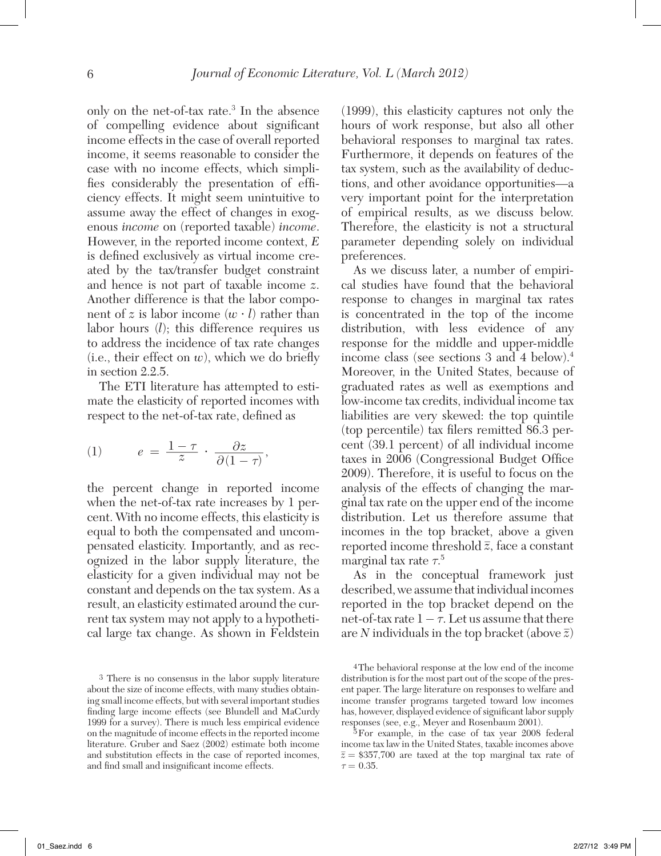only on the net-of-tax rate.3 In the absence of compelling evidence about significant income effects in the case of overall reported income, it seems reasonable to consider the case with no income effects, which simplifies considerably the presentation of efficiency effects. It might seem unintuitive to assume away the effect of changes in exogenous *income* on (reported taxable) *income*. However, in the reported income context, *E* is defined exclusively as virtual income created by the tax/transfer budget constraint and hence is not part of taxable income *z*. Another difference is that the labor component of *z* is labor income  $(w \cdot l)$  rather than labor hours (*l*); this difference requires us to address the incidence of tax rate changes (i.e., their effect on  $w$ ), which we do briefly in section 2.2.5.

The ETI literature has attempted to estimate the elasticity of reported incomes with

respect to the net-of-tax rate, defined as  
\n(1) 
$$
e = \frac{1 - \tau}{z} \cdot \frac{\partial z}{\partial (1 - \tau)},
$$

the percent change in reported income when the net-of-tax rate increases by 1 percent. With no income effects, this elasticity is equal to both the compensated and uncompensated elasticity. Importantly, and as recognized in the labor supply literature, the elasticity for a given individual may not be constant and depends on the tax system. As a result, an elasticity estimated around the current tax system may not apply to a hypothetical large tax change. As shown in Feldstein

(1999), this elasticity captures not only the hours of work response, but also all other behavioral responses to marginal tax rates. Furthermore, it depends on features of the tax system, such as the availability of deductions, and other avoidance opportunities—a very important point for the interpretation of empirical results, as we discuss below. Therefore, the elasticity is not a structural parameter depending solely on individual preferences.

As we discuss later, a number of empirical studies have found that the behavioral response to changes in marginal tax rates is concentrated in the top of the income distribution, with less evidence of any response for the middle and upper-middle income class (see sections 3 and 4 below).4 Moreover, in the United States, because of graduated rates as well as exemptions and low-income tax credits, individual income tax liabilities are very skewed: the top quintile (top percentile) tax filers remitted 86.3 percent (39.1 percent) of all individual income taxes in 2006 (Congressional Budget Office 2009). Therefore, it is useful to focus on the analysis of the effects of changing the marginal tax rate on the upper end of the income distribution. Let us therefore assume that incomes in the top bracket, above a given reported income threshold  $\overline{z}$ , face a constant marginal tax rate  $\tau$ .<sup>5</sup>

As in the conceptual framework just described, we assume that individual incomes reported in the top bracket depend on the net-of-tax rate  $1 - \tau$ . Let us assume that there are *N* individuals in the top bracket (above  $\bar{z}$ )

<sup>3</sup> There is no consensus in the labor supply literature about the size of income effects, with many studies obtaining small income effects, but with several important studies finding large income effects (see Blundell and MaCurdy 1999 for a survey). There is much less empirical evidence on the magnitude of income effects in the reported income literature. Gruber and Saez (2002) estimate both income and substitution effects in the case of reported incomes, and find small and insignificant income effects.

<sup>4</sup>The behavioral response at the low end of the income distribution is for the most part out of the scope of the present paper. The large literature on responses to welfare and income transfer programs targeted toward low incomes has, however, displayed evidence of significant labor supply responses (see, e.g., Meyer and Rosenbaum 2001).

<sup>5</sup>For example, in the case of tax year 2008 federal income tax law in the United States, taxable incomes above  $\bar{z} = $357,700$  are taxed at the top marginal tax rate of  $\tau = 0.35$ .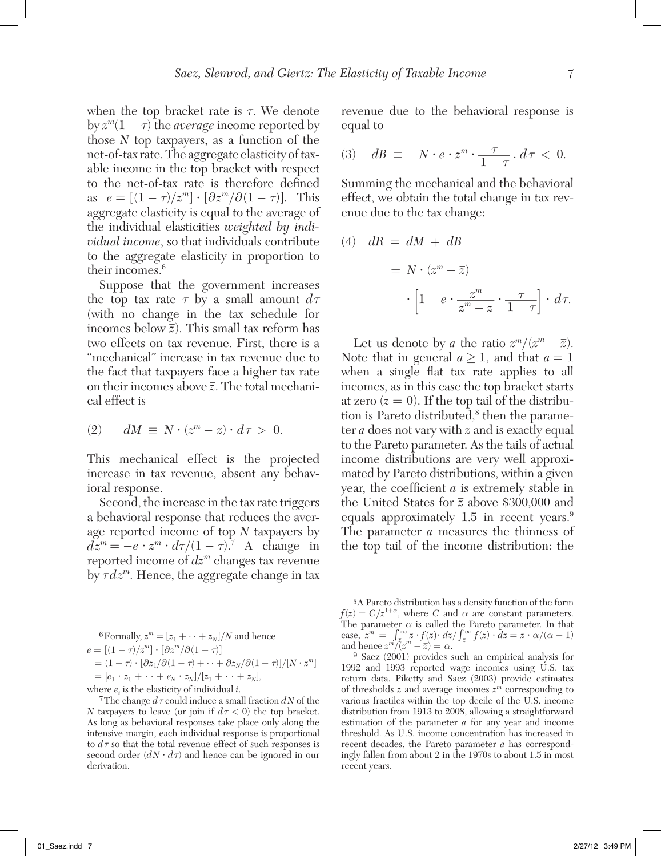when the top bracket rate is  $\tau$ . We denote by  $z^m(1-\tau)$  the *average* income reported by those *N* top taxpayers, as a function of the net-of-tax rate. The aggregate elasticity of taxable income in the top bracket with respect to the net-of-tax rate is therefore defined as  $e = [(1 - \tau)/z^m] \cdot [\partial z^m/\partial (1 - \tau)].$  This aggregate elasticity is equal to the average of the individual elasticities *weighted by individual income*, so that individuals contribute to the aggregate elasticity in proportion to their incomes.<sup>6</sup>

Suppose that the government increases the top tax rate  $\tau$  by a small amount  $d\tau$ (with no change in the tax schedule for incomes below  $\overline{z}$ ). This small tax reform has two effects on tax revenue. First, there is a "mechanical" increase in tax revenue due to the fact that taxpayers face a higher tax rate on their incomes above \_ *z*. The total mechanical effect is

$$
(2) \qquad dM \equiv N \cdot (z^m - \overline{z}) \cdot d\tau > 0.
$$

This mechanical effect is the projected increase in tax revenue, absent any behavioral response.

Second, the increase in the tax rate triggers a behavioral response that reduces the average reported income of top *N* taxpayers by  $d\bar{z}^m = -e \cdot z^m \cdot d\tau/(1-\tau)^7$  A change in reported income of *dz<sup>m</sup>* changes tax revenue by  $\tau dz^m$ . Hence, the aggregate change in tax

 $6$  Formally,  $z^m = [z_1 + \cdots + z_N]/N$  and hence  $e = [(1 - \tau)/z^m] \cdot [\partial z^m / \partial (1 - \tau)]$  $= (1 - \tau) \cdot [\partial z_1/\partial (1 - \tau) + \cdots + \partial z_N/\partial (1 - \tau)]/[N \cdot z^m]$  $=[e_1 \cdot z_1 + \cdots + e_N \cdot z_N]/[z_1 + \cdots + z_N],$ where *ei* is the elasticity of individual *i*.

<sup>7</sup>The change  $d\tau$  could induce a small fraction  $dN$  of the *N* taxpayers to leave (or join if  $d\tau < 0$ ) the top bracket. As long as behavioral responses take place only along the intensive margin, each individual response is proportional to  $d\tau$  so that the total revenue effect of such responses is second order  $(dN \cdot d\tau)$  and hence can be ignored in our derivation.

revenue due to the behavioral response is equal to

equal to  
\n(3) 
$$
dB \equiv -N \cdot e \cdot z^m \cdot \frac{\tau}{1-\tau} \cdot d\tau < 0.
$$

Summing the mechanical and the behavioral effect, we obtain the total change in tax revenue due to the tax change:

(4) 
$$
dR = dM + dB
$$

$$
= N \cdot (z^m - \overline{z})
$$

$$
\cdot \left[ 1 - e \cdot \frac{z^m}{z^m - \overline{z}} \cdot \frac{\tau}{1 - \tau} \right] \cdot d\tau.
$$

Let us denote by *a* the ratio  $z^m/(z^m - \overline{z})$ . Note that in general  $a \geq 1$ , and that  $a = 1$ when a single flat tax rate applies to all incomes, as in this case the top bracket starts at zero  $(\bar{z} = 0)$ . If the top tail of the distribution is Pareto distributed,<sup>8</sup> then the parameter *a* does not vary with  $\overline{z}$  and is exactly equal to the Pareto parameter. As the tails of actual income distributions are very well approximated by Pareto distributions, within a given year, the coefficient *a* is extremely stable in the United States for  $\bar{z}$  above \$300,000 and equals approximately 1.5 in recent years.<sup>9</sup> The parameter *a* measures the thinness of the top tail of the income distribution: the

8A Pareto distribution has a density function of the form  $f(z) = C/z^{1+\alpha}$ , where *C* and  $\alpha$  are constant parameters. The parameter  $\alpha$  is called the Pareto parameter. In that case,  $z^m = \int_{\tilde{z}}^{\infty} z \cdot f(z) \cdot dz / \int_{\tilde{z}}^{\infty} f(z) \cdot dz = \overline{z} \cdot \alpha / (\alpha - 1)$ <br>and hence  $z^m / (\overline{z}^m - \overline{z}) = \alpha$ .<br>9 Saez (2001) provides such an empirical analysis for

1992 and 1993 reported wage incomes using U.S. tax return data. Piketty and Saez (2003) provide estimates of thresholds  $\overline{z}$  and average incomes  $z^{m}$  corresponding to various fractiles within the top decile of the U.S. income distribution from 1913 to 2008, allowing a straightforward estimation of the parameter *a* for any year and income threshold. As U.S. income concentration has increased in recent decades, the Pareto parameter *a* has correspondingly fallen from about 2 in the 1970s to about 1.5 in most recent years.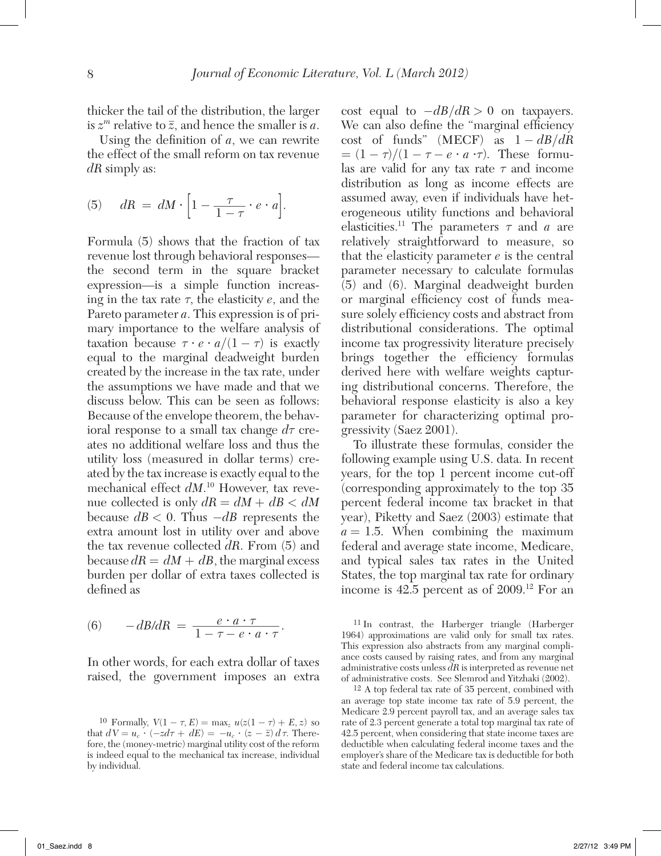thicker the tail of the distribution, the larger is  $z^m$  relative to  $\overline{z}$ , and hence the smaller is *a*.

Using the definition of *a*, we can rewrite the effect of the small reform on tax revenue *dR* simply as:

(5) 
$$
dR = dM \cdot \left[1 - \frac{\tau}{1 - \tau} \cdot e \cdot a\right].
$$

Formula (5) shows that the fraction of tax revenue lost through behavioral responses the second term in the square bracket expression—is a simple function increasing in the tax rate  $\tau$ , the elasticity  $e$ , and the Pareto parameter *a*. This expression is of primary importance to the welfare analysis of taxation because  $\tau \cdot e \cdot a/(1-\tau)$  is exactly equal to the marginal deadweight burden created by the increase in the tax rate, under the assumptions we have made and that we discuss below. This can be seen as follows: Because of the envelope theorem, the behavioral response to a small tax change *d*τ creates no additional welfare loss and thus the utility loss (measured in dollar terms) created by the tax increase is exactly equal to the mechanical effect *dM*. 10 However, tax revenue collected is only  $dR = dM + dB < dM$ because *dB* < 0. Thus −*dB* represents the extra amount lost in utility over and above the tax revenue collected *dR*. From (5) and because  $dR = dM + dB$ , the marginal excess burden per dollar of extra taxes collected is defined as

defined as  
(6) 
$$
-dB/dR = \frac{e \cdot a \cdot \tau}{1 - \tau - e \cdot a \cdot \tau}.
$$

In other words, for each extra dollar of taxes raised, the government imposes an extra cost equal to −*dB*/*dR* > 0 on taxpayers. We can also define the "marginal efficiency cost of funds'' (MECF) as 1 − *dB*/*dR*  $= (1 - \tau)/(1 - \tau - e \cdot a \cdot \tau)$ . These formulas are valid for any tax rate  $\tau$  and income distribution as long as income effects are assumed away, even if individuals have heterogeneous utility functions and behavioral elasticities.<sup>11</sup> The parameters  $\tau$  and  $\alpha$  are relatively straightforward to measure, so that the elasticity parameter *e* is the central parameter necessary to calculate formulas (5) and (6). Marginal deadweight burden or marginal efficiency cost of funds measure solely efficiency costs and abstract from distributional considerations. The optimal income tax progressivity literature precisely brings together the efficiency formulas derived here with welfare weights capturing distributional concerns. Therefore, the behavioral response elasticity is also a key parameter for characterizing optimal progressivity (Saez 2001).

To illustrate these formulas, consider the following example using U.S. data. In recent years, for the top 1 percent income cut-off (corresponding approximately to the top 35 percent federal income tax bracket in that year), Piketty and Saez (2003) estimate that  $a = 1.5$ . When combining the maximum federal and average state income, Medicare, and typical sales tax rates in the United States, the top marginal tax rate for ordinary income is 42.5 percent as of 2009.12 For an

11 In contrast, the Harberger triangle (Harberger 1964) approximations are valid only for small tax rates. This expression also abstracts from any marginal compliance costs caused by raising rates, and from any marginal administrative costs unless *dR* is interpreted as revenue net of administrative costs. See Slemrod and Yitzhaki (2002).

12 A top federal tax rate of 35 percent, combined with an average top state income tax rate of 5.9 percent, the Medicare 2.9 percent payroll tax, and an average sales tax rate of 2.3 percent generate a total top marginal tax rate of 42.5 percent, when considering that state income taxes are deductible when calculating federal income taxes and the employer's share of the Medicare tax is deductible for both state and federal income tax calculations.

<sup>10</sup> Formally,  $V(1 - \tau, E) = \max_z u(z(1 - \tau) + E, z)$  so that  $dV = u_c \cdot (-z d\tau + dE) = -\tilde{u}_c \cdot (z - \overline{z}) d\tau$ . Therefore, the (money-metric) marginal utility cost of the reform is indeed equal to the mechanical tax increase, individual by individual.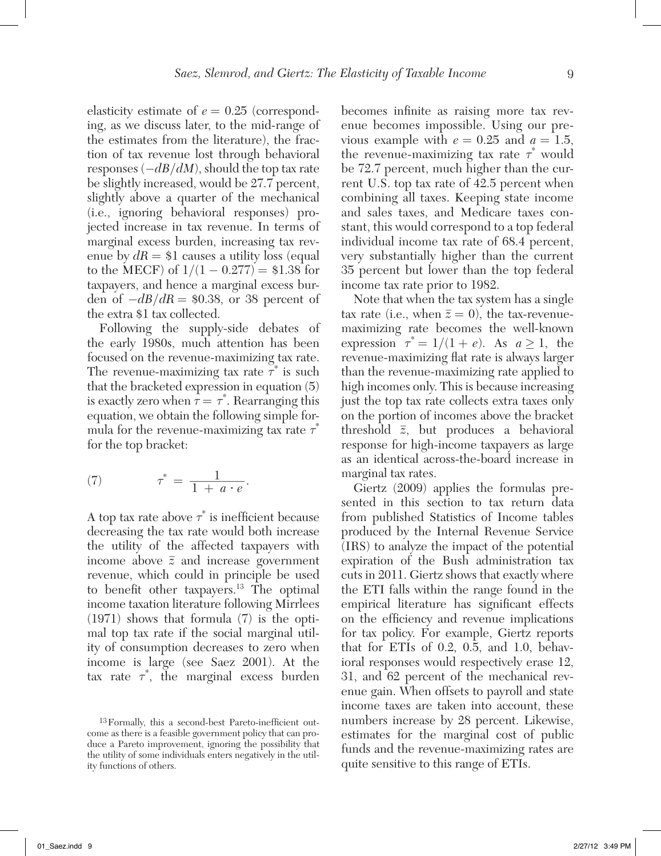elasticity estimate of  $e = 0.25$  (corresponding, as we discuss later, to the mid-range of the estimates from the literature), the fraction of tax revenue lost through behavioral responses (−*dB*/*dM*), should the top tax rate be slightly increased, would be 27.7 percent, slightly above a quarter of the mechanical (i.e., ignoring behavioral responses) projected increase in tax revenue. In terms of marginal excess burden, increasing tax revenue by  $dR = $1$  causes a utility loss (equal to the MECF) of  $1/(1 - 0.277) = $1.38$  for taxpayers, and hence a marginal excess burden of −*dB*/*dR* = \$0.38, or 38 percent of the extra \$1 tax collected.

Following the supply-side debates of the early 1980s, much attention has been focused on the revenue-maximizing tax rate. The revenue-maximizing tax rate  $\check{\tau}^*$  is such that the bracketed expression in equation (5) is exactly zero when  $\tau = \tau^*$ . Rearranging this equation, we obtain the following simple formula for the revenue-maximizing tax rate  $\tau^*$ <br>for the top bracket:<br>(7)  $\tau^* = \frac{1}{1 + a \cdot e}$ . for the top bracket:

(7) 
$$
\tau^* = \frac{1}{1 + a \cdot e}.
$$

A top tax rate above  $\tau^*$  is inefficient because decreasing the tax rate would both increase the utility of the affected taxpayers with income above  $\overline{z}$  and increase government revenue, which could in principle be used to benefit other taxpayers.13 The optimal income taxation literature following Mirrlees (1971) shows that formula (7) is the optimal top tax rate if the social marginal utility of consumption decreases to zero when income is large (see Saez 2001). At the tax rate  $\tau^*$ , the marginal excess burden

becomes infinite as raising more tax revenue becomes impossible. Using our previous example with  $e = 0.25$  and  $a = 1.5$ , the revenue-maximizing tax rate  $\tau^*$  would be 72.7 percent, much higher than the current U.S. top tax rate of 42.5 percent when combining all taxes. Keeping state income and sales taxes, and Medicare taxes constant, this would correspond to a top federal individual income tax rate of 68.4 percent, very substantially higher than the current 35 percent but lower than the top federal income tax rate prior to 1982.

Note that when the tax system has a single tax rate (i.e., when  $\bar{z} = 0$ ), the tax-revenuemaximizing rate becomes the well-known expression  $\tau^* = 1/(1 + e)$ . As  $a \geq 1$ , the revenue-maximizing flat rate is always larger than the revenue-maximizing rate applied to high incomes only. This is because increasing just the top tax rate collects extra taxes only on the portion of incomes above the bracket threshold  $\bar{z}$ , but produces a behavioral response for high-income taxpayers as large as an identical across-the-board increase in marginal tax rates.

Giertz (2009) applies the formulas presented in this section to tax return data from published Statistics of Income tables produced by the Internal Revenue Service (IRS) to analyze the impact of the potential expiration of the Bush administration tax cuts in 2011. Giertz shows that exactly where the ETI falls within the range found in the empirical literature has significant effects on the efficiency and revenue implications for tax policy. For example, Giertz reports that for ETIs of 0.2, 0.5, and 1.0, behavioral responses would respectively erase 12, 31, and 62 percent of the mechanical revenue gain. When offsets to payroll and state income taxes are taken into account, these numbers increase by 28 percent. Likewise, estimates for the marginal cost of public funds and the revenue-maximizing rates are quite sensitive to this range of ETIs.

<sup>13</sup>Formally, this a second-best Pareto-inefficient outcome as there is a feasible government policy that can produce a Pareto improvement, ignoring the possibility that the utility of some individuals enters negatively in the utility functions of others.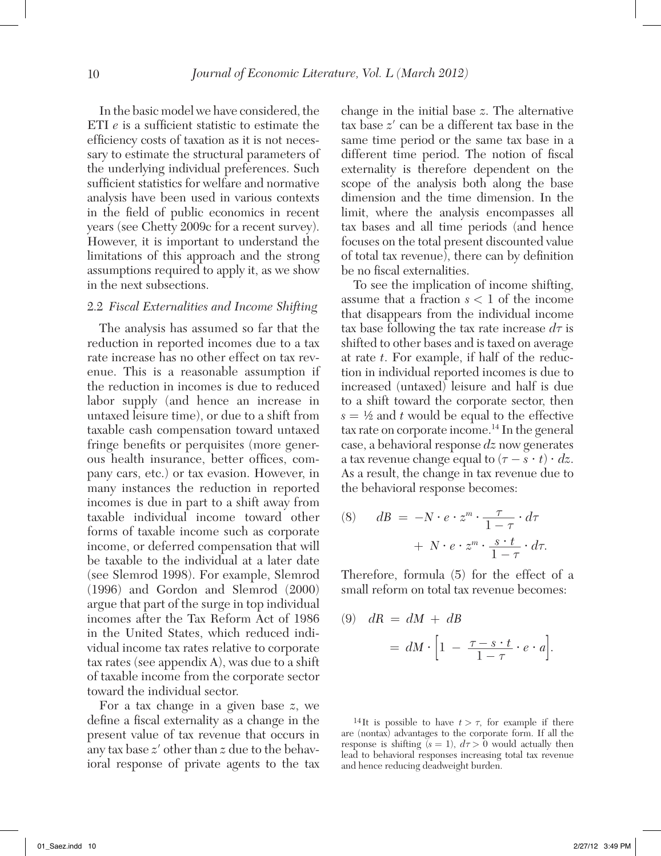In the basic model we have considered, the ETI *e* is a sufficient statistic to estimate the efficiency costs of taxation as it is not necessary to estimate the structural parameters of the underlying individual preferences. Such sufficient statistics for welfare and normative analysis have been used in various contexts in the field of public economics in recent years (see Chetty 2009c for a recent survey). However, it is important to understand the limitations of this approach and the strong assumptions required to apply it, as we show in the next subsections.

#### 2.2 *Fiscal Externalities and Income Shifting*

The analysis has assumed so far that the reduction in reported incomes due to a tax rate increase has no other effect on tax revenue. This is a reasonable assumption if the reduction in incomes is due to reduced labor supply (and hence an increase in untaxed leisure time), or due to a shift from taxable cash compensation toward untaxed fringe benefits or perquisites (more generous health insurance, better offices, company cars, etc.) or tax evasion. However, in many instances the reduction in reported incomes is due in part to a shift away from taxable individual income toward other forms of taxable income such as corporate income, or deferred compensation that will be taxable to the individual at a later date (see Slemrod 1998). For example, Slemrod (1996) and Gordon and Slemrod (2000) argue that part of the surge in top individual incomes after the Tax Reform Act of 1986 in the United States, which reduced individual income tax rates relative to corporate tax rates (see appendix A), was due to a shift of taxable income from the corporate sector toward the individual sector.

For a tax change in a given base *z*, we define a fiscal externality as a change in the present value of tax revenue that occurs in any tax base *z*′ other than *z* due to the behavioral response of private agents to the tax change in the initial base *z*. The alternative tax base *z*′ can be a different tax base in the same time period or the same tax base in a different time period. The notion of fiscal externality is therefore dependent on the scope of the analysis both along the base dimension and the time dimension. In the limit, where the analysis encompasses all tax bases and all time periods (and hence focuses on the total present discounted value of total tax revenue), there can by definition be no fiscal externalities.

To see the implication of income shifting, assume that a fraction *s* < 1 of the income that disappears from the individual income tax base following the tax rate increase  $d\tau$  is shifted to other bases and is taxed on average at rate *t*. For example, if half of the reduction in individual reported incomes is due to increased (untaxed) leisure and half is due to a shift toward the corporate sector, then  $s = \frac{1}{2}$  and *t* would be equal to the effective tax rate on corporate income.<sup>14</sup> In the general case, a behavioral response *dz* now generates a tax revenue change equal to  $(\tau - s \cdot t) \cdot dz$ . As a result, the change in tax revenue due to

the behavioral response becomes:  
\n(8) 
$$
dB = -N \cdot e \cdot z^m \cdot \frac{\tau}{1-\tau} \cdot d\tau
$$
\n
$$
+ N \cdot e \cdot z^m \cdot \frac{s \cdot t}{1-\tau} \cdot d\tau.
$$

Therefore, formula (5) for the effect of a small reform on total tax revenue becomes:

(9) 
$$
dR = dM + dB
$$

$$
= dM \cdot \left[1 - \frac{\tau - s \cdot t}{1 - \tau} \cdot e \cdot a\right].
$$

<sup>14</sup>It is possible to have  $t > \tau$ , for example if there are (nontax) advantages to the corporate form. If all the response is shifting  $(s = 1)$ ,  $d\tau > 0$  would actually then lead to behavioral responses increasing total tax revenue and hence reducing deadweight burden.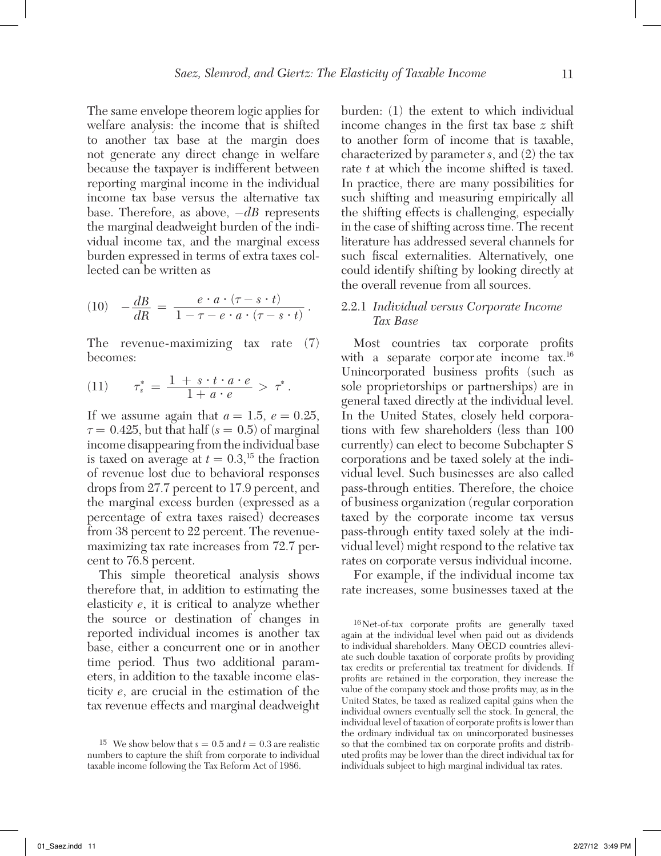The same envelope theorem logic applies for welfare analysis: the income that is shifted to another tax base at the margin does not generate any direct change in welfare because the taxpayer is indifferent between reporting marginal income in the individual income tax base versus the alternative tax base. Therefore, as above, −*dB* represents the marginal deadweight burden of the individual income tax, and the marginal excess burden expressed in terms of extra taxes collected can be written as vidual income tax, and the marginal excess<br>burden expressed in terms of extra taxes col-<br>lected can be written as<br> $(10)$   $-\frac{dB}{dR} = \frac{e \cdot a \cdot (\tau - s \cdot t)}{1 - \tau - e \cdot a \cdot (\tau - s \cdot t)}$ .<br>The revenue-maximizing tax rate (7)<br>becomes:<br> $(11)$ 

(10) 
$$
-\frac{dB}{dR} = \frac{e \cdot a \cdot (\tau - s \cdot t)}{1 - \tau - e \cdot a \cdot (\tau - s \cdot t)}.
$$

becomes:

(11) 
$$
\tau_s^* = \frac{1 + s \cdot t \cdot a \cdot e}{1 + a \cdot e} > \tau^*.
$$

If we assume again that  $a = 1.5$ ,  $e = 0.25$ ,  $\tau = 0.425$ , but that half ( $s = 0.5$ ) of marginal income disappearing from the individual base is taxed on average at  $t = 0.3$ ,<sup>15</sup> the fraction of revenue lost due to behavioral responses drops from 27.7 percent to 17.9 percent, and the marginal excess burden (expressed as a percentage of extra taxes raised) decreases from 38 percent to 22 percent. The revenuemaximizing tax rate increases from 72.7 percent to 76.8 percent.

This simple theoretical analysis shows therefore that, in addition to estimating the elasticity *e*, it is critical to analyze whether the source or destination of changes in reported individual incomes is another tax base, either a concurrent one or in another time period. Thus two additional parameters, in addition to the taxable income elasticity *e*, are crucial in the estimation of the tax revenue effects and marginal deadweight

burden: (1) the extent to which individual income changes in the first tax base *z* shift to another form of income that is taxable, characterized by parameter *s*, and (2) the tax rate *t* at which the income shifted is taxed. In practice, there are many possibilities for such shifting and measuring empirically all the shifting effects is challenging, especially in the case of shifting across time. The recent literature has addressed several channels for such fiscal externalities. Alternatively, one could identify shifting by looking directly at the overall revenue from all sources.

# 2.2.1 *Individual versus Corporate Income Tax Base*

Most countries tax corporate profits with a separate corpor ate income tax.<sup>16</sup> Unincorporated business profits (such as sole proprietorships or partnerships) are in general taxed directly at the individual level. In the United States, closely held corporations with few shareholders (less than 100 currently) can elect to become Subchapter S corporations and be taxed solely at the individual level. Such businesses are also called pass-through entities. Therefore, the choice of business organization (regular corporation taxed by the corporate income tax versus pass-through entity taxed solely at the individual level) might respond to the relative tax rates on corporate versus individual income.

For example, if the individual income tax rate increases, some businesses taxed at the

<sup>&</sup>lt;sup>15</sup> We show below that  $s = 0.5$  and  $t = 0.3$  are realistic numbers to capture the shift from corporate to individual taxable income following the Tax Reform Act of 1986.

<sup>16</sup>Net-of-tax corporate profits are generally taxed again at the individual level when paid out as dividends to individual shareholders. Many OECD countries alleviate such double taxation of corporate profits by providing tax credits or preferential tax treatment for dividends. If profits are retained in the corporation, they increase the value of the company stock and those profits may, as in the United States, be taxed as realized capital gains when the individual owners eventually sell the stock. In general, the individual level of taxation of corporate profits is lower than the ordinary individual tax on unincorporated businesses so that the combined tax on corporate profits and distributed profits may be lower than the direct individual tax for individuals subject to high marginal individual tax rates.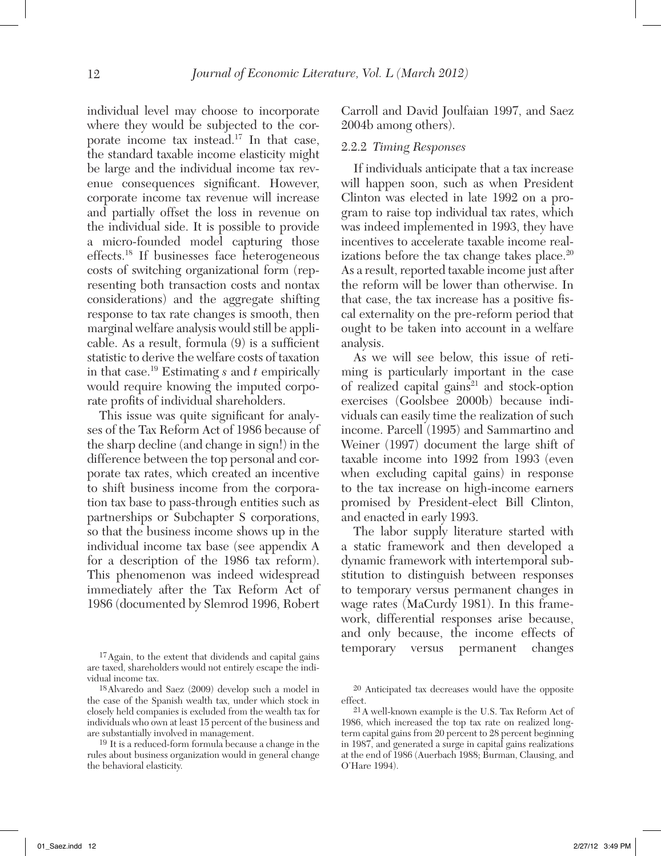individual level may choose to incorporate where they would be subjected to the corporate income tax instead.17 In that case, the standard taxable income elasticity might be large and the individual income tax revenue consequences significant. However, corporate income tax revenue will increase and partially offset the loss in revenue on the individual side. It is possible to provide a micro-founded model capturing those effects.18 If businesses face heterogeneous costs of switching organizational form (representing both transaction costs and nontax considerations) and the aggregate shifting response to tax rate changes is smooth, then marginal welfare analysis would still be applicable. As a result, formula (9) is a sufficient statistic to derive the welfare costs of taxation in that case.19 Estimating *s* and *t* empirically would require knowing the imputed corporate profits of individual shareholders.

This issue was quite significant for analyses of the Tax Reform Act of 1986 because of the sharp decline (and change in sign!) in the difference between the top personal and corporate tax rates, which created an incentive to shift business income from the corporation tax base to pass-through entities such as partnerships or Subchapter S corporations, so that the business income shows up in the individual income tax base (see appendix A for a description of the 1986 tax reform). This phenomenon was indeed widespread immediately after the Tax Reform Act of 1986 (documented by Slemrod 1996, Robert

Carroll and David Joulfaian 1997, and Saez 2004b among others).

#### 2.2.2 *Timing Responses*

If individuals anticipate that a tax increase will happen soon, such as when President Clinton was elected in late 1992 on a program to raise top individual tax rates, which was indeed implemented in 1993, they have incentives to accelerate taxable income realizations before the tax change takes place.<sup>20</sup> As a result, reported taxable income just after the reform will be lower than otherwise. In that case, the tax increase has a positive fiscal externality on the pre-reform period that ought to be taken into account in a welfare analysis.

As we will see below, this issue of retiming is particularly important in the case of realized capital gains<sup>21</sup> and stock-option exercises (Goolsbee 2000b) because individuals can easily time the realization of such income. Parcell (1995) and Sammartino and Weiner (1997) document the large shift of taxable income into 1992 from 1993 (even when excluding capital gains) in response to the tax increase on high-income earners promised by President-elect Bill Clinton, and enacted in early 1993.

The labor supply literature started with a static framework and then developed a dynamic framework with intertemporal substitution to distinguish between responses to temporary versus permanent changes in wage rates (MaCurdy 1981). In this framework, differential responses arise because, and only because, the income effects of temporary versus permanent changes

<sup>17</sup>Again, to the extent that dividends and capital gains are taxed, shareholders would not entirely escape the individual income tax.

<sup>18</sup>Alvaredo and Saez (2009) develop such a model in the case of the Spanish wealth tax, under which stock in closely held companies is excluded from the wealth tax for individuals who own at least 15 percent of the business and are substantially involved in management.

<sup>19</sup> It is a reduced-form formula because a change in the rules about business organization would in general change the behavioral elasticity.

<sup>20</sup> Anticipated tax decreases would have the opposite effect.

<sup>21</sup>A well-known example is the U.S. Tax Reform Act of 1986, which increased the top tax rate on realized longterm capital gains from 20 percent to 28 percent beginning in 1987, and generated a surge in capital gains realizations at the end of 1986 (Auerbach 1988; Burman, Clausing, and O'Hare 1994).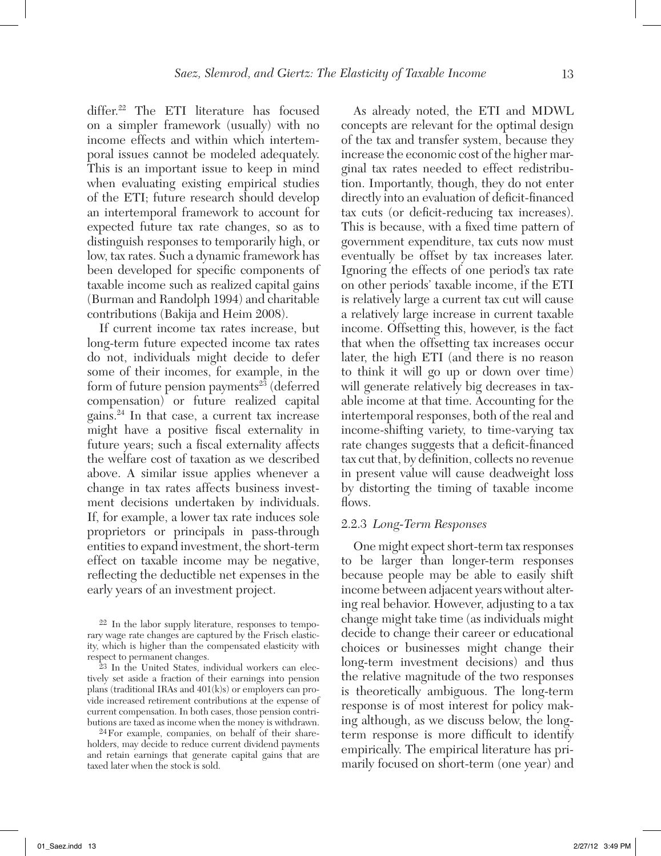differ.22 The ETI literature has focused on a simpler framework (usually) with no income effects and within which intertemporal issues cannot be modeled adequately. This is an important issue to keep in mind when evaluating existing empirical studies of the ETI; future research should develop an intertemporal framework to account for expected future tax rate changes, so as to distinguish responses to temporarily high, or low, tax rates. Such a dynamic framework has been developed for specific components of taxable income such as realized capital gains (Burman and Randolph 1994) and charitable contributions (Bakija and Heim 2008).

If current income tax rates increase, but long-term future expected income tax rates do not, individuals might decide to defer some of their incomes, for example, in the form of future pension payments<sup>23</sup> (deferred compensation) or future realized capital gains.24 In that case, a current tax increase might have a positive fiscal externality in future years; such a fiscal externality affects the welfare cost of taxation as we described above. A similar issue applies whenever a change in tax rates affects business investment decisions undertaken by individuals. If, for example, a lower tax rate induces sole proprietors or principals in pass-through entities to expand investment, the short-term effect on taxable income may be negative, reflecting the deductible net expenses in the early years of an investment project.

24For example, companies, on behalf of their shareholders, may decide to reduce current dividend payments and retain earnings that generate capital gains that are taxed later when the stock is sold.

As already noted, the ETI and MDWL concepts are relevant for the optimal design of the tax and transfer system, because they increase the economic cost of the higher marginal tax rates needed to effect redistribution. Importantly, though, they do not enter directly into an evaluation of deficit-financed tax cuts (or deficit-reducing tax increases). This is because, with a fixed time pattern of government expenditure, tax cuts now must eventually be offset by tax increases later. Ignoring the effects of one period's tax rate on other periods' taxable income, if the ETI is relatively large a current tax cut will cause a relatively large increase in current taxable income. Offsetting this, however, is the fact that when the offsetting tax increases occur later, the high ETI (and there is no reason to think it will go up or down over time) will generate relatively big decreases in taxable income at that time. Accounting for the intertemporal responses, both of the real and income-shifting variety, to time-varying tax rate changes suggests that a deficit-financed tax cut that, by definition, collects no revenue in present value will cause deadweight loss by distorting the timing of taxable income flows.

#### 2.2.3 *Long-Term Responses*

One might expect short-term tax responses to be larger than longer-term responses because people may be able to easily shift income between adjacent years without altering real behavior. However, adjusting to a tax change might take time (as individuals might decide to change their career or educational choices or businesses might change their long-term investment decisions) and thus the relative magnitude of the two responses is theoretically ambiguous. The long-term response is of most interest for policy making although, as we discuss below, the longterm response is more difficult to identify empirically. The empirical literature has primarily focused on short-term (one year) and

<sup>22</sup> In the labor supply literature, responses to temporary wage rate changes are captured by the Frisch elasticity, which is higher than the compensated elasticity with respect to permanent changes.

<sup>23</sup> In the United States, individual workers can electively set aside a fraction of their earnings into pension plans (traditional IRAs and 401(k)s) or employers can provide increased retirement contributions at the expense of current compensation. In both cases, those pension contributions are taxed as income when the money is withdrawn.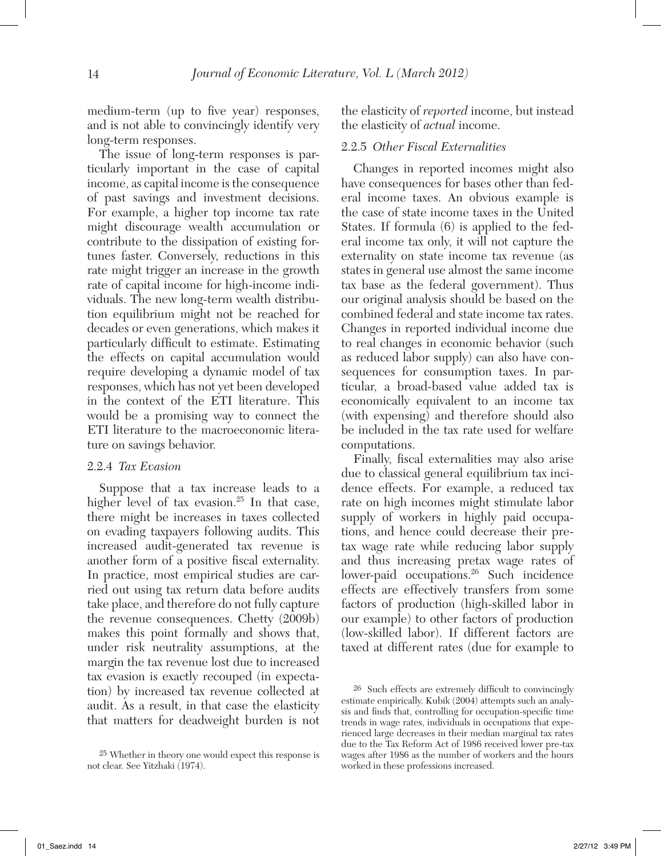medium-term (up to five year) responses, and is not able to convincingly identify very long-term responses.

The issue of long-term responses is particularly important in the case of capital income, as capital income is the consequence of past savings and investment decisions. For example, a higher top income tax rate might discourage wealth accumulation or contribute to the dissipation of existing fortunes faster. Conversely, reductions in this rate might trigger an increase in the growth rate of capital income for high-income individuals. The new long-term wealth distribution equilibrium might not be reached for decades or even generations, which makes it particularly difficult to estimate. Estimating the effects on capital accumulation would require developing a dynamic model of tax responses, which has not yet been developed in the context of the ETI literature. This would be a promising way to connect the ETI literature to the macroeconomic literature on savings behavior.

#### 2.2.4 *Tax Evasion*

Suppose that a tax increase leads to a higher level of tax evasion.<sup>25</sup> In that case, there might be increases in taxes collected on evading taxpayers following audits. This increased audit-generated tax revenue is another form of a positive fiscal externality. In practice, most empirical studies are carried out using tax return data before audits take place, and therefore do not fully capture the revenue consequences. Chetty (2009b) makes this point formally and shows that, under risk neutrality assumptions, at the margin the tax revenue lost due to increased tax evasion is exactly recouped (in expectation) by increased tax revenue collected at audit. As a result, in that case the elasticity that matters for deadweight burden is not

the elasticity of *reported* income, but instead the elasticity of *actual* income.

#### 2.2.5 *Other Fiscal Externalities*

Changes in reported incomes might also have consequences for bases other than federal income taxes. An obvious example is the case of state income taxes in the United States. If formula (6) is applied to the federal income tax only, it will not capture the externality on state income tax revenue (as states in general use almost the same income tax base as the federal government). Thus our original analysis should be based on the combined federal and state income tax rates. Changes in reported individual income due to real changes in economic behavior (such as reduced labor supply) can also have consequences for consumption taxes. In particular, a broad-based value added tax is economically equivalent to an income tax (with expensing) and therefore should also be included in the tax rate used for welfare computations.

Finally, fiscal externalities may also arise due to classical general equilibrium tax incidence effects. For example, a reduced tax rate on high incomes might stimulate labor supply of workers in highly paid occupations, and hence could decrease their pretax wage rate while reducing labor supply and thus increasing pretax wage rates of lower-paid occupations.<sup>26</sup> Such incidence effects are effectively transfers from some factors of production (high-skilled labor in our example) to other factors of production (low-skilled labor). If different factors are taxed at different rates (due for example to

<sup>25</sup> Whether in theory one would expect this response is not clear. See Yitzhaki (1974).

<sup>26</sup> Such effects are extremely difficult to convincingly estimate empirically. Kubik (2004) attempts such an analysis and finds that, controlling for occupation-specific time trends in wage rates, individuals in occupations that experienced large decreases in their median marginal tax rates due to the Tax Reform Act of 1986 received lower pre-tax wages after 1986 as the number of workers and the hours worked in these professions increased.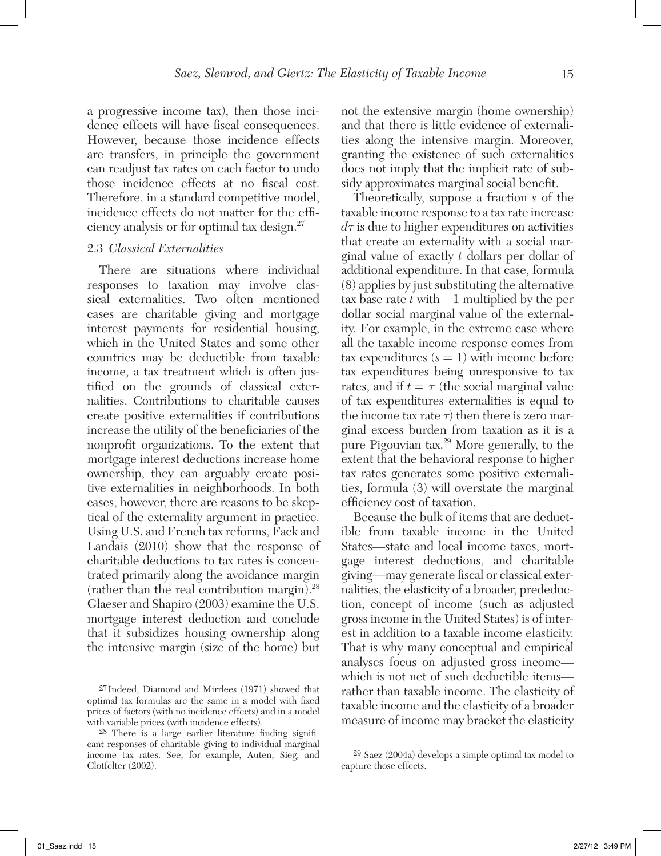a progressive income tax), then those incidence effects will have fiscal consequences. However, because those incidence effects are transfers, in principle the government can readjust tax rates on each factor to undo those incidence effects at no fiscal cost. Therefore, in a standard competitive model, incidence effects do not matter for the efficiency analysis or for optimal tax design.<sup>27</sup>

## 2.3 *Classical Externalities*

There are situations where individual responses to taxation may involve classical externalities. Two often mentioned cases are charitable giving and mortgage interest payments for residential housing, which in the United States and some other countries may be deductible from taxable income, a tax treatment which is often justified on the grounds of classical externalities. Contributions to charitable causes create positive externalities if contributions increase the utility of the beneficiaries of the nonprofit organizations. To the extent that mortgage interest deductions increase home ownership, they can arguably create positive externalities in neighborhoods. In both cases, however, there are reasons to be skeptical of the externality argument in practice. Using U.S. and French tax reforms, Fack and Landais (2010) show that the response of charitable deductions to tax rates is concentrated primarily along the avoidance margin (rather than the real contribution margin).28 Glaeser and Shapiro (2003) examine the U.S. mortgage interest deduction and conclude that it subsidizes housing ownership along the intensive margin (size of the home) but

not the extensive margin (home ownership) and that there is little evidence of externalities along the intensive margin. Moreover, granting the existence of such externalities does not imply that the implicit rate of subsidy approximates marginal social benefit.

Theoretically, suppose a fraction *s* of the taxable income response to a tax rate increase  $d\tau$  is due to higher expenditures on activities that create an externality with a social marginal value of exactly *t* dollars per dollar of additional expenditure. In that case, formula (8) applies by just substituting the alternative tax base rate *t* with −1 multiplied by the per dollar social marginal value of the externality. For example, in the extreme case where all the taxable income response comes from tax expenditures  $(s = 1)$  with income before tax expenditures being unresponsive to tax rates, and if  $t = \tau$  (the social marginal value of tax expenditures externalities is equal to the income tax rate  $\tau$ ) then there is zero marginal excess burden from taxation as it is a pure Pigouvian tax.29 More generally, to the extent that the behavioral response to higher tax rates generates some positive externalities, formula (3) will overstate the marginal efficiency cost of taxation.

Because the bulk of items that are deductible from taxable income in the United States—state and local income taxes, mortgage interest deductions, and charitable giving—may generate fiscal or classical externalities, the elasticity of a broader, prededuction, concept of income (such as adjusted gross income in the United States) is of interest in addition to a taxable income elasticity. That is why many conceptual and empirical analyses focus on adjusted gross income which is not net of such deductible items rather than taxable income. The elasticity of taxable income and the elasticity of a broader measure of income may bracket the elasticity

<sup>27</sup>Indeed, Diamond and Mirrlees (1971) showed that optimal tax formulas are the same in a model with fixed prices of factors (with no incidence effects) and in a model with variable prices (with incidence effects).

<sup>28</sup> There is a large earlier literature finding significant responses of charitable giving to individual marginal income tax rates. See, for example, Auten, Sieg, and Clotfelter (2002).

<sup>29</sup> Saez (2004a) develops a simple optimal tax model to capture those effects.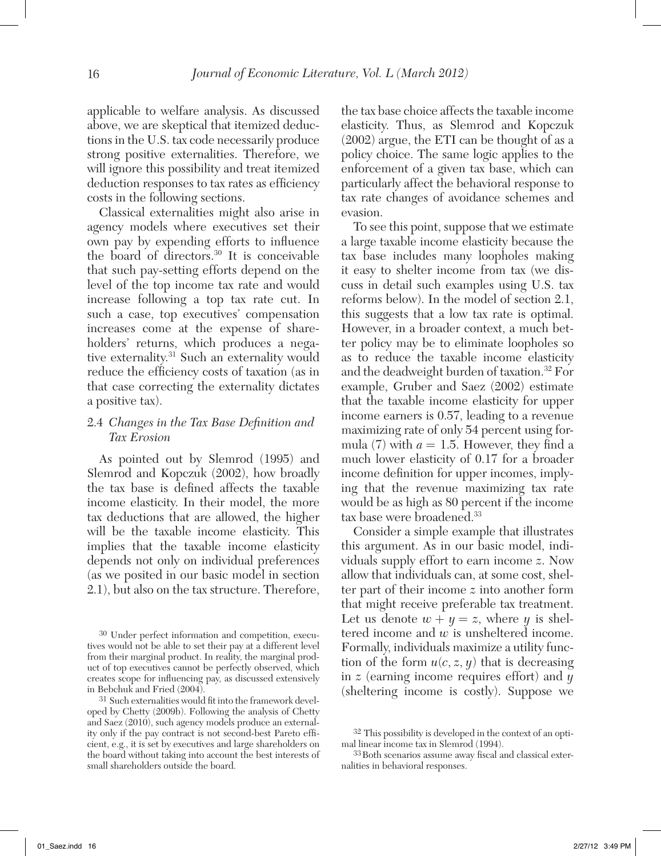applicable to welfare analysis. As discussed above, we are skeptical that itemized deductions in the U.S. tax code necessarily produce strong positive externalities. Therefore, we will ignore this possibility and treat itemized deduction responses to tax rates as efficiency costs in the following sections.

Classical externalities might also arise in agency models where executives set their own pay by expending efforts to influence the board of directors.30 It is conceivable that such pay-setting efforts depend on the level of the top income tax rate and would increase following a top tax rate cut. In such a case, top executives' compensation increases come at the expense of shareholders' returns, which produces a negative externality.<sup>31</sup> Such an externality would reduce the efficiency costs of taxation (as in that case correcting the externality dictates a positive tax).

# 2.4 *Changes in the Tax Base Definition and Tax Erosion*

As pointed out by Slemrod (1995) and Slemrod and Kopczuk (2002), how broadly the tax base is defined affects the taxable income elasticity. In their model, the more tax deductions that are allowed, the higher will be the taxable income elasticity. This implies that the taxable income elasticity depends not only on individual preferences (as we posited in our basic model in section 2.1), but also on the tax structure. Therefore,

the tax base choice affects the taxable income elasticity. Thus, as Slemrod and Kopczuk (2002) argue, the ETI can be thought of as a policy choice. The same logic applies to the enforcement of a given tax base, which can particularly affect the behavioral response to tax rate changes of avoidance schemes and evasion.

To see this point, suppose that we estimate a large taxable income elasticity because the tax base includes many loopholes making it easy to shelter income from tax (we discuss in detail such examples using U.S. tax reforms below). In the model of section 2.1, this suggests that a low tax rate is optimal. However, in a broader context, a much better policy may be to eliminate loopholes so as to reduce the taxable income elasticity and the deadweight burden of taxation.32 For example, Gruber and Saez (2002) estimate that the taxable income elasticity for upper income earners is 0.57, leading to a revenue maximizing rate of only 54 percent using formula  $(7)$  with  $a = 1.5$ . However, they find a much lower elasticity of 0.17 for a broader income definition for upper incomes, implying that the revenue maximizing tax rate would be as high as 80 percent if the income tax base were broadened.<sup>33</sup>

Consider a simple example that illustrates this argument. As in our basic model, individuals supply effort to earn income *z*. Now allow that individuals can, at some cost, shelter part of their income *z* into another form that might receive preferable tax treatment. Let us denote  $w + y = z$ , where y is sheltered income and *w* is unsheltered income. Formally, individuals maximize a utility function of the form  $u(c, z, y)$  that is decreasing in *z* (earning income requires effort) and *y*  (sheltering income is costly). Suppose we

<sup>30</sup> Under perfect information and competition, executives would not be able to set their pay at a different level from their marginal product. In reality, the marginal product of top executives cannot be perfectly observed, which creates scope for influencing pay, as discussed extensively in Bebchuk and Fried (2004).

<sup>31</sup> Such externalities would fit into the framework developed by Chetty (2009b). Following the analysis of Chetty and Saez (2010), such agency models produce an externality only if the pay contract is not second-best Pareto efficient, e.g., it is set by executives and large shareholders on the board without taking into account the best interests of small shareholders outside the board.

<sup>32</sup> This possibility is developed in the context of an optimal linear income tax in Slemrod (1994).

<sup>33</sup>Both scenarios assume away fiscal and classical externalities in behavioral responses.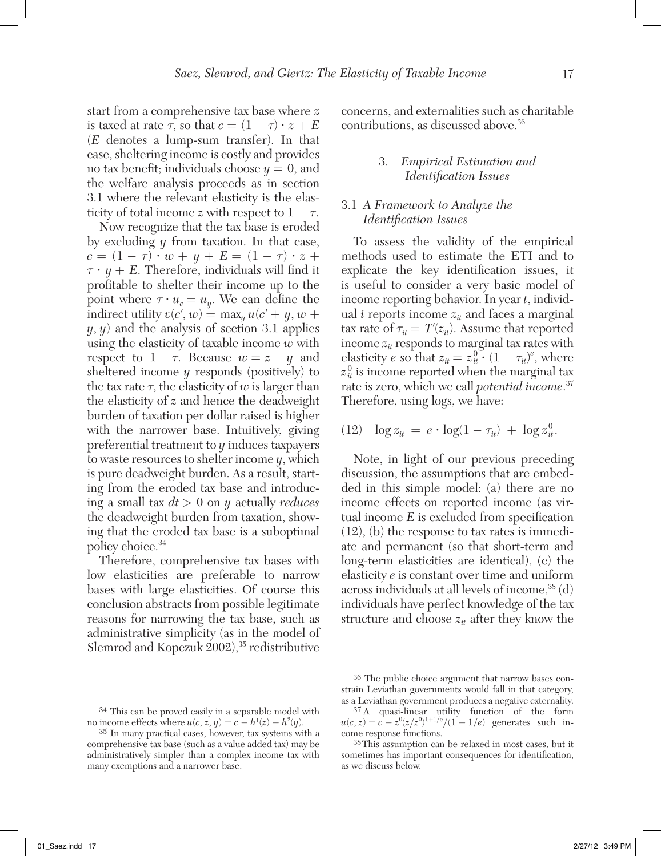start from a comprehensive tax base where *z*  is taxed at rate  $\tau$ , so that  $c = (1 - \tau) \cdot z + E$ (*E* denotes a lump-sum transfer). In that case, sheltering income is costly and provides no tax benefit; individuals choose  $y = 0$ , and the welfare analysis proceeds as in section 3.1 where the relevant elasticity is the elasticity of total income *z* with respect to  $1 - \tau$ .

Now recognize that the tax base is eroded by excluding *y* from taxation. In that case,  $c = (1 - \tau) \cdot w + y + E = (1 - \tau) \cdot z +$  $\tau \cdot y + E$ . Therefore, individuals will find it profitable to shelter their income up to the point where  $\tau \cdot u_c = u_y$ . We can define the indirect utility  $v(c', w) = \max_{u} u(c' + y, w + w)$  $y, y$  and the analysis of section 3.1 applies using the elasticity of taxable income *w* with respect to  $1 - \tau$ . Because  $w = z - y$  and sheltered income *y* responds (positively) to the tax rate  $\tau$ , the elasticity of  $w$  is larger than the elasticity of *z* and hence the deadweight burden of taxation per dollar raised is higher with the narrower base. Intuitively, giving preferential treatment to *y* induces taxpayers to waste resources to shelter income *y*, which is pure deadweight burden. As a result, starting from the eroded tax base and introducing a small tax *dt* > 0 on *y* actually *reduces*  the deadweight burden from taxation, showing that the eroded tax base is a suboptimal policy choice.<sup>34</sup>

Therefore, comprehensive tax bases with low elasticities are preferable to narrow bases with large elasticities. Of course this conclusion abstracts from possible legitimate reasons for narrowing the tax base, such as administrative simplicity (as in the model of Slemrod and Kopczuk 2002),<sup>35</sup> redistributive

concerns, and externalities such as charitable contributions, as discussed above.36

# 3. *Empirical Estimation and Identification Issues*

# 3.1 *A Framework to Analyze the Identification Issues*

To assess the validity of the empirical methods used to estimate the ETI and to explicate the key identification issues, it is useful to consider a very basic model of income reporting behavior. In year *t*, individual  $i$  reports income  $z_{it}$  and faces a marginal tax rate of  $\tau_{it} = T'(z_{it})$ . Assume that reported income  $z_{it}$  responds to marginal tax rates with elasticity *e* so that  $z_{it} = z_{it}^{0} \cdot (1 - \tau_{it})^e$ , where  $z<sub>it</sub><sup>0</sup>$  is income reported when the marginal tax rate is zero, which we call *potential income*. 37 Therefore, using logs, we have:

$$
(12) \quad \log z_{it} = e \cdot \log(1 - \tau_{it}) + \log z_{it}^0.
$$

Note, in light of our previous preceding discussion, the assumptions that are embedded in this simple model: (a) there are no income effects on reported income (as virtual income *E* is excluded from specification (12), (b) the response to tax rates is immediate and permanent (so that short-term and long-term elasticities are identical), (c) the elasticity *e* is constant over time and uniform across individuals at all levels of income,  $38$  (d) individuals have perfect knowledge of the tax structure and choose  $z_{it}$  after they know the

<sup>34</sup> This can be proved easily in a separable model with no income effects where  $u(c, z, y) = c - h^{1}(z) - h^{2}(y)$ .

<sup>35</sup> In many practical cases, however, tax systems with a comprehensive tax base (such as a value added tax) may be administratively simpler than a complex income tax with many exemptions and a narrower base.

<sup>36</sup> The public choice argument that narrow bases constrain Leviathan governments would fall in that category, as a Leviathan government produces a negative externality.

<sup>37</sup> A quasi-linear utility function of the form  $u(c, z) = c - z^{0}(z/z^{0})^{1+1/e}/(1 + 1/e)$  generates such income response functions.

<sup>38</sup>This assumption can be relaxed in most cases, but it sometimes has important consequences for identification, as we discuss below.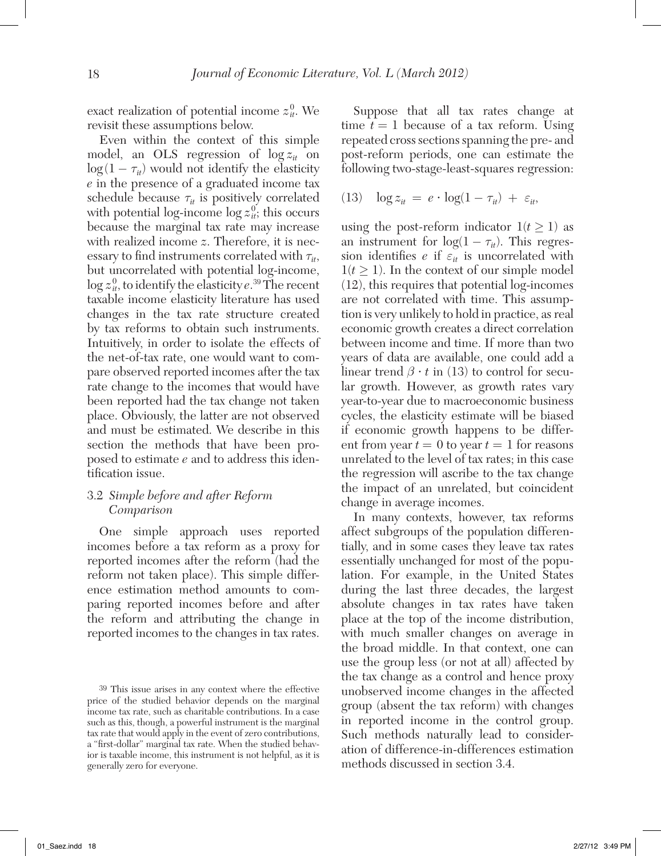exact realization of potential income  $z_{it}^0$ . We revisit these assumptions below.

Even within the context of this simple model, an OLS regression of  $\log z_{it}$  on  $log(1 - \tau_{it})$  would not identify the elasticity *e* in the presence of a graduated income tax schedule because  $\tau_{it}$  is positively correlated with potential log-income  $\log z_{it}^0$ ; this occurs because the marginal tax rate may increase with realized income *z*. Therefore, it is necessary to find instruments correlated with  $\tau_{it}$ , but uncorrelated with potential log-income,  $\log z_{it}^0$ , to identify the elasticity  $e^{0.39}$  The recent taxable income elasticity literature has used changes in the tax rate structure created by tax reforms to obtain such instruments. Intuitively, in order to isolate the effects of the net-of-tax rate, one would want to compare observed reported incomes after the tax rate change to the incomes that would have been reported had the tax change not taken place. Obviously, the latter are not observed and must be estimated. We describe in this section the methods that have been proposed to estimate *e* and to address this identification issue.

# 3.2 *Simple before and after Reform Comparison*

One simple approach uses reported incomes before a tax reform as a proxy for reported incomes after the reform (had the reform not taken place). This simple difference estimation method amounts to comparing reported incomes before and after the reform and attributing the change in reported incomes to the changes in tax rates.

Suppose that all tax rates change at time  $t = 1$  because of a tax reform. Using repeated cross sections spanning the pre- and post-reform periods, one can estimate the following two-stage-least-squares regression:

$$
(13) \quad \log z_{it} = e \cdot \log(1 - \tau_{it}) + \varepsilon_{it},
$$

using the post-reform indicator  $1(t \geq 1)$  as an instrument for  $log(1 - \tau_{it})$ . This regression identifies  $e$  if  $\varepsilon_{it}$  is uncorrelated with  $1(t \geq 1)$ . In the context of our simple model (12), this requires that potential log-incomes are not correlated with time. This assumption is very unlikely to hold in practice, as real economic growth creates a direct correlation between income and time. If more than two years of data are available, one could add a linear trend  $\beta \cdot t$  in (13) to control for secular growth. However, as growth rates vary year-to-year due to macroeconomic business cycles, the elasticity estimate will be biased if economic growth happens to be different from year  $t = 0$  to year  $t = 1$  for reasons unrelated to the level of tax rates; in this case the regression will ascribe to the tax change the impact of an unrelated, but coincident change in average incomes.

In many contexts, however, tax reforms affect subgroups of the population differentially, and in some cases they leave tax rates essentially unchanged for most of the population. For example, in the United States during the last three decades, the largest absolute changes in tax rates have taken place at the top of the income distribution, with much smaller changes on average in the broad middle. In that context, one can use the group less (or not at all) affected by the tax change as a control and hence proxy unobserved income changes in the affected group (absent the tax reform) with changes in reported income in the control group. Such methods naturally lead to consideration of difference-in-differences estimation methods discussed in section 3.4.

<sup>39</sup> This issue arises in any context where the effective price of the studied behavior depends on the marginal income tax rate, such as charitable contributions. In a case such as this, though, a powerful instrument is the marginal tax rate that would apply in the event of zero contributions, a "first-dollar" marginal tax rate. When the studied behavior is taxable income, this instrument is not helpful, as it is generally zero for everyone.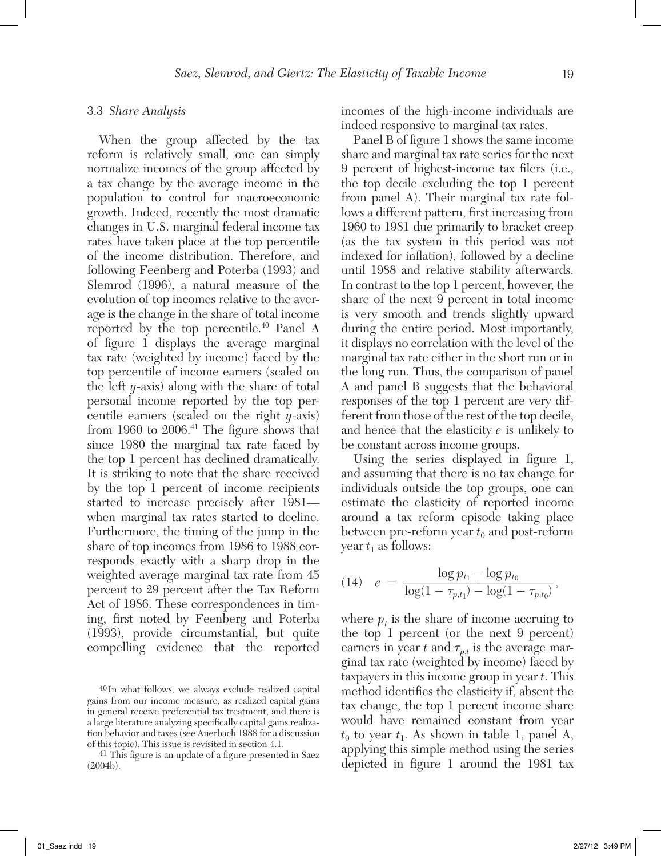#### 3.3 *Share Analysis*

When the group affected by the tax reform is relatively small, one can simply normalize incomes of the group affected by a tax change by the average income in the population to control for macroeconomic growth. Indeed, recently the most dramatic changes in U.S. marginal federal income tax rates have taken place at the top percentile of the income distribution. Therefore, and following Feenberg and Poterba (1993) and Slemrod (1996), a natural measure of the evolution of top incomes relative to the average is the change in the share of total income reported by the top percentile.<sup>40</sup> Panel A of figure 1 displays the average marginal tax rate (weighted by income) faced by the top percentile of income earners (scaled on the left *y*-axis) along with the share of total personal income reported by the top percentile earners (scaled on the right *y*-axis) from 1960 to 2006.<sup>41</sup> The figure shows that since 1980 the marginal tax rate faced by the top 1 percent has declined dramatically. It is striking to note that the share received by the top 1 percent of income recipients started to increase precisely after 1981 when marginal tax rates started to decline. Furthermore, the timing of the jump in the share of top incomes from 1986 to 1988 corresponds exactly with a sharp drop in the weighted average marginal tax rate from 45 percent to 29 percent after the Tax Reform Act of 1986. These correspondences in timing, first noted by Feenberg and Poterba (1993), provide circumstantial, but quite compelling evidence that the reported

41 This figure is an update of a figure presented in Saez (2004b).

incomes of the high-income individuals are indeed responsive to marginal tax rates.

Panel B of figure 1 shows the same income share and marginal tax rate series for the next 9 percent of highest-income tax filers (i.e., the top decile excluding the top 1 percent from panel A). Their marginal tax rate follows a different pattern, first increasing from 1960 to 1981 due primarily to bracket creep (as the tax system in this period was not indexed for inflation), followed by a decline until 1988 and relative stability afterwards. In contrast to the top 1 percent, however, the share of the next 9 percent in total income is very smooth and trends slightly upward during the entire period. Most importantly, it displays no correlation with the level of the marginal tax rate either in the short run or in the long run. Thus, the comparison of panel A and panel B suggests that the behavioral responses of the top 1 percent are very different from those of the rest of the top decile, and hence that the elasticity *e* is unlikely to be constant across income groups.

Using the series displayed in figure 1, and assuming that there is no tax change for individuals outside the top groups, one can estimate the elasticity of reported income around a tax reform episode taking place year  $t_1$  as follows: around a tax reform episode taking p<br>between pre-reform year  $t_0$  and post-ref<br>year  $t_1$  as follows:<br>(14)  $e = \frac{\log p_{t_1} - \log p_{t_0}}{\log(1 - \tau_{p,t_1}) - \log(1 - \tau_{p,t_0})}$ <br>where  $p_t$  is the share of income accruin

between pre-reform year 
$$
t_0
$$
 and post-reform  
year  $t_1$  as follows:  
(14)  $e = \frac{\log p_{t_1} - \log p_{t_0}}{\log(1 - \tau_{p,t_1}) - \log(1 - \tau_{p,t_0})}$ ,

where  $p_t$  is the share of income accruing to the top 1 percent (or the next 9 percent) earners in year t and  $\tau_{p,t}$  is the average marginal tax rate (weighted by income) faced by taxpayers in this income group in year *t*. This method identifies the elasticity if, absent the tax change, the top 1 percent income share would have remained constant from year  $t_0$  to year  $t_1$ . As shown in table 1, panel A, applying this simple method using the series depicted in figure 1 around the 1981 tax

<sup>40</sup>In what follows, we always exclude realized capital gains from our income measure, as realized capital gains in general receive preferential tax treatment, and there is a large literature analyzing specifically capital gains realization behavior and taxes (see Auerbach 1988 for a discussion of this topic). This issue is revisited in section 4.1.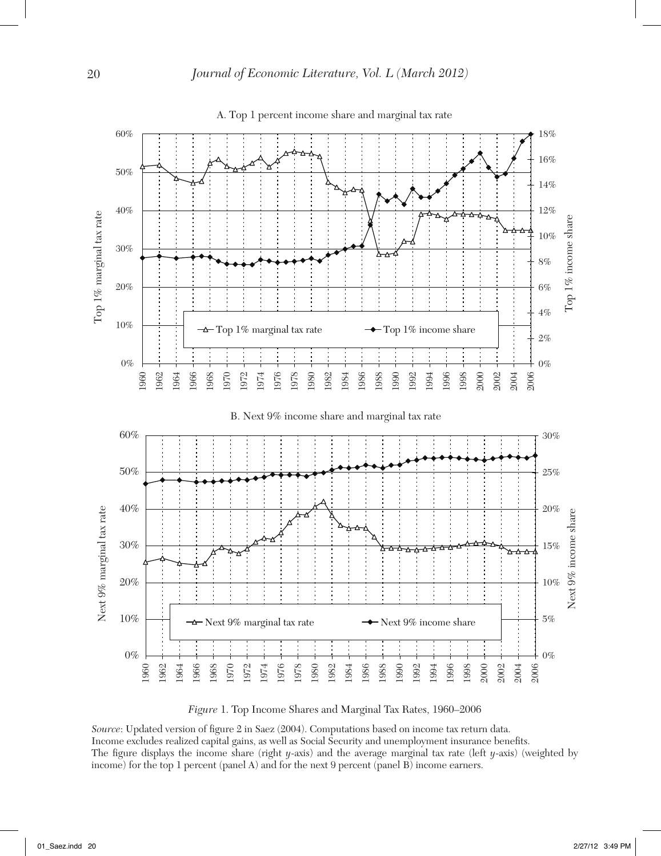

A. Top 1 percent income share and marginal tax rate

*Figure* 1. Top Income Shares and Marginal Tax Rates, 1960–2006

*Source*: Updated version of figure 2 in Saez (2004). Computations based on income tax return data. Income excludes realized capital gains, as well as Social Security and unemployment insurance benefits. The figure displays the income share (right *y*-axis) and the average marginal tax rate (left *y*-axis) (weighted by income) for the top 1 percent (panel A) and for the next 9 percent (panel B) income earners.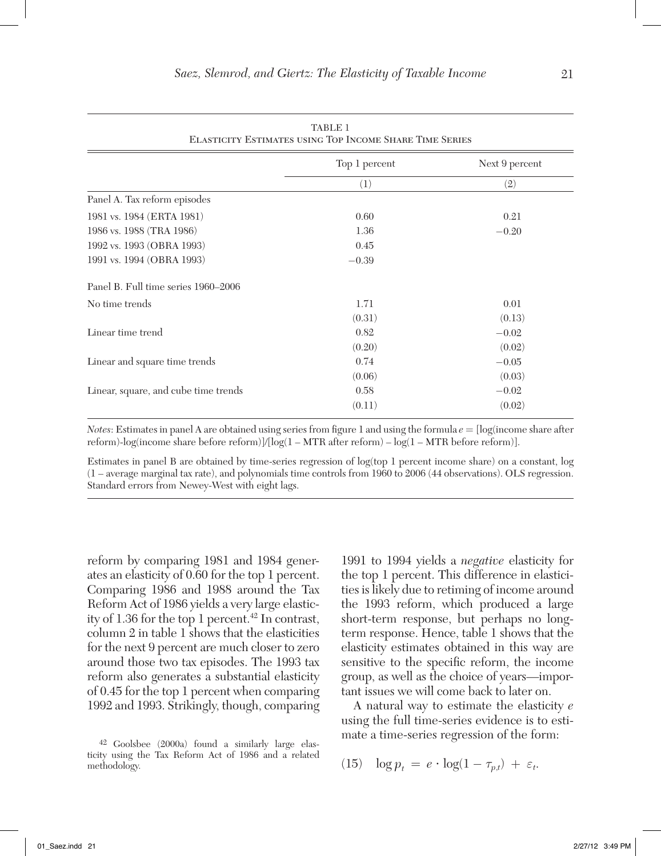|                                      | Top 1 percent | Next 9 percent |
|--------------------------------------|---------------|----------------|
|                                      | (1)           | (2)            |
| Panel A. Tax reform episodes         |               |                |
| 1981 vs. 1984 (ERTA 1981)            | 0.60          | 0.21           |
| 1986 vs. 1988 (TRA 1986)             | 1.36          | $-0.20$        |
| 1992 vs. 1993 (OBRA 1993)            | 0.45          |                |
| 1991 vs. 1994 (OBRA 1993)            | $-0.39$       |                |
| Panel B. Full time series 1960–2006  |               |                |
| No time trends                       | 1.71          | 0.01           |
|                                      | (0.31)        | (0.13)         |
| Linear time trend                    | 0.82          | $-0.02$        |
|                                      | (0.20)        | (0.02)         |
| Linear and square time trends        | 0.74          | $-0.05$        |
|                                      | (0.06)        | (0.03)         |
| Linear, square, and cube time trends | 0.58          | $-0.02$        |
|                                      | (0.11)        | (0.02)         |

|                                                         |  | TABLE 1 |  |  |
|---------------------------------------------------------|--|---------|--|--|
| ELASTICITY ESTIMATES USING TOP INCOME SHARE TIME SERIES |  |         |  |  |

*Notes*: Estimates in panel A are obtained using series from figure 1 and using the formula *e* = [log(income share after reform)-log(income share before reform)]/ $\lfloor log(1 - MTR \text{ after reform}) - log(1 - MTR \text{ before reform}) \rfloor$ .

Estimates in panel B are obtained by time-series regression of log(top 1 percent income share) on a constant, log (1 – average marginal tax rate), and polynomials time controls from 1960 to 2006 (44 observations). OLS regression. Standard errors from Newey-West with eight lags.

reform by comparing 1981 and 1984 generates an elasticity of 0.60 for the top 1 percent. Comparing 1986 and 1988 around the Tax Reform Act of 1986 yields a very large elasticity of 1.36 for the top 1 percent.<sup>42</sup> In contrast, column 2 in table 1 shows that the elasticities for the next 9 percent are much closer to zero around those two tax episodes. The 1993 tax reform also generates a substantial elasticity of 0.45 for the top 1 percent when comparing 1992 and 1993. Strikingly, though, comparing 1991 to 1994 yields a *negative* elasticity for the top 1 percent. This difference in elasticities is likely due to retiming of income around the 1993 reform, which produced a large short-term response, but perhaps no longterm response. Hence, table 1 shows that the elasticity estimates obtained in this way are sensitive to the specific reform, the income group, as well as the choice of years—important issues we will come back to later on.

A natural way to estimate the elasticity *e* using the full time-series evidence is to estimate a time-series regression of the form:

$$
(15) \quad \log p_t = e \cdot \log(1 - \tau_{p,t}) + \varepsilon_t.
$$

<sup>42</sup> Goolsbee (2000a) found a similarly large elasticity using the Tax Reform Act of 1986 and a related methodology.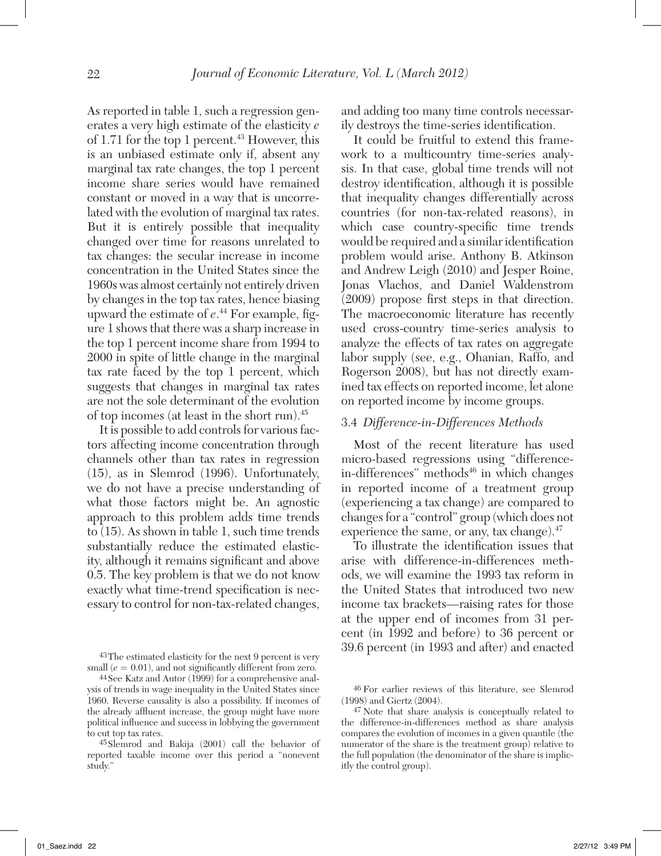As reported in table 1, such a regression generates a very high estimate of the elasticity *e* of 1.71 for the top 1 percent.<sup>43</sup> However, this is an unbiased estimate only if, absent any marginal tax rate changes, the top 1 percent income share series would have remained constant or moved in a way that is uncorrelated with the evolution of marginal tax rates. But it is entirely possible that inequality changed over time for reasons unrelated to tax changes: the secular increase in income concentration in the United States since the 1960s was almost certainly not entirely driven by changes in the top tax rates, hence biasing upward the estimate of *e*. 44 For example, figure 1 shows that there was a sharp increase in the top 1 percent income share from 1994 to 2000 in spite of little change in the marginal tax rate faced by the top 1 percent, which suggests that changes in marginal tax rates are not the sole determinant of the evolution of top incomes (at least in the short run).45

It is possible to add controls for various factors affecting income concentration through channels other than tax rates in regression (15), as in Slemrod (1996). Unfortunately, we do not have a precise understanding of what those factors might be. An agnostic approach to this problem adds time trends to (15). As shown in table 1, such time trends substantially reduce the estimated elasticity, although it remains significant and above 0.5. The key problem is that we do not know exactly what time-trend specification is necessary to control for non-tax-related changes,

<sup>43</sup>The estimated elasticity for the next 9 percent is very small ( $e = 0.01$ ), and not significantly different from zero.

and adding too many time controls necessarily destroys the time-series identification.

It could be fruitful to extend this framework to a multicountry time-series analysis. In that case, global time trends will not destroy identification, although it is possible that inequality changes differentially across countries (for non-tax-related reasons), in which case country-specific time trends would be required and a similar identification problem would arise. Anthony B. Atkinson and Andrew Leigh (2010) and Jesper Roine, Jonas Vlachos, and Daniel Waldenstrom (2009) propose first steps in that direction. The macroeconomic literature has recently used cross-country time-series analysis to analyze the effects of tax rates on aggregate labor supply (see, e.g., Ohanian, Raffo, and Rogerson 2008), but has not directly examined tax effects on reported income, let alone on reported income by income groups.

#### 3.4 *Difference-in-Differences Methods*

Most of the recent literature has used micro-based regressions using "differencein-differences" methods<sup>46</sup> in which changes in reported income of a treatment group (experiencing a tax change) are compared to changes for a "control" group (which does not experience the same, or any, tax change).<sup>47</sup>

To illustrate the identification issues that arise with difference-in-differences methods, we will examine the 1993 tax reform in the United States that introduced two new income tax brackets—raising rates for those at the upper end of incomes from 31 percent (in 1992 and before) to 36 percent or 39.6 percent (in 1993 and after) and enacted

<sup>&</sup>lt;sup>44</sup> See Katz and Autor (1999) for a comprehensive analysis of trends in wage inequality in the United States since 1960. Reverse causality is also a possibility. If incomes of the already affluent increase, the group might have more political influence and success in lobbying the government to cut top tax rates.

<sup>45</sup>Slemrod and Bakija (2001) call the behavior of reported taxable income over this period a "nonevent study."

<sup>46</sup> For earlier reviews of this literature, see Slemrod (1998) and Giertz (2004).

<sup>47</sup> Note that share analysis is conceptually related to the difference-in-differences method as share analysis compares the evolution of incomes in a given quantile (the numerator of the share is the treatment group) relative to the full population (the denominator of the share is implicitly the control group).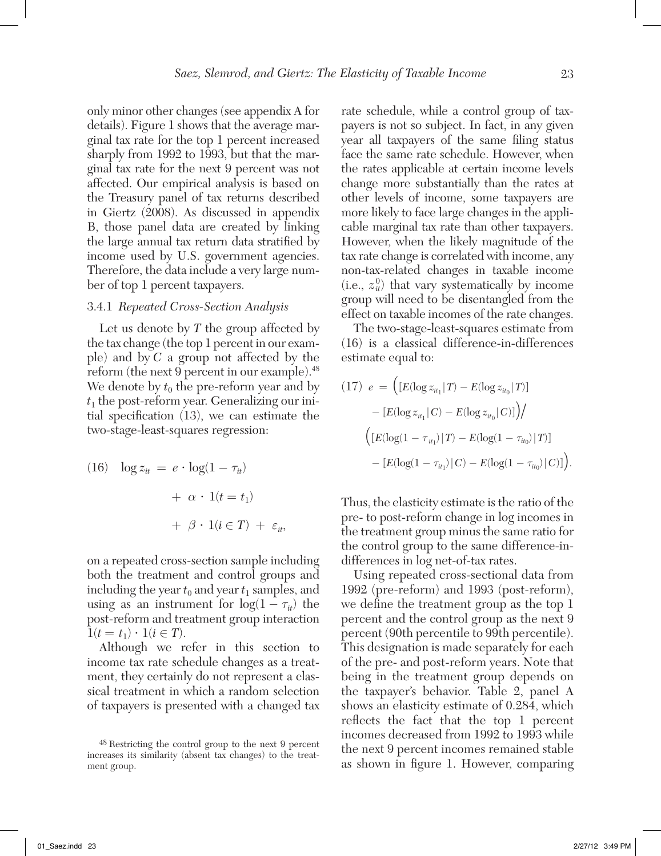only minor other changes (see appendix A for details). Figure 1 shows that the average marginal tax rate for the top 1 percent increased sharply from 1992 to 1993, but that the marginal tax rate for the next 9 percent was not affected. Our empirical analysis is based on the Treasury panel of tax returns described in Giertz (2008). As discussed in appendix B, those panel data are created by linking the large annual tax return data stratified by income used by U.S. government agencies. Therefore, the data include a very large number of top 1 percent taxpayers.

## 3.4.1 *Repeated Cross-Section Analysis*

Let us denote by *T* the group affected by the tax change (the top 1 percent in our example) and by *C* a group not affected by the reform (the next 9 percent in our example).48 We denote by  $t_0$  the pre-reform year and by  $t_1$  the post-reform year. Generalizing our initial specification (13), we can estimate the two-stage-least-squares regression:

(16) 
$$
\log z_{it} = e \cdot \log(1 - \tau_{it})
$$

$$
+ \alpha \cdot 1(t = t_1)
$$

$$
+ \beta \cdot 1(i \in T) + \varepsilon_{it},
$$

on a repeated cross-section sample including both the treatment and control groups and including the year  $t_0$  and year  $t_1$  samples, and using as an instrument for  $log(1 - \tau_{it})$  the post-reform and treatment group interaction  $1(t = t_1) \cdot 1(i \in T)$ .

Although we refer in this section to income tax rate schedule changes as a treatment, they certainly do not represent a classical treatment in which a random selection of taxpayers is presented with a changed tax

rate schedule, while a control group of taxpayers is not so subject. In fact, in any given year all taxpayers of the same filing status face the same rate schedule. However, when the rates applicable at certain income levels change more substantially than the rates at other levels of income, some taxpayers are more likely to face large changes in the applicable marginal tax rate than other taxpayers. However, when the likely magnitude of the tax rate change is correlated with income, any non-tax-related changes in taxable income  $(i.e., z_{it}^0)$  that vary systematically by income group will need to be disentangled from the effect on taxable incomes of the rate changes.

The two-stage-least-squares estimate from (16) is a classical difference-in-differences estimate equal to:

$$
(17) e = ([E(\log z_{it_1}|T) - E(\log z_{it_0}|T)]
$$

$$
- [E(\log z_{it_1}|C) - E(\log z_{it_0}|C)])/
$$

$$
([E(\log(1 - \tau_{it_1})|T) - E(\log(1 - \tau_{it_0})|T)]
$$

$$
- [E(\log(1 - \tau_{it_1})|C) - E(\log(1 - \tau_{it_0})|C)]).
$$

Thus, the elasticity estimate is the ratio of the pre- to post-reform change in log incomes in the treatment group minus the same ratio for the control group to the same difference-indifferences in log net-of-tax rates.

Using repeated cross-sectional data from 1992 (pre-reform) and 1993 (post-reform), we define the treatment group as the top 1 percent and the control group as the next 9 percent (90th percentile to 99th percentile). This designation is made separately for each of the pre- and post-reform years. Note that being in the treatment group depends on the taxpayer's behavior. Table 2, panel A shows an elasticity estimate of 0.284, which reflects the fact that the top 1 percent incomes decreased from 1992 to 1993 while the next 9 percent incomes remained stable as shown in figure 1. However, comparing

<sup>48</sup> Restricting the control group to the next 9 percent increases its similarity (absent tax changes) to the treatment group.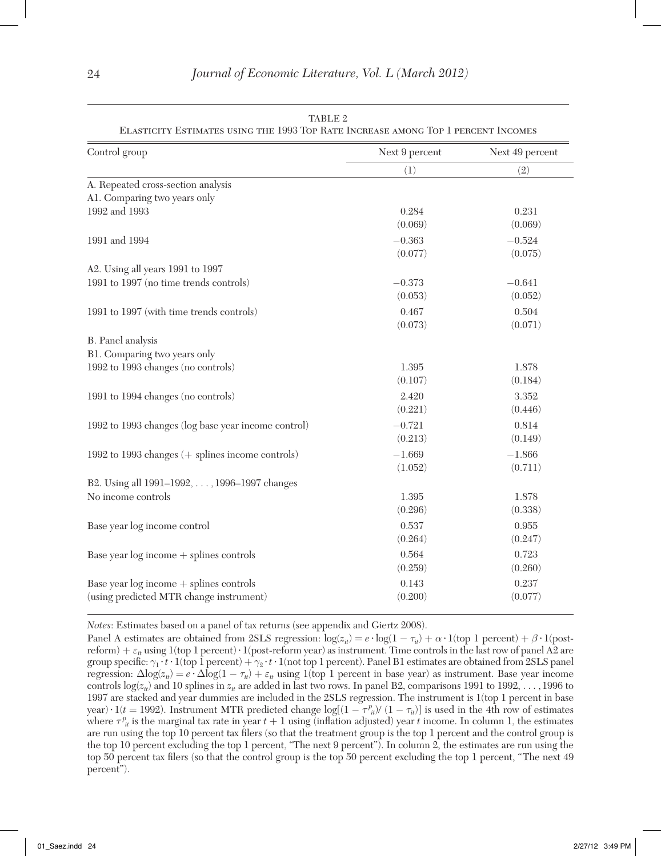| Control group                                                      | Next 9 percent | Next 49 percent |  |
|--------------------------------------------------------------------|----------------|-----------------|--|
|                                                                    | (1)            | (2)             |  |
| A. Repeated cross-section analysis                                 |                |                 |  |
| A1. Comparing two years only                                       |                |                 |  |
| 1992 and 1993                                                      | 0.284          | 0.231           |  |
|                                                                    | (0.069)        | (0.069)         |  |
| $1991$ and $1994\,$                                                | $-0.363$       | $-0.524$        |  |
|                                                                    | (0.077)        | (0.075)         |  |
| A2. Using all years 1991 to 1997                                   |                |                 |  |
| 1991 to 1997 (no time trends controls)                             | $-0.373$       | $-0.641$        |  |
|                                                                    | (0.053)        | (0.052)         |  |
| 1991 to 1997 (with time trends controls)                           | 0.467          | 0.504           |  |
|                                                                    | (0.073)        | (0.071)         |  |
| B. Panel analysis                                                  |                |                 |  |
| B1. Comparing two years only                                       |                |                 |  |
| 1992 to 1993 changes (no controls)                                 | 1.395          | 1.878           |  |
|                                                                    | (0.107)        | (0.184)         |  |
| 1991 to 1994 changes (no controls)                                 | 2.420          | 3.352           |  |
|                                                                    | (0.221)        | (0.446)         |  |
| 1992 to 1993 changes (log base year income control)                | $-0.721$       | 0.814           |  |
|                                                                    | (0.213)        | (0.149)         |  |
| 1992 to 1993 changes $(+)$ splines income controls)                | $-1.669$       | $-1.866$        |  |
|                                                                    | (1.052)        | (0.711)         |  |
|                                                                    |                |                 |  |
| B2. Using all 1991-1992, , 1996-1997 changes<br>No income controls | 1.395          | 1.878           |  |
|                                                                    | (0.296)        | (0.338)         |  |
|                                                                    |                |                 |  |
| Base year log income control                                       | 0.537          | 0.955           |  |
|                                                                    | (0.264)        | (0.247)         |  |
| Base year $log$ income $+$ splines controls                        | 0.564          | 0.723           |  |
|                                                                    | (0.259)        | (0.260)         |  |
| Base year $log$ income $+$ splines controls                        | 0.143          | 0.237           |  |
| (using predicted MTR change instrument)                            | (0.200)        | (0.077)         |  |

Table 2

*Notes*: Estimates based on a panel of tax returns (see appendix and Giertz 2008).

Panel A estimates are obtained from 2SLS regression:  $\log(z_{it}) = e \cdot \log(1 - \tau_{it}) + \alpha \cdot 1$ (top 1 percent) +  $\beta \cdot 1$ (postreform) + ε*it* using 1(top 1 percent)·1(post-reform year) as instrument. Time controls in the last row of panel A2 are group specific: γ<sup>1</sup> ·*t*· 1(top 1 percent) + γ<sup>2</sup> ·*t*·1(not top 1 percent). Panel B1 estimates are obtained from 2SLS panel regression:  $\Delta$ log( $z_{tt}$ ) = *e* ·  $\Delta$ log( $1 - \tau_{tt}$ ) +  $\varepsilon_{tt}$  using 1(top 1 percent in base year) as instrument. Base year income controls  $log(z_{it})$  and 10 splines in  $z_{it}$  are added in last two rows. In panel B2, comparisons 1991 to 1992, . . . , 1996 to 1997 are stacked and year dummies are included in the 2SLS regression. The instrument is 1(top 1 percent in base year)·1( $t = 1992$ ). Instrument MTR predicted change  $log[(1 - \tau_{it}^p)/(1 - \tau_{it})]$  is used in the 4th row of estimates where  $\tau_{it}^p$  is the marginal tax rate in year  $t + 1$  using (inflation adjusted) year  $t$  income. In column 1, the estimates are run using the top 10 percent tax filers (so that the treatment group is the top 1 percent and the control group is the top 10 percent excluding the top 1 percent, "The next 9 percent"). In column 2, the estimates are run using the top 50 percent tax filers (so that the control group is the top 50 percent excluding the top 1 percent, "The next 49 percent").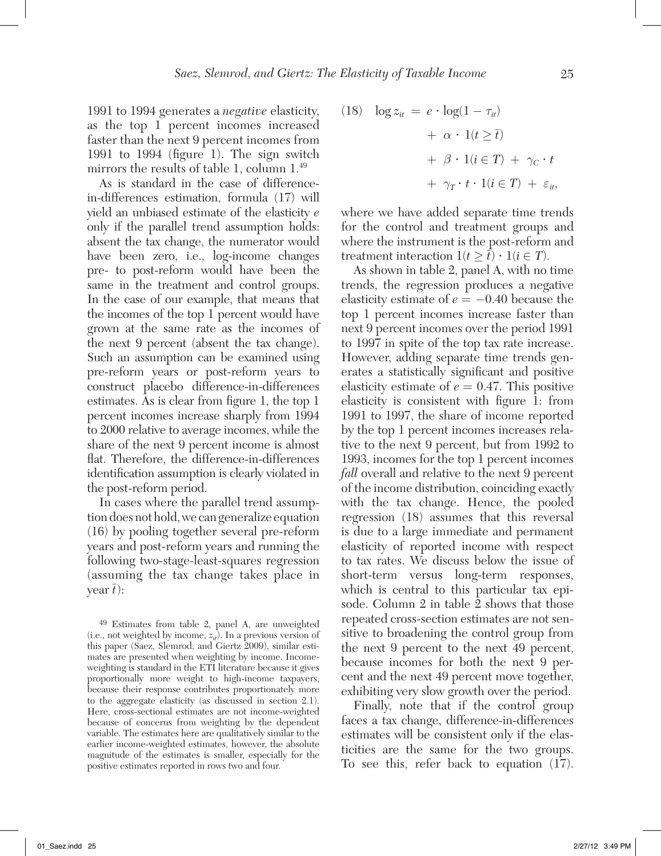1991 to 1994 generates a *negative* elasticity, as the top 1 percent incomes increased faster than the next 9 percent incomes from 1991 to 1994 (figure 1). The sign switch mirrors the results of table 1, column  $1.^{49}$ 

As is standard in the case of differencein-differences estimation, formula (17) will yield an unbiased estimate of the elasticity *e* only if the parallel trend assumption holds: absent the tax change, the numerator would have been zero, i.e., log-income changes pre- to post-reform would have been the same in the treatment and control groups. In the case of our example, that means that the incomes of the top 1 percent would have grown at the same rate as the incomes of the next 9 percent (absent the tax change). Such an assumption can be examined using pre-reform years or post-reform years to construct placebo difference-in-differences estimates. As is clear from figure 1, the top 1 percent incomes increase sharply from 1994 to 2000 relative to average incomes, while the share of the next 9 percent income is almost flat. Therefore, the difference-in-differences identification assumption is clearly violated in the post-reform period.

In cases where the parallel trend assumption does not hold, we can generalize equation (16) by pooling together several pre-reform years and post-reform years and running the following two-stage-least-squares regression (assuming the tax change takes place in  $\chi$  ear  $\bar{t}$ ):

(18) 
$$
\log z_{it} = e \cdot \log(1 - \tau_{it})
$$

$$
+ \alpha \cdot 1(t \geq \overline{t})
$$

$$
+ \beta \cdot 1(i \in T) + \gamma_C \cdot t
$$

$$
+ \gamma_T \cdot t \cdot 1(i \in T) + \varepsilon_{it},
$$

where we have added separate time trends for the control and treatment groups and where the instrument is the post-reform and treatment interaction  $1(t \geq \overline{t}) \cdot 1(i \in T)$ .

As shown in table 2, panel A, with no time trends, the regression produces a negative elasticity estimate of  $e = -0.40$  because the top 1 percent incomes increase faster than next 9 percent incomes over the period 1991 to 1997 in spite of the top tax rate increase. However, adding separate time trends generates a statistically significant and positive elasticity estimate of  $e = 0.47$ . This positive elasticity is consistent with figure 1: from 1991 to 1997, the share of income reported by the top 1 percent incomes increases relative to the next 9 percent, but from 1992 to 1993, incomes for the top 1 percent incomes *fall* overall and relative to the next 9 percent of the income distribution, coinciding exactly with the tax change. Hence, the pooled regression (18) assumes that this reversal is due to a large immediate and permanent elasticity of reported income with respect to tax rates. We discuss below the issue of short-term versus long-term responses, which is central to this particular tax episode. Column 2 in table 2 shows that those repeated cross-section estimates are not sensitive to broadening the control group from the next 9 percent to the next 49 percent, because incomes for both the next 9 percent and the next 49 percent move together, exhibiting very slow growth over the period.

Finally, note that if the control group faces a tax change, difference-in-differences estimates will be consistent only if the elasticities are the same for the two groups. To see this, refer back to equation (17).

<sup>49</sup> Estimates from table 2, panel A, are unweighted (i.e., not weighted by income,  $z_{it}$ ). In a previous version of this paper (Saez, Slemrod, and Giertz 2009), similar estimates are presented when weighting by income. Incomeweighting is standard in the ETI literature because it gives proportionally more weight to high-income taxpayers, because their response contributes proportionately more to the aggregate elasticity (as discussed in section 2.1). Here, cross-sectional estimates are not income-weighted because of concerns from weighting by the dependent variable. The estimates here are qualitatively similar to the earlier income-weighted estimates, however, the absolute magnitude of the estimates is smaller, especially for the positive estimates reported in rows two and four.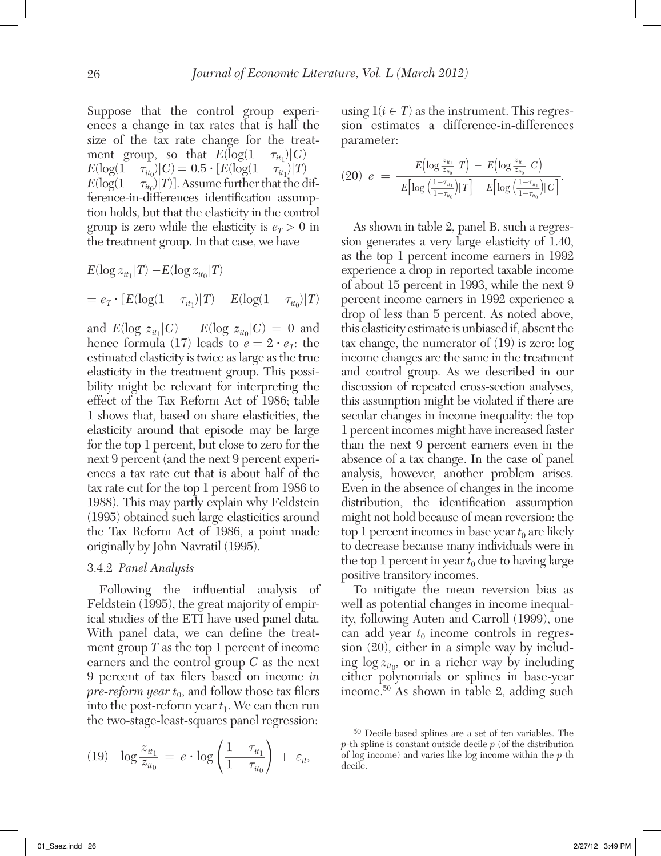Suppose that the control group experiences a change in tax rates that is half the size of the tax rate change for the treatment group, so that  $E(\log(1 - \tau_{it_1})|C)$  –  $E(\log(1 - \tau_{it_0})|C) = 0.5 \cdot [E(\log(1 - \tau_{it_1})|T) E(\log(1 - \tau_{it_0})|T)$ . Assume further that the difference-in-differences identification assumption holds, but that the elasticity in the control group is zero while the elasticity is  $e_T > 0$  in the treatment group. In that case, we have

$$
E(\log z_{it_1}|T) - E(\log z_{it_0}|T)
$$
  
=  $e_T \cdot [E(\log(1 - \tau_{it_1})|T) - E(\log(1 - \tau_{it_0})|T)]$ 

and  $E(\log z_{it_1}|C) - E(\log z_{it_0}|C) = 0$  and hence formula (17) leads to  $e = 2 \cdot e_T$ : the estimated elasticity is twice as large as the true elasticity in the treatment group. This possibility might be relevant for interpreting the effect of the Tax Reform Act of 1986; table 1 shows that, based on share elasticities, the elasticity around that episode may be large for the top 1 percent, but close to zero for the next 9 percent (and the next 9 percent experiences a tax rate cut that is about half of the tax rate cut for the top 1 percent from 1986 to 1988). This may partly explain why Feldstein (1995) obtained such large elasticities around the Tax Reform Act of 1986, a point made originally by John Navratil (1995).

### 3.4.2 *Panel Analysis*

Following the influential analysis of Feldstein (1995), the great majority of empirical studies of the ETI have used panel data. With panel data, we can define the treatment group *T* as the top 1 percent of income earners and the control group *C* as the next 9 percent of tax filers based on income *in pre-reform year*  $t_0$ , and follow those tax filers into the post-reform year  $t_1$ . We can then run

the two-stage-least-squares panel regression:  
(19) 
$$
\log \frac{z_{it_1}}{z_{it_0}} = e \cdot \log \left( \frac{1 - \tau_{it_1}}{1 - \tau_{it_0}} \right) + \varepsilon_{it_0}
$$

using  $1(i \in T)$  as the instrument. This regresparameter:

sion estimates a difference-in-differences  
parameter:  
(20) 
$$
e = \frac{E(\log \frac{z_{u_1}}{z_{u_0}}|T) - E(\log \frac{z_{u_1}}{z_{u_0}}|C)}{E[\log(\frac{1-\tau_{u_1}}{1-\tau_{u_0}})|T] - E[\log(\frac{1-\tau_{u_1}}{1-\tau_{u_0}})|C]}.
$$

As shown in table 2, panel B, such a regression generates a very large elasticity of 1.40, as the top 1 percent income earners in 1992 experience a drop in reported taxable income of about 15 percent in 1993, while the next 9 percent income earners in 1992 experience a drop of less than 5 percent. As noted above, this elasticity estimate is unbiased if, absent the tax change, the numerator of (19) is zero: log income changes are the same in the treatment and control group. As we described in our discussion of repeated cross-section analyses, this assumption might be violated if there are secular changes in income inequality: the top 1 percent incomes might have increased faster than the next 9 percent earners even in the absence of a tax change. In the case of panel analysis, however, another problem arises. Even in the absence of changes in the income distribution, the identification assumption might not hold because of mean reversion: the top 1 percent incomes in base year  $t_0$  are likely to decrease because many individuals were in the top 1 percent in year  $t_0$  due to having large positive transitory incomes.

To mitigate the mean reversion bias as well as potential changes in income inequality, following Auten and Carroll (1999), one can add year  $t_0$  income controls in regression (20), either in a simple way by including  $\log z_{it_0}$ , or in a richer way by including either polynomials or splines in base-year income.50 As shown in table 2, adding such

<sup>50</sup> Decile-based splines are a set of ten variables. The *p*-th spline is constant outside decile *p* (of the distribution of log income) and varies like log income within the *p*-th decile.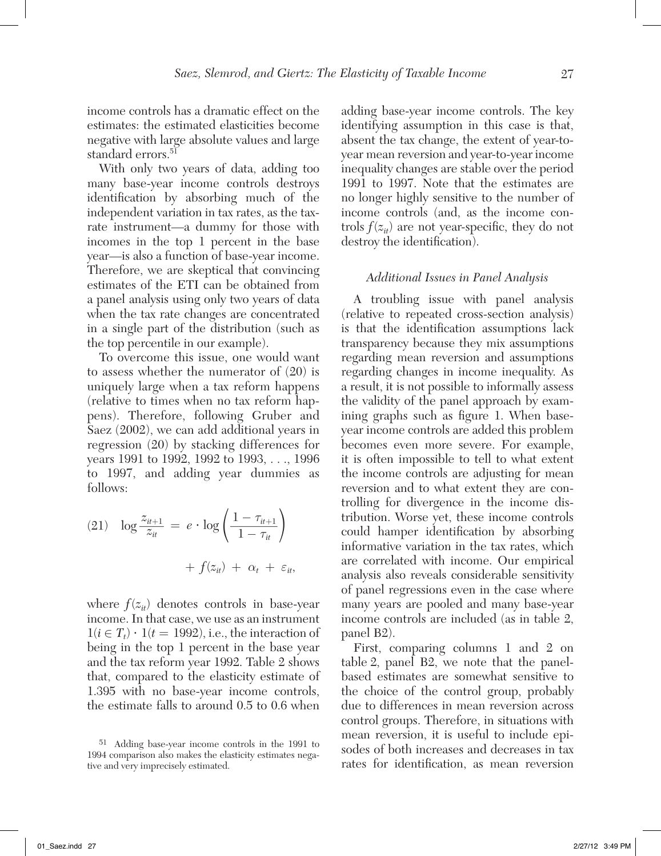income controls has a dramatic effect on the estimates: the estimated elasticities become negative with large absolute values and large standard errors.<sup>51</sup>

With only two years of data, adding too many base-year income controls destroys identification by absorbing much of the independent variation in tax rates, as the taxrate instrument—a dummy for those with incomes in the top 1 percent in the base year—is also a function of base-year income. Therefore, we are skeptical that convincing estimates of the ETI can be obtained from a panel analysis using only two years of data when the tax rate changes are concentrated in a single part of the distribution (such as the top percentile in our example).

To overcome this issue, one would want to assess whether the numerator of (20) is uniquely large when a tax reform happens (relative to times when no tax reform happens). Therefore, following Gruber and Saez (2002), we can add additional years in regression (20) by stacking differences for years 1991 to 1992, 1992 to 1993, . . ., 1996 to 1997, and adding year dummies as follows:

follows:  
\n
$$
(21) \quad \log \frac{z_{it+1}}{z_{it}} = e \cdot \log \left( \frac{1 - \tau_{it+1}}{1 - \tau_{it}} \right) + f(z_{it}) + \alpha_t + \varepsilon_{it},
$$

where  $f(z_{it})$  denotes controls in base-year income. In that case, we use as an instrument  $1(i \in T_t) \cdot 1(t = 1992)$ , i.e., the interaction of being in the top 1 percent in the base year and the tax reform year 1992. Table 2 shows that, compared to the elasticity estimate of 1.395 with no base-year income controls, the estimate falls to around 0.5 to 0.6 when

adding base-year income controls. The key identifying assumption in this case is that, absent the tax change, the extent of year-toyear mean reversion and year-to-year income inequality changes are stable over the period 1991 to 1997. Note that the estimates are no longer highly sensitive to the number of income controls (and, as the income controls  $f(z_{it})$  are not year-specific, they do not destroy the identification).

## *Additional Issues in Panel Analysis*

A troubling issue with panel analysis (relative to repeated cross-section analysis) is that the identification assumptions lack transparency because they mix assumptions regarding mean reversion and assumptions regarding changes in income inequality. As a result, it is not possible to informally assess the validity of the panel approach by examining graphs such as figure 1. When baseyear income controls are added this problem becomes even more severe. For example, it is often impossible to tell to what extent the income controls are adjusting for mean reversion and to what extent they are controlling for divergence in the income distribution. Worse yet, these income controls could hamper identification by absorbing informative variation in the tax rates, which are correlated with income. Our empirical analysis also reveals considerable sensitivity of panel regressions even in the case where many years are pooled and many base-year income controls are included (as in table 2, panel B2).

First, comparing columns 1 and 2 on table 2, panel B2, we note that the panelbased estimates are somewhat sensitive to the choice of the control group, probably due to differences in mean reversion across control groups. Therefore, in situations with mean reversion, it is useful to include episodes of both increases and decreases in tax rates for identification, as mean reversion

<sup>51</sup> Adding base-year income controls in the 1991 to 1994 comparison also makes the elasticity estimates negative and very imprecisely estimated.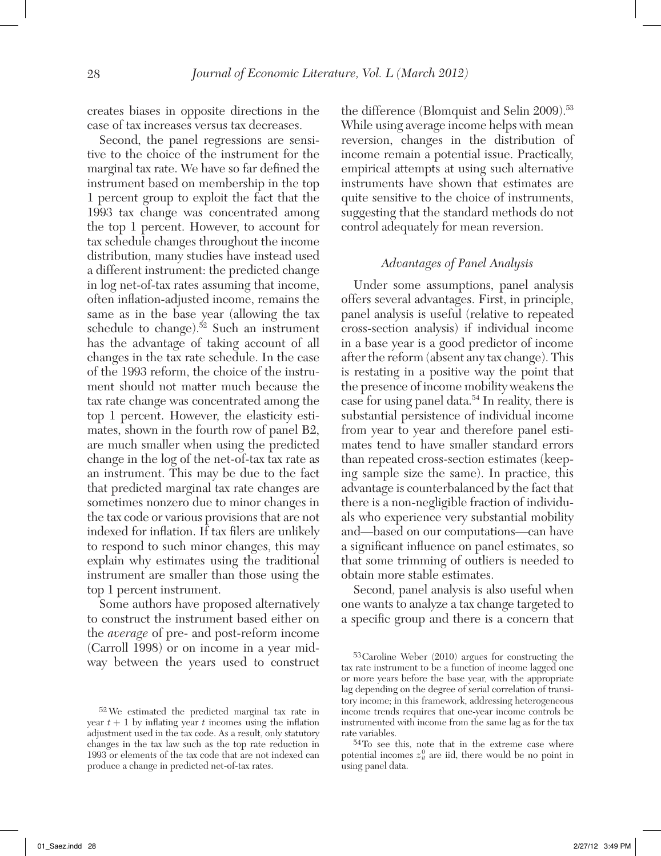creates biases in opposite directions in the case of tax increases versus tax decreases.

Second, the panel regressions are sensitive to the choice of the instrument for the marginal tax rate. We have so far defined the instrument based on membership in the top 1 percent group to exploit the fact that the 1993 tax change was concentrated among the top 1 percent. However, to account for tax schedule changes throughout the income distribution, many studies have instead used a different instrument: the predicted change in log net-of-tax rates assuming that income, often inflation-adjusted income, remains the same as in the base year (allowing the tax schedule to change).<sup>52</sup> Such an instrument has the advantage of taking account of all changes in the tax rate schedule. In the case of the 1993 reform, the choice of the instrument should not matter much because the tax rate change was concentrated among the top 1 percent. However, the elasticity estimates, shown in the fourth row of panel B2, are much smaller when using the predicted change in the log of the net-of-tax tax rate as an instrument. This may be due to the fact that predicted marginal tax rate changes are sometimes nonzero due to minor changes in the tax code or various provisions that are not indexed for inflation. If tax filers are unlikely to respond to such minor changes, this may explain why estimates using the traditional instrument are smaller than those using the top 1 percent instrument.

Some authors have proposed alternatively to construct the instrument based either on the *average* of pre- and post-reform income (Carroll 1998) or on income in a year midway between the years used to construct

the difference (Blomquist and Selin 2009).<sup>53</sup> While using average income helps with mean reversion, changes in the distribution of income remain a potential issue. Practically, empirical attempts at using such alternative instruments have shown that estimates are quite sensitive to the choice of instruments, suggesting that the standard methods do not control adequately for mean reversion.

## *Advantages of Panel Analysis*

Under some assumptions, panel analysis offers several advantages. First, in principle, panel analysis is useful (relative to repeated cross-section analysis) if individual income in a base year is a good predictor of income after the reform (absent any tax change). This is restating in a positive way the point that the presence of income mobility weakens the case for using panel data.<sup>54</sup> In reality, there is substantial persistence of individual income from year to year and therefore panel estimates tend to have smaller standard errors than repeated cross-section estimates (keeping sample size the same). In practice, this advantage is counterbalanced by the fact that there is a non-negligible fraction of individuals who experience very substantial mobility and—based on our computations—can have a significant influence on panel estimates, so that some trimming of outliers is needed to obtain more stable estimates.

Second, panel analysis is also useful when one wants to analyze a tax change targeted to a specific group and there is a concern that

<sup>52</sup> We estimated the predicted marginal tax rate in year  $t + 1$  by inflating year  $t$  incomes using the inflation adjustment used in the tax code. As a result, only statutory changes in the tax law such as the top rate reduction in 1993 or elements of the tax code that are not indexed can produce a change in predicted net-of-tax rates.

<sup>53</sup>Caroline Weber (2010) argues for constructing the tax rate instrument to be a function of income lagged one or more years before the base year, with the appropriate lag depending on the degree of serial correlation of transitory income; in this framework, addressing heterogeneous income trends requires that one-year income controls be instrumented with income from the same lag as for the tax rate variables.

<sup>54</sup>To see this, note that in the extreme case where potential incomes  $z_{it}^0$  are iid, there would be no point in using panel data.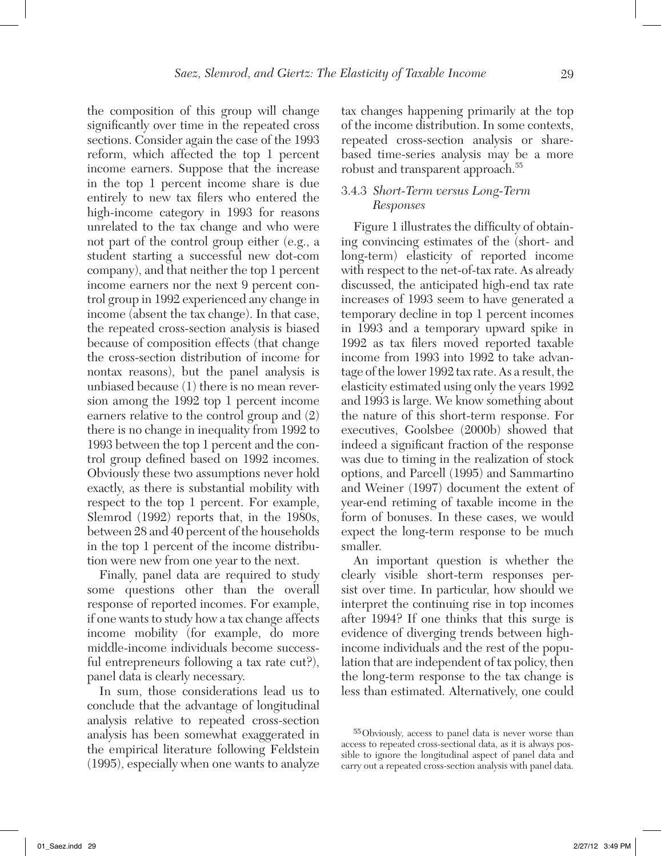the composition of this group will change significantly over time in the repeated cross sections. Consider again the case of the 1993 reform, which affected the top 1 percent income earners. Suppose that the increase in the top 1 percent income share is due entirely to new tax filers who entered the high-income category in 1993 for reasons unrelated to the tax change and who were not part of the control group either (e.g., a student starting a successful new dot-com company), and that neither the top 1 percent income earners nor the next 9 percent control group in 1992 experienced any change in income (absent the tax change). In that case, the repeated cross-section analysis is biased because of composition effects (that change the cross-section distribution of income for nontax reasons), but the panel analysis is unbiased because (1) there is no mean reversion among the 1992 top 1 percent income earners relative to the control group and (2) there is no change in inequality from 1992 to 1993 between the top 1 percent and the control group defined based on 1992 incomes. Obviously these two assumptions never hold exactly, as there is substantial mobility with respect to the top 1 percent. For example, Slemrod (1992) reports that, in the 1980s, between 28 and 40 percent of the households in the top 1 percent of the income distribution were new from one year to the next.

Finally, panel data are required to study some questions other than the overall response of reported incomes. For example, if one wants to study how a tax change affects income mobility (for example, do more middle-income individuals become successful entrepreneurs following a tax rate cut?), panel data is clearly necessary.

In sum, those considerations lead us to conclude that the advantage of longitudinal analysis relative to repeated cross-section analysis has been somewhat exaggerated in the empirical literature following Feldstein (1995), especially when one wants to analyze

tax changes happening primarily at the top of the income distribution. In some contexts, repeated cross-section analysis or sharebased time-series analysis may be a more robust and transparent approach.<sup>55</sup>

# 3.4.3 *Short-Term versus Long-Term Responses*

Figure 1 illustrates the difficulty of obtaining convincing estimates of the (short- and long-term) elasticity of reported income with respect to the net-of-tax rate. As already discussed, the anticipated high-end tax rate increases of 1993 seem to have generated a temporary decline in top 1 percent incomes in 1993 and a temporary upward spike in 1992 as tax filers moved reported taxable income from 1993 into 1992 to take advantage of the lower 1992 tax rate. As a result, the elasticity estimated using only the years 1992 and 1993 is large. We know something about the nature of this short-term response. For executives, Goolsbee (2000b) showed that indeed a significant fraction of the response was due to timing in the realization of stock options, and Parcell (1995) and Sammartino and Weiner (1997) document the extent of year-end retiming of taxable income in the form of bonuses. In these cases, we would expect the long-term response to be much smaller.

An important question is whether the clearly visible short-term responses persist over time. In particular, how should we interpret the continuing rise in top incomes after 1994? If one thinks that this surge is evidence of diverging trends between highincome individuals and the rest of the population that are independent of tax policy, then the long-term response to the tax change is less than estimated. Alternatively, one could

<sup>55</sup>Obviously, access to panel data is never worse than access to repeated cross-sectional data, as it is always possible to ignore the longitudinal aspect of panel data and carry out a repeated cross-section analysis with panel data.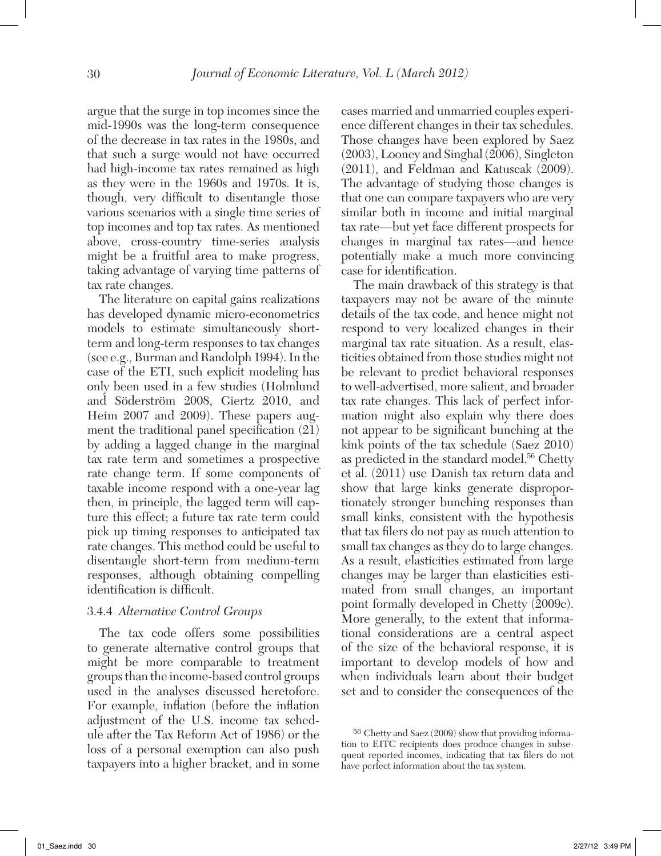argue that the surge in top incomes since the mid-1990s was the long-term consequence of the decrease in tax rates in the 1980s, and that such a surge would not have occurred had high-income tax rates remained as high as they were in the 1960s and 1970s. It is, though, very difficult to disentangle those various scenarios with a single time series of top incomes and top tax rates. As mentioned above, cross-country time-series analysis might be a fruitful area to make progress, taking advantage of varying time patterns of tax rate changes.

The literature on capital gains realizations has developed dynamic micro-econometrics models to estimate simultaneously shortterm and long-term responses to tax changes (see e.g., Burman and Randolph 1994). In the case of the ETI, such explicit modeling has only been used in a few studies (Holmlund and Söderström 2008, Giertz 2010, and Heim 2007 and 2009). These papers augment the traditional panel specification (21) by adding a lagged change in the marginal tax rate term and sometimes a prospective rate change term. If some components of taxable income respond with a one-year lag then, in principle, the lagged term will capture this effect; a future tax rate term could pick up timing responses to anticipated tax rate changes. This method could be useful to disentangle short-term from medium-term responses, although obtaining compelling identification is difficult.

#### 3.4.4 *Alternative Control Groups*

The tax code offers some possibilities to generate alternative control groups that might be more comparable to treatment groups than the income-based control groups used in the analyses discussed heretofore. For example, inflation (before the inflation adjustment of the U.S. income tax schedule after the Tax Reform Act of 1986) or the loss of a personal exemption can also push taxpayers into a higher bracket, and in some

cases married and unmarried couples experience different changes in their tax schedules. Those changes have been explored by Saez (2003), Looney and Singhal (2006), Singleton (2011), and Feldman and Katuscak (2009). The advantage of studying those changes is that one can compare taxpayers who are very similar both in income and initial marginal tax rate—but yet face different prospects for changes in marginal tax rates—and hence potentially make a much more convincing case for identification.

The main drawback of this strategy is that taxpayers may not be aware of the minute details of the tax code, and hence might not respond to very localized changes in their marginal tax rate situation. As a result, elasticities obtained from those studies might not be relevant to predict behavioral responses to well-advertised, more salient, and broader tax rate changes. This lack of perfect information might also explain why there does not appear to be significant bunching at the kink points of the tax schedule (Saez 2010) as predicted in the standard model.<sup>56</sup> Chetty et al. (2011) use Danish tax return data and show that large kinks generate disproportionately stronger bunching responses than small kinks, consistent with the hypothesis that tax filers do not pay as much attention to small tax changes as they do to large changes. As a result, elasticities estimated from large changes may be larger than elasticities estimated from small changes, an important point formally developed in Chetty (2009c). More generally, to the extent that informational considerations are a central aspect of the size of the behavioral response, it is important to develop models of how and when individuals learn about their budget set and to consider the consequences of the

<sup>56</sup> Chetty and Saez (2009) show that providing information to EITC recipients does produce changes in subsequent reported incomes, indicating that tax filers do not have perfect information about the tax system.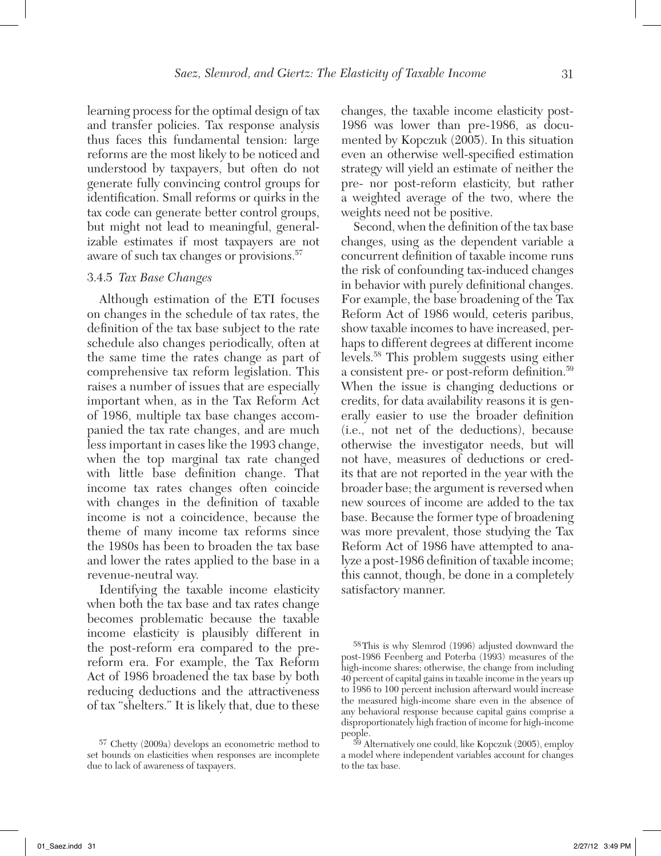learning process for the optimal design of tax and transfer policies. Tax response analysis thus faces this fundamental tension: large reforms are the most likely to be noticed and understood by taxpayers, but often do not generate fully convincing control groups for identification. Small reforms or quirks in the tax code can generate better control groups, but might not lead to meaningful, generalizable estimates if most taxpayers are not aware of such tax changes or provisions.<sup>57</sup>

#### 3.4.5 *Tax Base Changes*

Although estimation of the ETI focuses on changes in the schedule of tax rates, the definition of the tax base subject to the rate schedule also changes periodically, often at the same time the rates change as part of comprehensive tax reform legislation. This raises a number of issues that are especially important when, as in the Tax Reform Act of 1986, multiple tax base changes accompanied the tax rate changes, and are much less important in cases like the 1993 change, when the top marginal tax rate changed with little base definition change. That income tax rates changes often coincide with changes in the definition of taxable income is not a coincidence, because the theme of many income tax reforms since the 1980s has been to broaden the tax base and lower the rates applied to the base in a revenue-neutral way.

Identifying the taxable income elasticity when both the tax base and tax rates change becomes problematic because the taxable income elasticity is plausibly different in the post-reform era compared to the prereform era. For example, the Tax Reform Act of 1986 broadened the tax base by both reducing deductions and the attractiveness of tax "shelters." It is likely that, due to these

changes, the taxable income elasticity post-1986 was lower than pre-1986, as documented by Kopczuk (2005). In this situation even an otherwise well-specified estimation strategy will yield an estimate of neither the pre- nor post-reform elasticity, but rather a weighted average of the two, where the weights need not be positive.

Second, when the definition of the tax base changes, using as the dependent variable a concurrent definition of taxable income runs the risk of confounding tax-induced changes in behavior with purely definitional changes. For example, the base broadening of the Tax Reform Act of 1986 would, ceteris paribus, show taxable incomes to have increased, perhaps to different degrees at different income levels.58 This problem suggests using either a consistent pre- or post-reform definition.59 When the issue is changing deductions or credits, for data availability reasons it is generally easier to use the broader definition (i.e., not net of the deductions), because otherwise the investigator needs, but will not have, measures of deductions or credits that are not reported in the year with the broader base; the argument is reversed when new sources of income are added to the tax base. Because the former type of broadening was more prevalent, those studying the Tax Reform Act of 1986 have attempted to analyze a post-1986 definition of taxable income; this cannot, though, be done in a completely satisfactory manner.

<sup>57</sup> Chetty (2009a) develops an econometric method to set bounds on elasticities when responses are incomplete due to lack of awareness of taxpayers.

<sup>58</sup>This is why Slemrod (1996) adjusted downward the post-1986 Feenberg and Poterba (1993) measures of the high-income shares; otherwise, the change from including 40 percent of capital gains in taxable income in the years up to 1986 to 100 percent inclusion afterward would increase the measured high-income share even in the absence of any behavioral response because capital gains comprise a disproportionately high fraction of income for high-income people.

<sup>59</sup> Alternatively one could, like Kopczuk (2005), employ a model where independent variables account for changes to the tax base.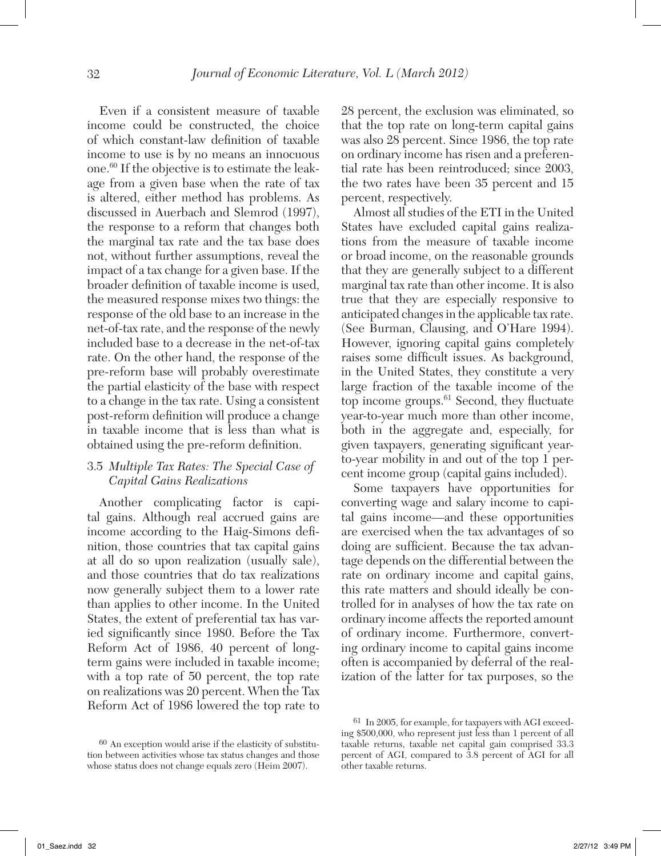Even if a consistent measure of taxable income could be constructed, the choice of which constant-law definition of taxable income to use is by no means an innocuous one.60 If the objective is to estimate the leakage from a given base when the rate of tax is altered, either method has problems. As discussed in Auerbach and Slemrod (1997), the response to a reform that changes both the marginal tax rate and the tax base does not, without further assumptions, reveal the impact of a tax change for a given base. If the broader definition of taxable income is used, the measured response mixes two things: the response of the old base to an increase in the net-of-tax rate, and the response of the newly included base to a decrease in the net-of-tax rate. On the other hand, the response of the pre-reform base will probably overestimate the partial elasticity of the base with respect to a change in the tax rate. Using a consistent post-reform definition will produce a change in taxable income that is less than what is obtained using the pre-reform definition.

# 3.5 *Multiple Tax Rates: The Special Case of Capital Gains Realizations*

Another complicating factor is capital gains. Although real accrued gains are income according to the Haig-Simons definition, those countries that tax capital gains at all do so upon realization (usually sale), and those countries that do tax realizations now generally subject them to a lower rate than applies to other income. In the United States, the extent of preferential tax has varied significantly since 1980. Before the Tax Reform Act of 1986, 40 percent of longterm gains were included in taxable income; with a top rate of 50 percent, the top rate on realizations was 20 percent. When the Tax Reform Act of 1986 lowered the top rate to

28 percent, the exclusion was eliminated, so that the top rate on long-term capital gains was also 28 percent. Since 1986, the top rate on ordinary income has risen and a preferential rate has been reintroduced; since 2003, the two rates have been 35 percent and 15 percent, respectively.

Almost all studies of the ETI in the United States have excluded capital gains realizations from the measure of taxable income or broad income, on the reasonable grounds that they are generally subject to a different marginal tax rate than other income. It is also true that they are especially responsive to anticipated changes in the applicable tax rate. (See Burman, Clausing, and O'Hare 1994). However, ignoring capital gains completely raises some difficult issues. As background, in the United States, they constitute a very large fraction of the taxable income of the top income groups.<sup>61</sup> Second, they fluctuate year-to-year much more than other income, both in the aggregate and, especially, for given taxpayers, generating significant yearto-year mobility in and out of the top 1 percent income group (capital gains included).

Some taxpayers have opportunities for converting wage and salary income to capital gains income—and these opportunities are exercised when the tax advantages of so doing are sufficient. Because the tax advantage depends on the differential between the rate on ordinary income and capital gains, this rate matters and should ideally be controlled for in analyses of how the tax rate on ordinary income affects the reported amount of ordinary income. Furthermore, converting ordinary income to capital gains income often is accompanied by deferral of the realization of the latter for tax purposes, so the

<sup>60</sup> An exception would arise if the elasticity of substitution between activities whose tax status changes and those whose status does not change equals zero (Heim 2007).

<sup>61</sup> In 2005, for example, for taxpayers with AGI exceeding \$500,000, who represent just less than 1 percent of all taxable returns, taxable net capital gain comprised 33.3 percent of AGI, compared to 3.8 percent of AGI for all other taxable returns.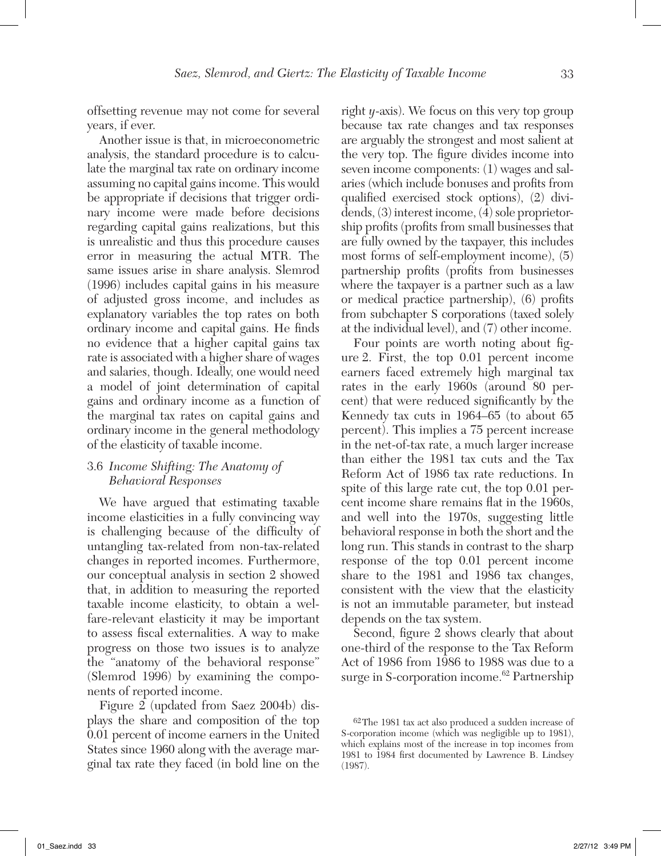offsetting revenue may not come for several years, if ever.

Another issue is that, in microeconometric analysis, the standard procedure is to calculate the marginal tax rate on ordinary income assuming no capital gains income. This would be appropriate if decisions that trigger ordinary income were made before decisions regarding capital gains realizations, but this is unrealistic and thus this procedure causes error in measuring the actual MTR. The same issues arise in share analysis. Slemrod (1996) includes capital gains in his measure of adjusted gross income, and includes as explanatory variables the top rates on both ordinary income and capital gains. He finds no evidence that a higher capital gains tax rate is associated with a higher share of wages and salaries, though. Ideally, one would need a model of joint determination of capital gains and ordinary income as a function of the marginal tax rates on capital gains and ordinary income in the general methodology of the elasticity of taxable income.

# 3.6 *Income Shifting: The Anatomy of Behavioral Responses*

We have argued that estimating taxable income elasticities in a fully convincing way is challenging because of the difficulty of untangling tax-related from non-tax-related changes in reported incomes. Furthermore, our conceptual analysis in section 2 showed that, in addition to measuring the reported taxable income elasticity, to obtain a welfare-relevant elasticity it may be important to assess fiscal externalities. A way to make progress on those two issues is to analyze the "anatomy of the behavioral response" (Slemrod 1996) by examining the components of reported income.

Figure 2 (updated from Saez 2004b) displays the share and composition of the top 0.01 percent of income earners in the United States since 1960 along with the average marginal tax rate they faced (in bold line on the right *y*-axis). We focus on this very top group because tax rate changes and tax responses are arguably the strongest and most salient at the very top. The figure divides income into seven income components: (1) wages and salaries (which include bonuses and profits from qualified exercised stock options), (2) dividends, (3) interest income, (4) sole proprietorship profits (profits from small businesses that are fully owned by the taxpayer, this includes most forms of self-employment income), (5) partnership profits (profits from businesses where the taxpayer is a partner such as a law or medical practice partnership), (6) profits from subchapter S corporations (taxed solely at the individual level), and (7) other income.

Four points are worth noting about figure 2. First, the top 0.01 percent income earners faced extremely high marginal tax rates in the early 1960s (around 80 percent) that were reduced significantly by the Kennedy tax cuts in 1964–65 (to about 65 percent). This implies a 75 percent increase in the net-of-tax rate, a much larger increase than either the 1981 tax cuts and the Tax Reform Act of 1986 tax rate reductions. In spite of this large rate cut, the top 0.01 percent income share remains flat in the 1960s, and well into the 1970s, suggesting little behavioral response in both the short and the long run. This stands in contrast to the sharp response of the top 0.01 percent income share to the 1981 and 1986 tax changes, consistent with the view that the elasticity is not an immutable parameter, but instead depends on the tax system.

Second, figure 2 shows clearly that about one-third of the response to the Tax Reform Act of 1986 from 1986 to 1988 was due to a surge in S-corporation income.<sup>62</sup> Partnership

<sup>62</sup>The 1981 tax act also produced a sudden increase of S-corporation income (which was negligible up to 1981), which explains most of the increase in top incomes from 1981 to 1984 first documented by Lawrence B. Lindsey (1987).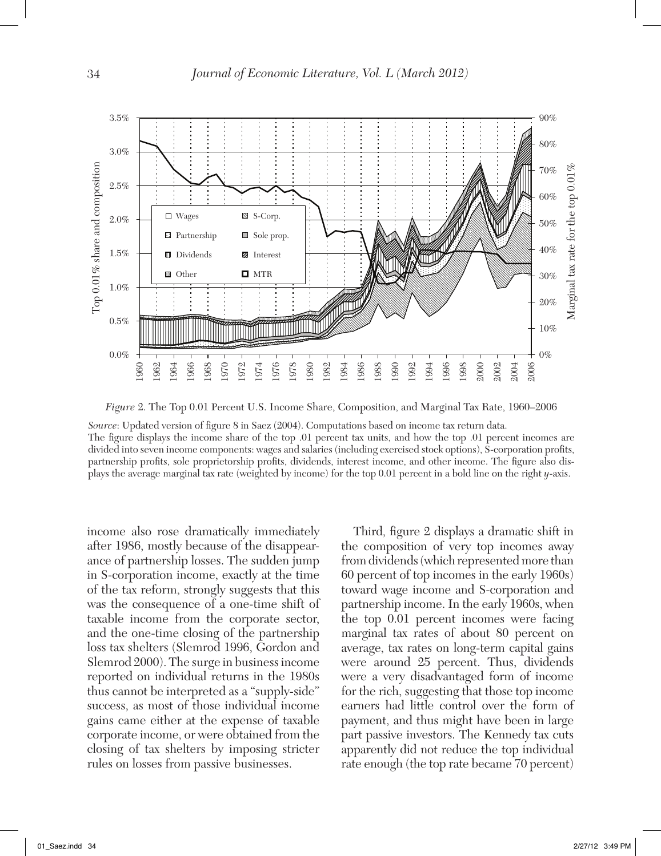

*Figure* 2. The Top 0.01 Percent U.S. Income Share, Composition, and Marginal Tax Rate, 1960–2006

*Source*: Updated version of figure 8 in Saez (2004). Computations based on income tax return data. The figure displays the income share of the top .01 percent tax units, and how the top .01 percent incomes are divided into seven income components: wages and salaries (including exercised stock options), S-corporation profits, partnership profits, sole proprietorship profits, dividends, interest income, and other income. The figure also displays the average marginal tax rate (weighted by income) for the top 0.01 percent in a bold line on the right *y*-axis.

income also rose dramatically immediately after 1986, mostly because of the disappearance of partnership losses. The sudden jump in S-corporation income, exactly at the time of the tax reform, strongly suggests that this was the consequence of a one-time shift of taxable income from the corporate sector, and the one-time closing of the partnership loss tax shelters (Slemrod 1996, Gordon and Slemrod 2000). The surge in business income reported on individual returns in the 1980s thus cannot be interpreted as a "supply-side" success, as most of those individual income gains came either at the expense of taxable corporate income, or were obtained from the closing of tax shelters by imposing stricter rules on losses from passive businesses.

Third, figure 2 displays a dramatic shift in the composition of very top incomes away from dividends (which represented more than 60 percent of top incomes in the early 1960s) toward wage income and S-corporation and partnership income. In the early 1960s, when the top 0.01 percent incomes were facing marginal tax rates of about 80 percent on average, tax rates on long-term capital gains were around 25 percent. Thus, dividends were a very disadvantaged form of income for the rich, suggesting that those top income earners had little control over the form of payment, and thus might have been in large part passive investors. The Kennedy tax cuts apparently did not reduce the top individual rate enough (the top rate became 70 percent)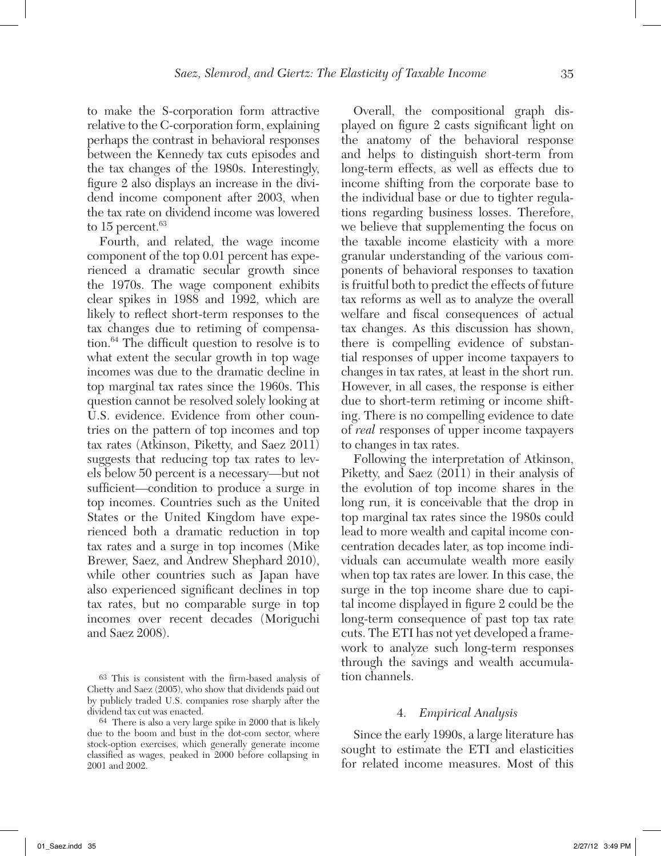to make the S-corporation form attractive relative to the C-corporation form, explaining perhaps the contrast in behavioral responses between the Kennedy tax cuts episodes and the tax changes of the 1980s. Interestingly, figure 2 also displays an increase in the dividend income component after 2003, when the tax rate on dividend income was lowered to  $15$  percent.<sup>63</sup>

Fourth, and related, the wage income component of the top 0.01 percent has experienced a dramatic secular growth since the 1970s. The wage component exhibits clear spikes in 1988 and 1992, which are likely to reflect short-term responses to the tax changes due to retiming of compensation.64 The difficult question to resolve is to what extent the secular growth in top wage incomes was due to the dramatic decline in top marginal tax rates since the 1960s. This question cannot be resolved solely looking at U.S. evidence. Evidence from other countries on the pattern of top incomes and top tax rates (Atkinson, Piketty, and Saez 2011) suggests that reducing top tax rates to levels below 50 percent is a necessary—but not sufficient—condition to produce a surge in top incomes. Countries such as the United States or the United Kingdom have experienced both a dramatic reduction in top tax rates and a surge in top incomes (Mike Brewer, Saez, and Andrew Shephard 2010), while other countries such as Japan have also experienced significant declines in top tax rates, but no comparable surge in top incomes over recent decades (Moriguchi and Saez 2008).

Overall, the compositional graph displayed on figure 2 casts significant light on the anatomy of the behavioral response and helps to distinguish short-term from long-term effects, as well as effects due to income shifting from the corporate base to the individual base or due to tighter regulations regarding business losses. Therefore, we believe that supplementing the focus on the taxable income elasticity with a more granular understanding of the various components of behavioral responses to taxation is fruitful both to predict the effects of future tax reforms as well as to analyze the overall welfare and fiscal consequences of actual tax changes. As this discussion has shown, there is compelling evidence of substantial responses of upper income taxpayers to changes in tax rates, at least in the short run. However, in all cases, the response is either due to short-term retiming or income shifting. There is no compelling evidence to date of *real* responses of upper income taxpayers to changes in tax rates.

Following the interpretation of Atkinson, Piketty, and Saez (2011) in their analysis of the evolution of top income shares in the long run, it is conceivable that the drop in top marginal tax rates since the 1980s could lead to more wealth and capital income concentration decades later, as top income individuals can accumulate wealth more easily when top tax rates are lower. In this case, the surge in the top income share due to capital income displayed in figure 2 could be the long-term consequence of past top tax rate cuts. The ETI has not yet developed a framework to analyze such long-term responses through the savings and wealth accumulation channels.

#### 4. *Empirical Analysis*

Since the early 1990s, a large literature has sought to estimate the ETI and elasticities for related income measures. Most of this

<sup>63</sup> This is consistent with the firm-based analysis of Chetty and Saez (2005), who show that dividends paid out by publicly traded U.S. companies rose sharply after the dividend tax cut was enacted.

<sup>64</sup> There is also a very large spike in 2000 that is likely due to the boom and bust in the dot-com sector, where stock-option exercises, which generally generate income classified as wages, peaked in 2000 before collapsing in 2001 and 2002.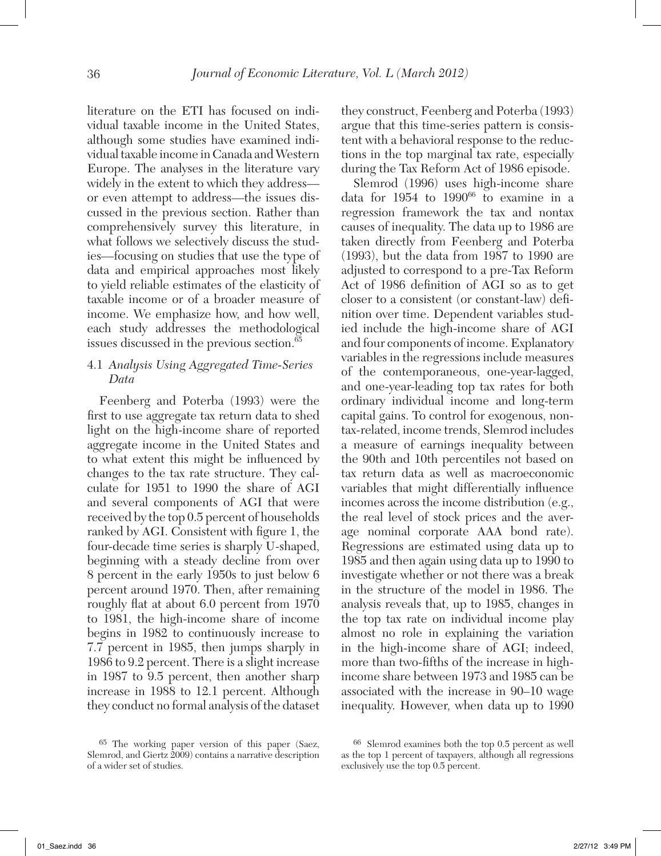literature on the ETI has focused on individual taxable income in the United States, although some studies have examined individual taxable income in Canada and Western Europe. The analyses in the literature vary widely in the extent to which they address or even attempt to address—the issues discussed in the previous section. Rather than comprehensively survey this literature, in what follows we selectively discuss the studies—focusing on studies that use the type of data and empirical approaches most likely to yield reliable estimates of the elasticity of taxable income or of a broader measure of income. We emphasize how, and how well, each study addresses the methodological issues discussed in the previous section.<sup>65</sup>

# 4.1 *Analysis Using Aggregated Time-Series Data*

Feenberg and Poterba (1993) were the first to use aggregate tax return data to shed light on the high-income share of reported aggregate income in the United States and to what extent this might be influenced by changes to the tax rate structure. They calculate for 1951 to 1990 the share of AGI and several components of AGI that were received by the top 0.5 percent of households ranked by AGI. Consistent with figure 1, the four-decade time series is sharply U-shaped, beginning with a steady decline from over 8 percent in the early 1950s to just below 6 percent around 1970. Then, after remaining roughly flat at about 6.0 percent from 1970 to 1981, the high-income share of income begins in 1982 to continuously increase to 7.7 percent in 1985, then jumps sharply in 1986 to 9.2 percent. There is a slight increase in 1987 to 9.5 percent, then another sharp increase in 1988 to 12.1 percent. Although they conduct no formal analysis of the dataset

65 The working paper version of this paper (Saez, Slemrod, and Giertz 2009) contains a narrative description of a wider set of studies.

they construct, Feenberg and Poterba (1993) argue that this time-series pattern is consistent with a behavioral response to the reductions in the top marginal tax rate, especially during the Tax Reform Act of 1986 episode.

Slemrod (1996) uses high-income share data for  $1954$  to  $1990^{66}$  to examine in a regression framework the tax and nontax causes of inequality. The data up to 1986 are taken directly from Feenberg and Poterba (1993), but the data from 1987 to 1990 are adjusted to correspond to a pre-Tax Reform Act of 1986 definition of AGI so as to get closer to a consistent (or constant-law) definition over time. Dependent variables studied include the high-income share of AGI and four components of income. Explanatory variables in the regressions include measures of the contemporaneous, one-year-lagged, and one-year-leading top tax rates for both ordinary individual income and long-term capital gains. To control for exogenous, nontax-related, income trends, Slemrod includes a measure of earnings inequality between the 90th and 10th percentiles not based on tax return data as well as macroeconomic variables that might differentially influence incomes across the income distribution (e.g., the real level of stock prices and the average nominal corporate AAA bond rate). Regressions are estimated using data up to 1985 and then again using data up to 1990 to investigate whether or not there was a break in the structure of the model in 1986. The analysis reveals that, up to 1985, changes in the top tax rate on individual income play almost no role in explaining the variation in the high-income share of AGI; indeed, more than two-fifths of the increase in highincome share between 1973 and 1985 can be associated with the increase in 90–10 wage inequality. However, when data up to 1990

<sup>66</sup> Slemrod examines both the top 0.5 percent as well as the top 1 percent of taxpayers, although all regressions exclusively use the top 0.5 percent.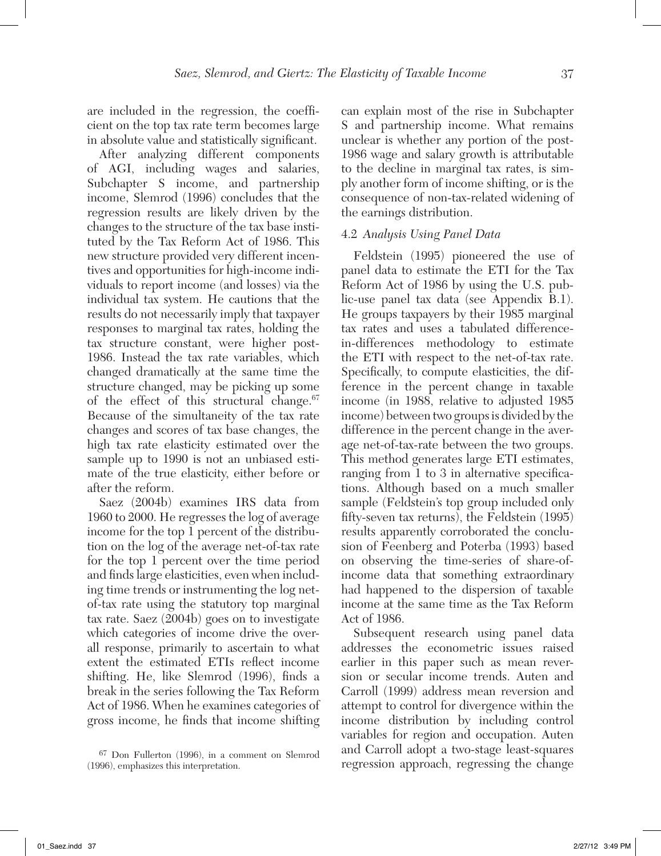are included in the regression, the coefficient on the top tax rate term becomes large in absolute value and statistically significant.

After analyzing different components of AGI, including wages and salaries, Subchapter S income, and partnership income, Slemrod (1996) concludes that the regression results are likely driven by the changes to the structure of the tax base instituted by the Tax Reform Act of 1986. This new structure provided very different incentives and opportunities for high-income individuals to report income (and losses) via the individual tax system. He cautions that the results do not necessarily imply that taxpayer responses to marginal tax rates, holding the tax structure constant, were higher post-1986. Instead the tax rate variables, which changed dramatically at the same time the structure changed, may be picking up some of the effect of this structural change.<sup>67</sup> Because of the simultaneity of the tax rate changes and scores of tax base changes, the high tax rate elasticity estimated over the sample up to 1990 is not an unbiased estimate of the true elasticity, either before or after the reform.

Saez (2004b) examines IRS data from 1960 to 2000. He regresses the log of average income for the top 1 percent of the distribution on the log of the average net-of-tax rate for the top 1 percent over the time period and finds large elasticities, even when including time trends or instrumenting the log netof-tax rate using the statutory top marginal tax rate. Saez (2004b) goes on to investigate which categories of income drive the overall response, primarily to ascertain to what extent the estimated ETIs reflect income shifting. He, like Slemrod (1996), finds a break in the series following the Tax Reform Act of 1986. When he examines categories of gross income, he finds that income shifting can explain most of the rise in Subchapter S and partnership income. What remains unclear is whether any portion of the post-1986 wage and salary growth is attributable to the decline in marginal tax rates, is simply another form of income shifting, or is the consequence of non-tax-related widening of the earnings distribution.

# 4.2 *Analysis Using Panel Data*

Feldstein (1995) pioneered the use of panel data to estimate the ETI for the Tax Reform Act of 1986 by using the U.S. public-use panel tax data (see Appendix B.1). He groups taxpayers by their 1985 marginal tax rates and uses a tabulated differencein-differences methodology to estimate the ETI with respect to the net-of-tax rate. Specifically, to compute elasticities, the difference in the percent change in taxable income (in 1988, relative to adjusted 1985 income) between two groups is divided by the difference in the percent change in the average net-of-tax-rate between the two groups. This method generates large ETI estimates, ranging from 1 to 3 in alternative specifications. Although based on a much smaller sample (Feldstein's top group included only fifty-seven tax returns), the Feldstein (1995) results apparently corroborated the conclusion of Feenberg and Poterba (1993) based on observing the time-series of share-ofincome data that something extraordinary had happened to the dispersion of taxable income at the same time as the Tax Reform Act of 1986.

Subsequent research using panel data addresses the econometric issues raised earlier in this paper such as mean reversion or secular income trends. Auten and Carroll (1999) address mean reversion and attempt to control for divergence within the income distribution by including control variables for region and occupation. Auten and Carroll adopt a two-stage least-squares regression approach, regressing the change

<sup>67</sup> Don Fullerton (1996), in a comment on Slemrod (1996), emphasizes this interpretation.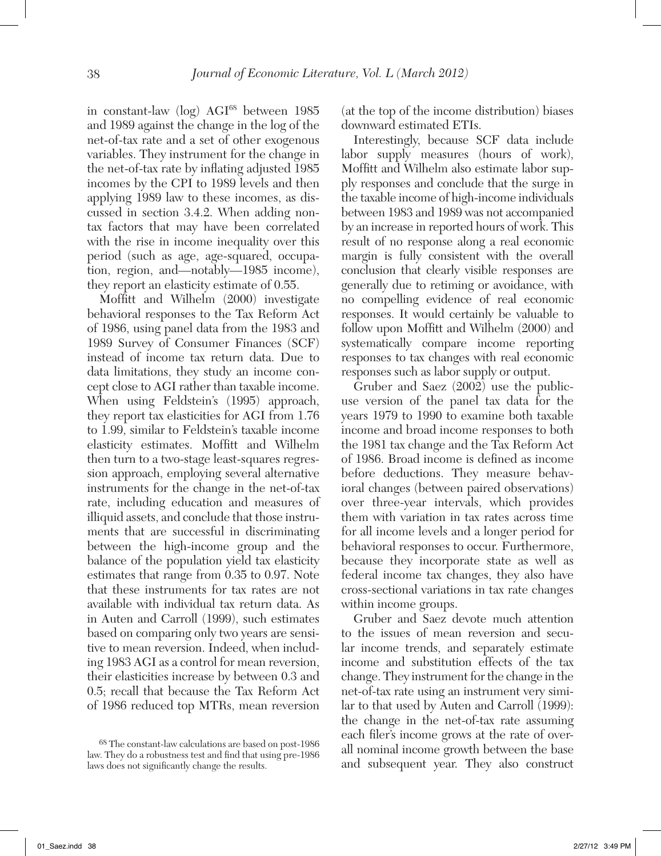in constant-law (log) AGI<sup>68</sup> between 1985 and 1989 against the change in the log of the net-of-tax rate and a set of other exogenous variables. They instrument for the change in the net-of-tax rate by inflating adjusted 1985 incomes by the CPI to 1989 levels and then applying 1989 law to these incomes, as discussed in section 3.4.2. When adding nontax factors that may have been correlated with the rise in income inequality over this period (such as age, age-squared, occupation, region, and—notably—1985 income), they report an elasticity estimate of 0.55.

Moffitt and Wilhelm (2000) investigate behavioral responses to the Tax Reform Act of 1986, using panel data from the 1983 and 1989 Survey of Consumer Finances (SCF) instead of income tax return data. Due to data limitations, they study an income concept close to AGI rather than taxable income. When using Feldstein's (1995) approach, they report tax elasticities for AGI from 1.76 to 1.99, similar to Feldstein's taxable income elasticity estimates. Moffitt and Wilhelm then turn to a two-stage least-squares regression approach, employing several alternative instruments for the change in the net-of-tax rate, including education and measures of illiquid assets, and conclude that those instruments that are successful in discriminating between the high-income group and the balance of the population yield tax elasticity estimates that range from 0.35 to 0.97. Note that these instruments for tax rates are not available with individual tax return data. As in Auten and Carroll (1999), such estimates based on comparing only two years are sensitive to mean reversion. Indeed, when including 1983 AGI as a control for mean reversion, their elasticities increase by between 0.3 and 0.5; recall that because the Tax Reform Act of 1986 reduced top MTRs, mean reversion

(at the top of the income distribution) biases downward estimated ETIs.

Interestingly, because SCF data include labor supply measures (hours of work), Moffitt and Wilhelm also estimate labor supply responses and conclude that the surge in the taxable income of high-income individuals between 1983 and 1989 was not accompanied by an increase in reported hours of work. This result of no response along a real economic margin is fully consistent with the overall conclusion that clearly visible responses are generally due to retiming or avoidance, with no compelling evidence of real economic responses. It would certainly be valuable to follow upon Moffitt and Wilhelm (2000) and systematically compare income reporting responses to tax changes with real economic responses such as labor supply or output.

Gruber and Saez (2002) use the publicuse version of the panel tax data for the years 1979 to 1990 to examine both taxable income and broad income responses to both the 1981 tax change and the Tax Reform Act of 1986. Broad income is defined as income before deductions. They measure behavioral changes (between paired observations) over three-year intervals, which provides them with variation in tax rates across time for all income levels and a longer period for behavioral responses to occur. Furthermore, because they incorporate state as well as federal income tax changes, they also have cross-sectional variations in tax rate changes within income groups.

Gruber and Saez devote much attention to the issues of mean reversion and secular income trends, and separately estimate income and substitution effects of the tax change. They instrument for the change in the net-of-tax rate using an instrument very similar to that used by Auten and Carroll (1999): the change in the net-of-tax rate assuming each filer's income grows at the rate of overall nominal income growth between the base and subsequent year. They also construct

<sup>68</sup> The constant-law calculations are based on post-1986 law. They do a robustness test and find that using pre-1986 laws does not significantly change the results.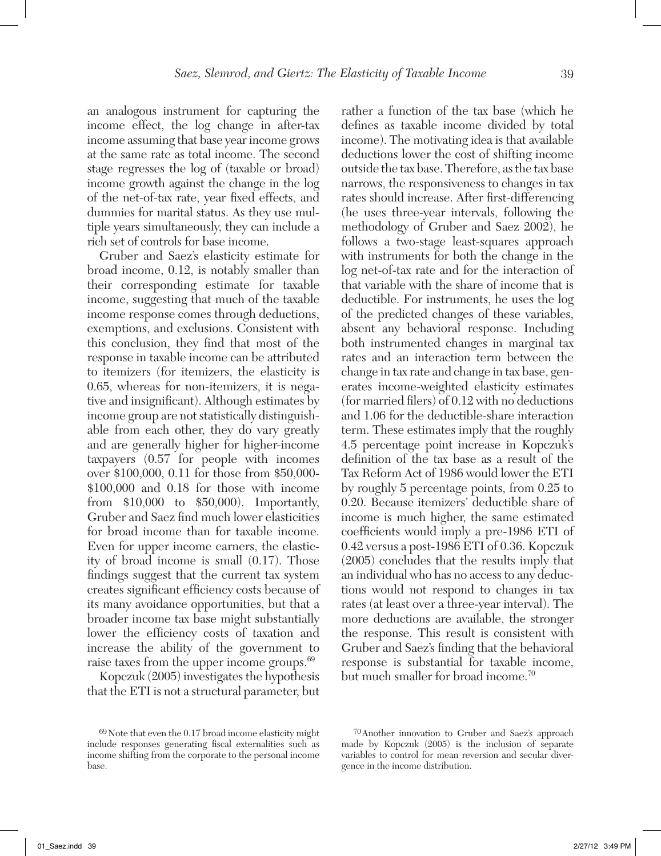an analogous instrument for capturing the income effect, the log change in after-tax income assuming that base year income grows at the same rate as total income. The second stage regresses the log of (taxable or broad) income growth against the change in the log of the net-of-tax rate, year fixed effects, and dummies for marital status. As they use multiple years simultaneously, they can include a rich set of controls for base income.

Gruber and Saez's elasticity estimate for broad income, 0.12, is notably smaller than their corresponding estimate for taxable income, suggesting that much of the taxable income response comes through deductions, exemptions, and exclusions. Consistent with this conclusion, they find that most of the response in taxable income can be attributed to itemizers (for itemizers, the elasticity is 0.65, whereas for non-itemizers, it is negative and insignificant). Although estimates by income group are not statistically distinguishable from each other, they do vary greatly and are generally higher for higher-income taxpayers (0.57 for people with incomes over \$100,000, 0.11 for those from \$50,000- \$100,000 and 0.18 for those with income from \$10,000 to \$50,000). Importantly, Gruber and Saez find much lower elasticities for broad income than for taxable income. Even for upper income earners, the elasticity of broad income is small (0.17). Those findings suggest that the current tax system creates significant efficiency costs because of its many avoidance opportunities, but that a broader income tax base might substantially lower the efficiency costs of taxation and increase the ability of the government to raise taxes from the upper income groups.<sup>69</sup>

Kopczuk (2005) investigates the hypothesis that the ETI is not a structural parameter, but

rather a function of the tax base (which he defines as taxable income divided by total income). The motivating idea is that available deductions lower the cost of shifting income outside the tax base. Therefore, as the tax base narrows, the responsiveness to changes in tax rates should increase. After first-differencing (he uses three-year intervals, following the methodology of Gruber and Saez 2002), he follows a two-stage least-squares approach with instruments for both the change in the log net-of-tax rate and for the interaction of that variable with the share of income that is deductible. For instruments, he uses the log of the predicted changes of these variables, absent any behavioral response. Including both instrumented changes in marginal tax rates and an interaction term between the change in tax rate and change in tax base, generates income-weighted elasticity estimates (for married filers) of 0.12 with no deductions and 1.06 for the deductible-share interaction term. These estimates imply that the roughly 4.5 percentage point increase in Kopczuk's definition of the tax base as a result of the Tax Reform Act of 1986 would lower the ETI by roughly 5 percentage points, from 0.25 to 0.20. Because itemizers' deductible share of income is much higher, the same estimated coefficients would imply a pre-1986 ETI of 0.42 versus a post-1986 ETI of 0.36. Kopczuk (2005) concludes that the results imply that an individual who has no access to any deductions would not respond to changes in tax rates (at least over a three-year interval). The more deductions are available, the stronger the response. This result is consistent with Gruber and Saez's finding that the behavioral response is substantial for taxable income, but much smaller for broad income.<sup>70</sup>

<sup>69</sup>Note that even the 0.17 broad income elasticity might include responses generating fiscal externalities such as income shifting from the corporate to the personal income base.

<sup>70</sup>Another innovation to Gruber and Saez's approach made by Kopczuk (2005) is the inclusion of separate variables to control for mean reversion and secular divergence in the income distribution.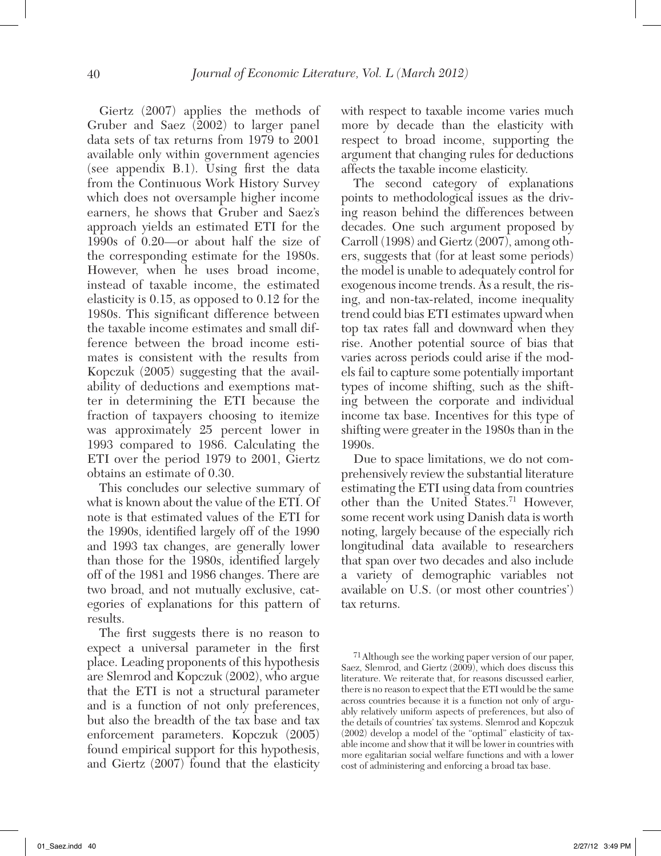Giertz (2007) applies the methods of Gruber and Saez (2002) to larger panel data sets of tax returns from 1979 to 2001 available only within government agencies (see appendix B.1). Using first the data from the Continuous Work History Survey which does not oversample higher income earners, he shows that Gruber and Saez's approach yields an estimated ETI for the 1990s of 0.20—or about half the size of the corresponding estimate for the 1980s. However, when he uses broad income, instead of taxable income, the estimated elasticity is 0.15, as opposed to 0.12 for the 1980s. This significant difference between the taxable income estimates and small difference between the broad income estimates is consistent with the results from Kopczuk (2005) suggesting that the availability of deductions and exemptions matter in determining the ETI because the fraction of taxpayers choosing to itemize was approximately 25 percent lower in 1993 compared to 1986. Calculating the ETI over the period 1979 to 2001, Giertz obtains an estimate of 0.30.

This concludes our selective summary of what is known about the value of the ETI. Of note is that estimated values of the ETI for the 1990s, identified largely off of the 1990 and 1993 tax changes, are generally lower than those for the 1980s, identified largely off of the 1981 and 1986 changes. There are two broad, and not mutually exclusive, categories of explanations for this pattern of results.

The first suggests there is no reason to expect a universal parameter in the first place. Leading proponents of this hypothesis are Slemrod and Kopczuk (2002), who argue that the ETI is not a structural parameter and is a function of not only preferences, but also the breadth of the tax base and tax enforcement parameters. Kopczuk (2005) found empirical support for this hypothesis, and Giertz (2007) found that the elasticity with respect to taxable income varies much more by decade than the elasticity with respect to broad income, supporting the argument that changing rules for deductions affects the taxable income elasticity.

The second category of explanations points to methodological issues as the driving reason behind the differences between decades. One such argument proposed by Carroll (1998) and Giertz (2007), among others, suggests that (for at least some periods) the model is unable to adequately control for exogenous income trends. As a result, the rising, and non-tax-related, income inequality trend could bias ETI estimates upward when top tax rates fall and downward when they rise. Another potential source of bias that varies across periods could arise if the models fail to capture some potentially important types of income shifting, such as the shifting between the corporate and individual income tax base. Incentives for this type of shifting were greater in the 1980s than in the 1990s.

Due to space limitations, we do not comprehensively review the substantial literature estimating the ETI using data from countries other than the United States.<sup>71</sup> However, some recent work using Danish data is worth noting, largely because of the especially rich longitudinal data available to researchers that span over two decades and also include a variety of demographic variables not available on U.S. (or most other countries') tax returns.

<sup>71</sup>Although see the working paper version of our paper, Saez, Slemrod, and Giertz (2009), which does discuss this literature. We reiterate that, for reasons discussed earlier, there is no reason to expect that the ETI would be the same across countries because it is a function not only of arguably relatively uniform aspects of preferences, but also of the details of countries' tax systems. Slemrod and Kopczuk (2002) develop a model of the "optimal" elasticity of taxable income and show that it will be lower in countries with more egalitarian social welfare functions and with a lower cost of administering and enforcing a broad tax base.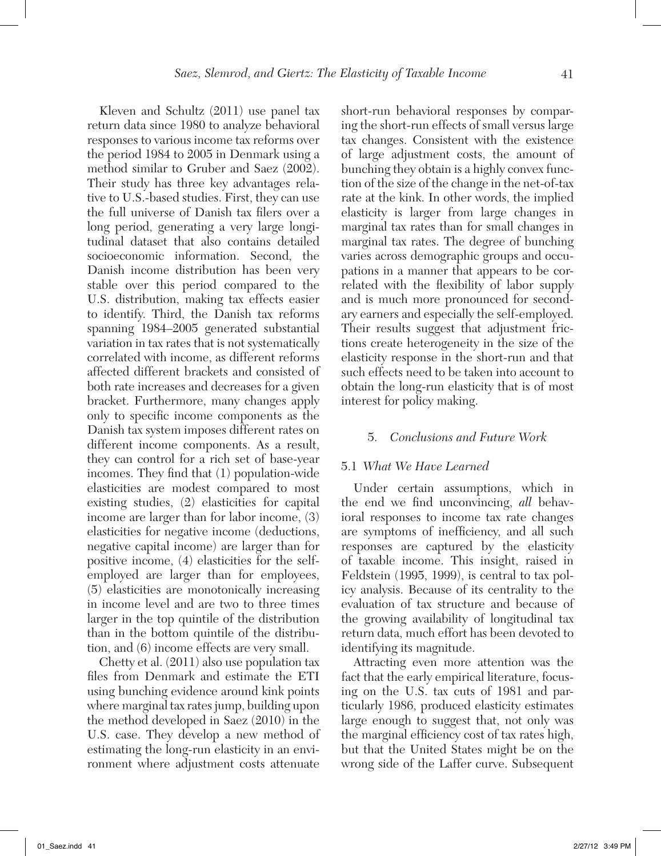Kleven and Schultz (2011) use panel tax return data since 1980 to analyze behavioral responses to various income tax reforms over the period 1984 to 2005 in Denmark using a method similar to Gruber and Saez (2002). Their study has three key advantages relative to U.S.-based studies. First, they can use the full universe of Danish tax filers over a long period, generating a very large longitudinal dataset that also contains detailed socioeconomic information. Second, the Danish income distribution has been very stable over this period compared to the U.S. distribution, making tax effects easier to identify. Third, the Danish tax reforms spanning 1984–2005 generated substantial variation in tax rates that is not systematically correlated with income, as different reforms affected different brackets and consisted of both rate increases and decreases for a given bracket. Furthermore, many changes apply only to specific income components as the Danish tax system imposes different rates on different income components. As a result, they can control for a rich set of base-year incomes. They find that (1) population-wide elasticities are modest compared to most existing studies, (2) elasticities for capital income are larger than for labor income, (3) elasticities for negative income (deductions, negative capital income) are larger than for positive income, (4) elasticities for the selfemployed are larger than for employees, (5) elasticities are monotonically increasing in income level and are two to three times larger in the top quintile of the distribution than in the bottom quintile of the distribution, and (6) income effects are very small.

Chetty et al. (2011) also use population tax files from Denmark and estimate the ETI using bunching evidence around kink points where marginal tax rates jump, building upon the method developed in Saez (2010) in the U.S. case. They develop a new method of estimating the long-run elasticity in an environment where adjustment costs attenuate

short-run behavioral responses by comparing the short-run effects of small versus large tax changes. Consistent with the existence of large adjustment costs, the amount of bunching they obtain is a highly convex function of the size of the change in the net-of-tax rate at the kink. In other words, the implied elasticity is larger from large changes in marginal tax rates than for small changes in marginal tax rates. The degree of bunching varies across demographic groups and occupations in a manner that appears to be correlated with the flexibility of labor supply and is much more pronounced for secondary earners and especially the self-employed. Their results suggest that adjustment frictions create heterogeneity in the size of the elasticity response in the short-run and that such effects need to be taken into account to obtain the long-run elasticity that is of most interest for policy making.

#### 5. *Conclusions and Future Work*

## 5.1 *What We Have Learned*

Under certain assumptions, which in the end we find unconvincing, *all* behavioral responses to income tax rate changes are symptoms of inefficiency, and all such responses are captured by the elasticity of taxable income. This insight, raised in Feldstein (1995, 1999), is central to tax policy analysis. Because of its centrality to the evaluation of tax structure and because of the growing availability of longitudinal tax return data, much effort has been devoted to identifying its magnitude.

Attracting even more attention was the fact that the early empirical literature, focusing on the U.S. tax cuts of 1981 and particularly 1986, produced elasticity estimates large enough to suggest that, not only was the marginal efficiency cost of tax rates high, but that the United States might be on the wrong side of the Laffer curve. Subsequent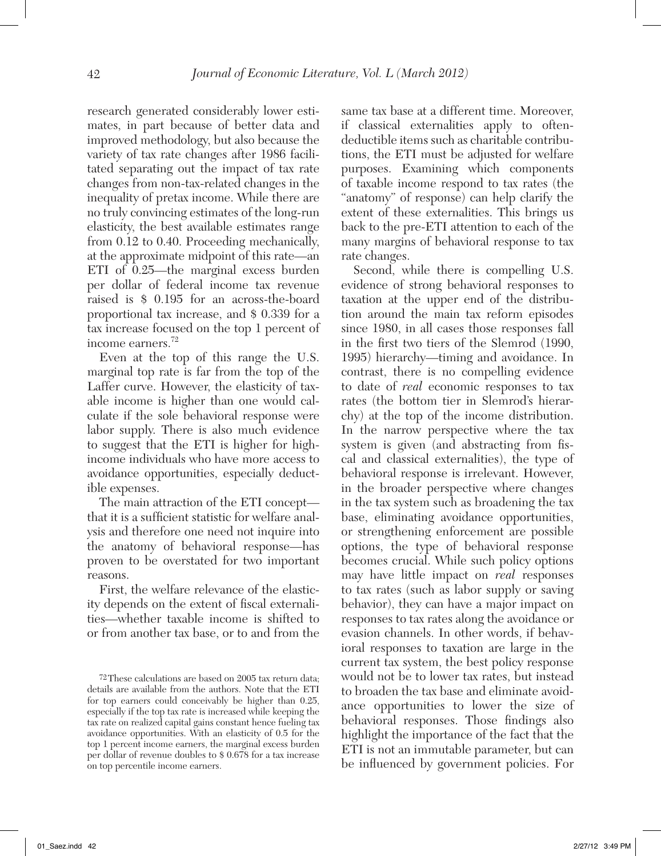research generated considerably lower estimates, in part because of better data and improved methodology, but also because the variety of tax rate changes after 1986 facilitated separating out the impact of tax rate changes from non-tax-related changes in the inequality of pretax income. While there are no truly convincing estimates of the long-run elasticity, the best available estimates range from 0.12 to 0.40. Proceeding mechanically, at the approximate midpoint of this rate—an ETI of 0.25—the marginal excess burden per dollar of federal income tax revenue raised is \$ 0.195 for an across-the-board proportional tax increase, and \$ 0.339 for a tax increase focused on the top 1 percent of income earners.72

Even at the top of this range the U.S. marginal top rate is far from the top of the Laffer curve. However, the elasticity of taxable income is higher than one would calculate if the sole behavioral response were labor supply. There is also much evidence to suggest that the ETI is higher for highincome individuals who have more access to avoidance opportunities, especially deductible expenses.

The main attraction of the ETI concept that it is a sufficient statistic for welfare analysis and therefore one need not inquire into the anatomy of behavioral response—has proven to be overstated for two important reasons.

First, the welfare relevance of the elasticity depends on the extent of fiscal externalities—whether taxable income is shifted to or from another tax base, or to and from the same tax base at a different time. Moreover, if classical externalities apply to oftendeductible items such as charitable contributions, the ETI must be adjusted for welfare purposes. Examining which components of taxable income respond to tax rates (the "anatomy" of response) can help clarify the extent of these externalities. This brings us back to the pre-ETI attention to each of the many margins of behavioral response to tax rate changes.

Second, while there is compelling U.S. evidence of strong behavioral responses to taxation at the upper end of the distribution around the main tax reform episodes since 1980, in all cases those responses fall in the first two tiers of the Slemrod (1990, 1995) hierarchy—timing and avoidance. In contrast, there is no compelling evidence to date of *real* economic responses to tax rates (the bottom tier in Slemrod's hierarchy) at the top of the income distribution. In the narrow perspective where the tax system is given (and abstracting from fiscal and classical externalities), the type of behavioral response is irrelevant. However, in the broader perspective where changes in the tax system such as broadening the tax base, eliminating avoidance opportunities, or strengthening enforcement are possible options, the type of behavioral response becomes crucial. While such policy options may have little impact on *real* responses to tax rates (such as labor supply or saving behavior), they can have a major impact on responses to tax rates along the avoidance or evasion channels. In other words, if behavioral responses to taxation are large in the current tax system, the best policy response would not be to lower tax rates, but instead to broaden the tax base and eliminate avoidance opportunities to lower the size of behavioral responses. Those findings also highlight the importance of the fact that the ETI is not an immutable parameter, but can be influenced by government policies. For

<sup>72</sup>These calculations are based on 2005 tax return data; details are available from the authors. Note that the ETI for top earners could conceivably be higher than 0.25, especially if the top tax rate is increased while keeping the tax rate on realized capital gains constant hence fueling tax avoidance opportunities. With an elasticity of 0.5 for the top 1 percent income earners, the marginal excess burden per dollar of revenue doubles to \$ 0.678 for a tax increase on top percentile income earners.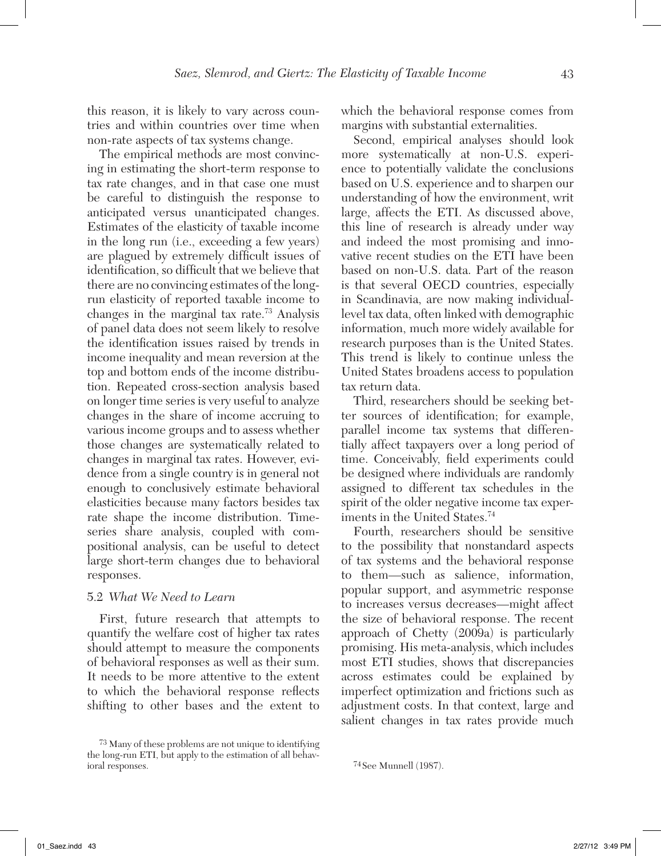this reason, it is likely to vary across countries and within countries over time when non-rate aspects of tax systems change.

The empirical methods are most convincing in estimating the short-term response to tax rate changes, and in that case one must be careful to distinguish the response to anticipated versus unanticipated changes. Estimates of the elasticity of taxable income in the long run (i.e., exceeding a few years) are plagued by extremely difficult issues of identification, so difficult that we believe that there are no convincing estimates of the longrun elasticity of reported taxable income to changes in the marginal tax rate.73 Analysis of panel data does not seem likely to resolve the identification issues raised by trends in income inequality and mean reversion at the top and bottom ends of the income distribution. Repeated cross-section analysis based on longer time series is very useful to analyze changes in the share of income accruing to various income groups and to assess whether those changes are systematically related to changes in marginal tax rates. However, evidence from a single country is in general not enough to conclusively estimate behavioral elasticities because many factors besides tax rate shape the income distribution. Timeseries share analysis, coupled with compositional analysis, can be useful to detect large short-term changes due to behavioral responses.

# 5.2 *What We Need to Learn*

First, future research that attempts to quantify the welfare cost of higher tax rates should attempt to measure the components of behavioral responses as well as their sum. It needs to be more attentive to the extent to which the behavioral response reflects shifting to other bases and the extent to which the behavioral response comes from margins with substantial externalities.

Second, empirical analyses should look more systematically at non-U.S. experience to potentially validate the conclusions based on U.S. experience and to sharpen our understanding of how the environment, writ large, affects the ETI. As discussed above, this line of research is already under way and indeed the most promising and innovative recent studies on the ETI have been based on non-U.S. data. Part of the reason is that several OECD countries, especially in Scandinavia, are now making individuallevel tax data, often linked with demographic information, much more widely available for research purposes than is the United States. This trend is likely to continue unless the United States broadens access to population tax return data.

Third, researchers should be seeking better sources of identification; for example, parallel income tax systems that differentially affect taxpayers over a long period of time. Conceivably, field experiments could be designed where individuals are randomly assigned to different tax schedules in the spirit of the older negative income tax experiments in the United States.<sup>74</sup>

Fourth, researchers should be sensitive to the possibility that nonstandard aspects of tax systems and the behavioral response to them—such as salience, information, popular support, and asymmetric response to increases versus decreases—might affect the size of behavioral response. The recent approach of Chetty (2009a) is particularly promising. His meta-analysis, which includes most ETI studies, shows that discrepancies across estimates could be explained by imperfect optimization and frictions such as adjustment costs. In that context, large and salient changes in tax rates provide much

<sup>73</sup> Many of these problems are not unique to identifying the long-run ETI, but apply to the estimation of all behavioral responses.

<sup>74</sup>See Munnell (1987).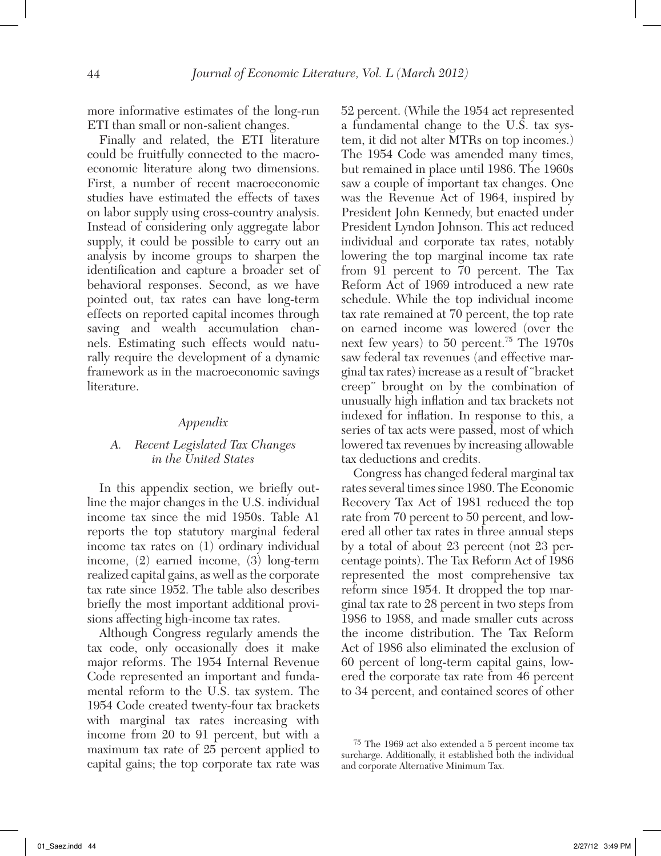more informative estimates of the long-run ETI than small or non-salient changes.

Finally and related, the ETI literature could be fruitfully connected to the macroeconomic literature along two dimensions. First, a number of recent macroeconomic studies have estimated the effects of taxes on labor supply using cross-country analysis. Instead of considering only aggregate labor supply, it could be possible to carry out an analysis by income groups to sharpen the identification and capture a broader set of behavioral responses. Second, as we have pointed out, tax rates can have long-term effects on reported capital incomes through saving and wealth accumulation channels. Estimating such effects would naturally require the development of a dynamic framework as in the macroeconomic savings literature.

# *Appendix*

# *A. Recent Legislated Tax Changes in the United States*

In this appendix section, we briefly outline the major changes in the U.S. individual income tax since the mid 1950s. Table A1 reports the top statutory marginal federal income tax rates on (1) ordinary individual income, (2) earned income, (3) long-term realized capital gains, as well as the corporate tax rate since 1952. The table also describes briefly the most important additional provisions affecting high-income tax rates.

Although Congress regularly amends the tax code, only occasionally does it make major reforms. The 1954 Internal Revenue Code represented an important and fundamental reform to the U.S. tax system. The 1954 Code created twenty-four tax brackets with marginal tax rates increasing with income from 20 to 91 percent, but with a maximum tax rate of 25 percent applied to capital gains; the top corporate tax rate was

52 percent. (While the 1954 act represented a fundamental change to the U.S. tax system, it did not alter MTRs on top incomes.) The 1954 Code was amended many times, but remained in place until 1986. The 1960s saw a couple of important tax changes. One was the Revenue Act of 1964, inspired by President John Kennedy, but enacted under President Lyndon Johnson. This act reduced individual and corporate tax rates, notably lowering the top marginal income tax rate from 91 percent to 70 percent. The Tax Reform Act of 1969 introduced a new rate schedule. While the top individual income tax rate remained at 70 percent, the top rate on earned income was lowered (over the next few years) to 50 percent.<sup>75</sup> The 1970s saw federal tax revenues (and effective marginal tax rates) increase as a result of "bracket creep" brought on by the combination of unusually high inflation and tax brackets not indexed for inflation. In response to this, a series of tax acts were passed, most of which lowered tax revenues by increasing allowable tax deductions and credits.

Congress has changed federal marginal tax rates several times since 1980. The Economic Recovery Tax Act of 1981 reduced the top rate from 70 percent to 50 percent, and lowered all other tax rates in three annual steps by a total of about 23 percent (not 23 percentage points). The Tax Reform Act of 1986 represented the most comprehensive tax reform since 1954. It dropped the top marginal tax rate to 28 percent in two steps from 1986 to 1988, and made smaller cuts across the income distribution. The Tax Reform Act of 1986 also eliminated the exclusion of 60 percent of long-term capital gains, lowered the corporate tax rate from 46 percent to 34 percent, and contained scores of other

<sup>75</sup> The 1969 act also extended a 5 percent income tax surcharge. Additionally, it established both the individual and corporate Alternative Minimum Tax.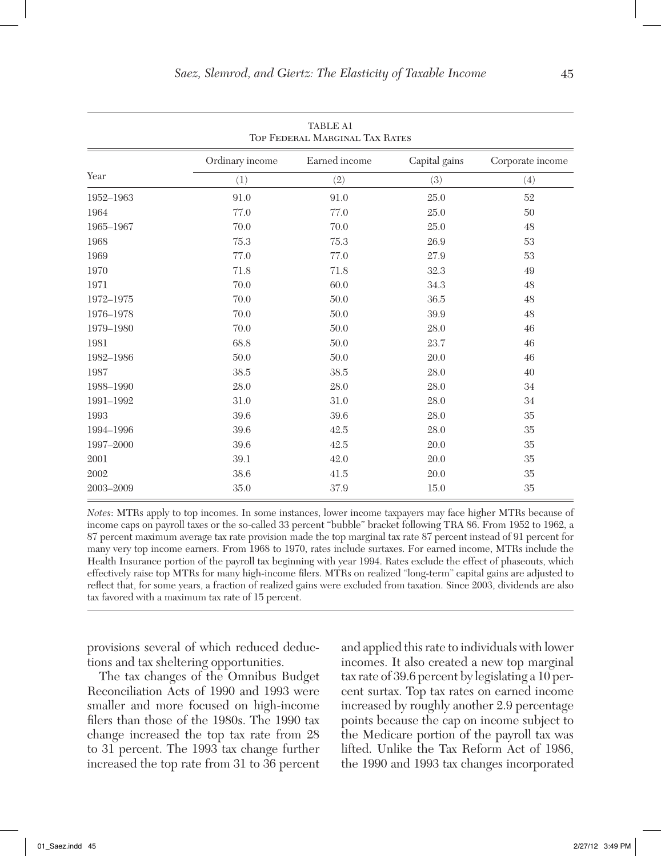| TADLE AT<br>TOP FEDERAL MARGINAL TAX RATES |                 |                   |               |                  |
|--------------------------------------------|-----------------|-------------------|---------------|------------------|
|                                            | Ordinary income | Earned income     | Capital gains | Corporate income |
| Year                                       | (1)             | $\left( 2\right)$ | (3)           | (4)              |
| 1952-1963                                  | 91.0            | 91.0              | 25.0          | 52               |
| 1964                                       | 77.0            | 77.0              | 25.0          | 50               |
| 1965-1967                                  | 70.0            | 70.0              | 25.0          | 48               |
| 1968                                       | 75.3            | 75.3              | 26.9          | 53               |
| 1969                                       | 77.0            | 77.0              | 27.9          | 53               |
| 1970                                       | 71.8            | 71.8              | 32.3          | 49               |
| 1971                                       | 70.0            | 60.0              | 34.3          | 48               |
| 1972-1975                                  | 70.0            | 50.0              | 36.5          | 48               |
| 1976-1978                                  | 70.0            | 50.0              | 39.9          | $48\,$           |
| 1979-1980                                  | 70.0            | 50.0              | 28.0          | 46               |
| 1981                                       | 68.8            | 50.0              | 23.7          | 46               |
| 1982-1986                                  | 50.0            | 50.0              | 20.0          | 46               |
| 1987                                       | 38.5            | 38.5              | 28.0          | 40               |
| 1988-1990                                  | 28.0            | 28.0              | 28.0          | 34               |
| 1991-1992                                  | 31.0            | 31.0              | 28.0          | 34               |
| 1993                                       | 39.6            | 39.6              | 28.0          | 35               |
| 1994-1996                                  | 39.6            | 42.5              | 28.0          | 35               |
| 1997-2000                                  | 39.6            | 42.5              | 20.0          | 35               |
| 2001                                       | 39.1            | 42.0              | 20.0          | 35               |
| 2002                                       | 38.6            | 41.5              | 20.0          | 35               |
| 2003-2009                                  | 35.0            | 37.9              | 15.0          | $35\,$           |

| TABLE A1                       |  |
|--------------------------------|--|
| FOP FEDERAL MARGINAL TAX RATE: |  |

*Notes*: MTRs apply to top incomes. In some instances, lower income taxpayers may face higher MTRs because of income caps on payroll taxes or the so-called 33 percent "bubble" bracket following TRA 86. From 1952 to 1962, a 87 percent maximum average tax rate provision made the top marginal tax rate 87 percent instead of 91 percent for many very top income earners. From 1968 to 1970, rates include surtaxes. For earned income, MTRs include the Health Insurance portion of the payroll tax beginning with year 1994. Rates exclude the effect of phaseouts, which effectively raise top MTRs for many high-income filers. MTRs on realized "long-term" capital gains are adjusted to reflect that, for some years, a fraction of realized gains were excluded from taxation. Since 2003, dividends are also tax favored with a maximum tax rate of 15 percent.

provisions several of which reduced deductions and tax sheltering opportunities.

The tax changes of the Omnibus Budget Reconciliation Acts of 1990 and 1993 were smaller and more focused on high-income filers than those of the 1980s. The 1990 tax change increased the top tax rate from 28 to 31 percent. The 1993 tax change further increased the top rate from 31 to 36 percent and applied this rate to individuals with lower incomes. It also created a new top marginal tax rate of 39.6 percent by legislating a 10 percent surtax. Top tax rates on earned income increased by roughly another 2.9 percentage points because the cap on income subject to the Medicare portion of the payroll tax was lifted. Unlike the Tax Reform Act of 1986, the 1990 and 1993 tax changes incorporated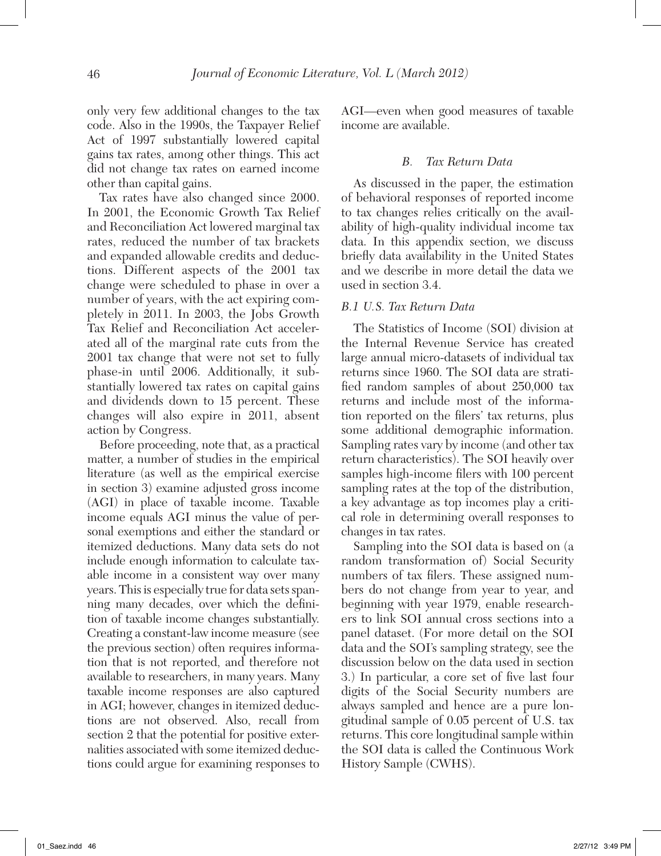only very few additional changes to the tax code. Also in the 1990s, the Taxpayer Relief Act of 1997 substantially lowered capital gains tax rates, among other things. This act did not change tax rates on earned income other than capital gains.

Tax rates have also changed since 2000. In 2001, the Economic Growth Tax Relief and Reconciliation Act lowered marginal tax rates, reduced the number of tax brackets and expanded allowable credits and deductions. Different aspects of the 2001 tax change were scheduled to phase in over a number of years, with the act expiring completely in 2011. In 2003, the Jobs Growth Tax Relief and Reconciliation Act accelerated all of the marginal rate cuts from the 2001 tax change that were not set to fully phase-in until 2006. Additionally, it substantially lowered tax rates on capital gains and dividends down to 15 percent. These changes will also expire in 2011, absent action by Congress.

Before proceeding, note that, as a practical matter, a number of studies in the empirical literature (as well as the empirical exercise in section 3) examine adjusted gross income (AGI) in place of taxable income. Taxable income equals AGI minus the value of personal exemptions and either the standard or itemized deductions. Many data sets do not include enough information to calculate taxable income in a consistent way over many years. This is especially true for data sets spanning many decades, over which the definition of taxable income changes substantially. Creating a constant-law income measure (see the previous section) often requires information that is not reported, and therefore not available to researchers, in many years. Many taxable income responses are also captured in AGI; however, changes in itemized deductions are not observed. Also, recall from section 2 that the potential for positive externalities associated with some itemized deductions could argue for examining responses to

AGI—even when good measures of taxable income are available.

## *B. Tax Return Data*

As discussed in the paper, the estimation of behavioral responses of reported income to tax changes relies critically on the availability of high-quality individual income tax data. In this appendix section, we discuss briefly data availability in the United States and we describe in more detail the data we used in section 3.4.

# *B.1 U.S. Tax Return Data*

The Statistics of Income (SOI) division at the Internal Revenue Service has created large annual micro-datasets of individual tax returns since 1960. The SOI data are stratified random samples of about 250,000 tax returns and include most of the information reported on the filers' tax returns, plus some additional demographic information. Sampling rates vary by income (and other tax return characteristics). The SOI heavily over samples high-income filers with 100 percent sampling rates at the top of the distribution, a key advantage as top incomes play a critical role in determining overall responses to changes in tax rates.

Sampling into the SOI data is based on (a random transformation of) Social Security numbers of tax filers. These assigned numbers do not change from year to year, and beginning with year 1979, enable researchers to link SOI annual cross sections into a panel dataset. (For more detail on the SOI data and the SOI's sampling strategy, see the discussion below on the data used in section 3.) In particular, a core set of five last four digits of the Social Security numbers are always sampled and hence are a pure longitudinal sample of 0.05 percent of U.S. tax returns. This core longitudinal sample within the SOI data is called the Continuous Work History Sample (CWHS).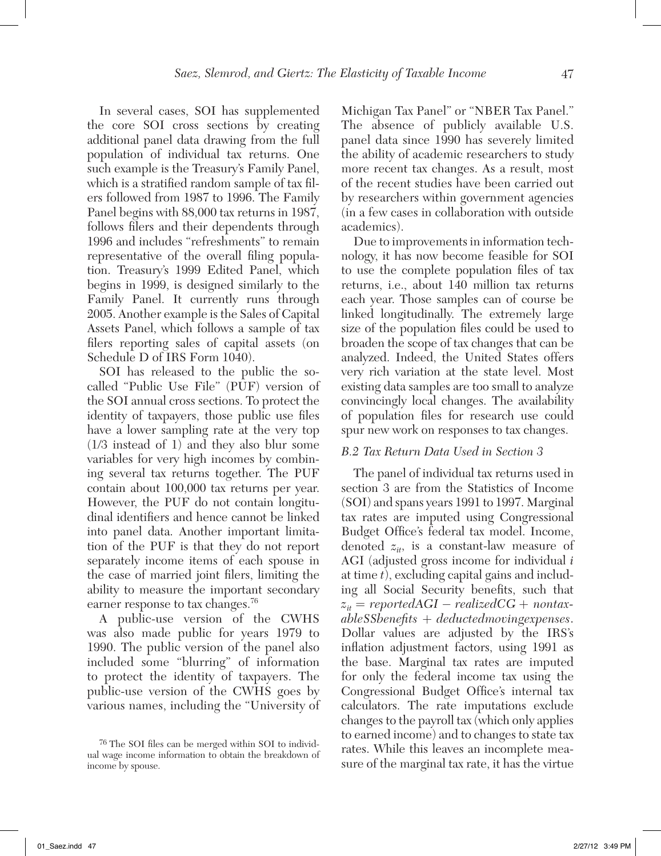In several cases, SOI has supplemented the core SOI cross sections by creating additional panel data drawing from the full population of individual tax returns. One such example is the Treasury's Family Panel, which is a stratified random sample of tax filers followed from 1987 to 1996. The Family Panel begins with 88,000 tax returns in 1987, follows filers and their dependents through 1996 and includes "refreshments" to remain representative of the overall filing population. Treasury's 1999 Edited Panel, which begins in 1999, is designed similarly to the Family Panel. It currently runs through 2005. Another example is the Sales of Capital Assets Panel, which follows a sample of tax filers reporting sales of capital assets (on Schedule D of IRS Form 1040).

SOI has released to the public the socalled "Public Use File" (PUF) version of the SOI annual cross sections. To protect the identity of taxpayers, those public use files have a lower sampling rate at the very top (1/3 instead of 1) and they also blur some variables for very high incomes by combining several tax returns together. The PUF contain about 100,000 tax returns per year. However, the PUF do not contain longitudinal identifiers and hence cannot be linked into panel data. Another important limitation of the PUF is that they do not report separately income items of each spouse in the case of married joint filers, limiting the ability to measure the important secondary earner response to tax changes.<sup>76</sup>

A public-use version of the CWHS was also made public for years 1979 to 1990. The public version of the panel also included some "blurring" of information to protect the identity of taxpayers. The public-use version of the CWHS goes by various names, including the "University of

Michigan Tax Panel" or "NBER Tax Panel." The absence of publicly available U.S. panel data since 1990 has severely limited the ability of academic researchers to study more recent tax changes. As a result, most of the recent studies have been carried out by researchers within government agencies (in a few cases in collaboration with outside academics).

Due to improvements in information technology, it has now become feasible for SOI to use the complete population files of tax returns, i.e., about 140 million tax returns each year. Those samples can of course be linked longitudinally. The extremely large size of the population files could be used to broaden the scope of tax changes that can be analyzed. Indeed, the United States offers very rich variation at the state level. Most existing data samples are too small to analyze convincingly local changes. The availability of population files for research use could spur new work on responses to tax changes.

## *B.2 Tax Return Data Used in Section 3*

The panel of individual tax returns used in section 3 are from the Statistics of Income (SOI) and spans years 1991 to 1997. Marginal tax rates are imputed using Congressional Budget Office's federal tax model. Income, denoted  $z_{it}$ , is a constant-law measure of AGI (adjusted gross income for individual *i* at time *t*), excluding capital gains and including all Social Security benefits, such that  $z_{it} = reportedAGI - realizedCG + nontax$ *ableSSbenefits* + *deductedmovingexpenses*. Dollar values are adjusted by the IRS's inflation adjustment factors, using 1991 as the base. Marginal tax rates are imputed for only the federal income tax using the Congressional Budget Office's internal tax calculators. The rate imputations exclude changes to the payroll tax (which only applies to earned income) and to changes to state tax rates. While this leaves an incomplete measure of the marginal tax rate, it has the virtue

<sup>76</sup> The SOI files can be merged within SOI to individual wage income information to obtain the breakdown of income by spouse.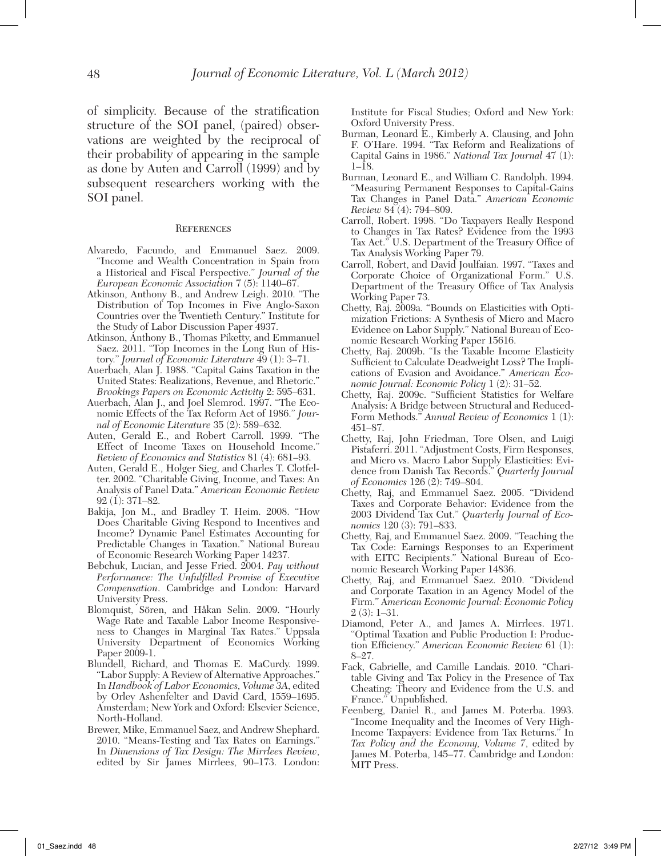of simplicity. Because of the stratification structure of the SOI panel, (paired) observations are weighted by the reciprocal of their probability of appearing in the sample as done by Auten and Carroll (1999) and by subsequent researchers working with the SOI panel.

#### **REFERENCES**

- Alvaredo, Facundo, and Emmanuel Saez. 2009. "Income and Wealth Concentration in Spain from a Historical and Fiscal Perspective." *Journal of the European Economic Association* 7 (5): 1140–67.
- Atkinson, Anthony B., and Andrew Leigh. 2010. "The Distribution of Top Incomes in Five Anglo-Saxon Countries over the Twentieth Century." Institute for the Study of Labor Discussion Paper 4937.
- Atkinson, Anthony B., Thomas Piketty, and Emmanuel Saez. 2011. "Top Incomes in the Long Run of History." *Journal of Economic Literature* 49 (1): 3–71.
- Auerbach, Alan J. 1988. "Capital Gains Taxation in the United States: Realizations, Revenue, and Rhetoric." *Brookings Papers on Economic Activity* 2: 595–631.
- Auerbach, Alan J., and Joel Slemrod. 1997. "The Economic Effects of the Tax Reform Act of 1986." *Journal of Economic Literature* 35 (2): 589–632.
- Auten, Gerald E., and Robert Carroll. 1999. "The Effect of Income Taxes on Household Income." *Review of Economics and Statistics* 81 (4): 681–93.
- Auten, Gerald E., Holger Sieg, and Charles T. Clotfelter. 2002. "Charitable Giving, Income, and Taxes: An Analysis of Panel Data." *American Economic Review* 92 (1): 371–82.
- Bakija, Jon M., and Bradley T. Heim. 2008. "How Does Charitable Giving Respond to Incentives and Income? Dynamic Panel Estimates Accounting for Predictable Changes in Taxation." National Bureau of Economic Research Working Paper 14237.
- Bebchuk, Lucian, and Jesse Fried. 2004. *Pay without Performance: The Unfulfilled Promise of Executive Compensation*. Cambridge and London: Harvard University Press.
- Blomquist, Sören, and Håkan Selin. 2009. "Hourly Wage Rate and Taxable Labor Income Responsiveness to Changes in Marginal Tax Rates." Uppsala University Department of Economics Working Paper 2009-1.
- Blundell, Richard, and Thomas E. MaCurdy. 1999. "Labor Supply: A Review of Alternative Approaches." In *Handbook of Labor Economics, Volume 3A*, edited by Orley Ashenfelter and David Card, 1559–1695. Amsterdam; New York and Oxford: Elsevier Science, North-Holland.
- Brewer, Mike, Emmanuel Saez, and Andrew Shephard. 2010. "Means-Testing and Tax Rates on Earnings." In *Dimensions of Tax Design: The Mirrlees Review*, edited by Sir James Mirrlees, 90–173. London:

Institute for Fiscal Studies; Oxford and New York: Oxford University Press.

- Burman, Leonard E., Kimberly A. Clausing, and John F. O'Hare. 1994. "Tax Reform and Realizations of Capital Gains in 1986." *National Tax Journal* 47 (1): 1–18.
- Burman, Leonard E., and William C. Randolph. 1994. "Measuring Permanent Responses to Capital-Gains Tax Changes in Panel Data." *American Economic Review* 84 (4): 794–809.
- Carroll, Robert. 1998. "Do Taxpayers Really Respond to Changes in Tax Rates? Evidence from the 1993 Tax Act." U.S. Department of the Treasury Office of Tax Analysis Working Paper 79.
- Carroll, Robert, and David Joulfaian. 1997. "Taxes and Corporate Choice of Organizational Form." U.S. Department of the Treasury Office of Tax Analysis Working Paper 73.
- Chetty, Raj. 2009a. "Bounds on Elasticities with Optimization Frictions: A Synthesis of Micro and Macro Evidence on Labor Supply." National Bureau of Economic Research Working Paper 15616.
- Chetty, Raj. 2009b. "Is the Taxable Income Elasticity Sufficient to Calculate Deadweight Loss? The Implications of Evasion and Avoidance." *American Economic Journal: Economic Policy* 1 (2): 31–52.
- Chetty, Raj. 2009c. "Sufficient Statistics for Welfare Analysis: A Bridge between Structural and Reduced-Form Methods." *Annual Review of Economics* 1 (1): 451–87.
- Chetty, Raj, John Friedman, Tore Olsen, and Luigi Pistaferri. 2011. "Adjustment Costs, Firm Responses, and Micro vs. Macro Labor Supply Elasticities: Evidence from Danish Tax Records." *Quarterly Journal of Economics* 126 (2): 749–804.
- Chetty, Raj, and Emmanuel Saez. 2005. "Dividend Taxes and Corporate Behavior: Evidence from the 2003 Dividend Tax Cut." *Quarterly Journal of Economics* 120 (3): 791–833.
- Chetty, Raj, and Emmanuel Saez. 2009. "Teaching the Tax Code: Earnings Responses to an Experiment with EITC Recipients." National Bureau of Economic Research Working Paper 14836.
- Chetty, Raj, and Emmanuel Saez. 2010. "Dividend and Corporate Taxation in an Agency Model of the Firm." A*merican Economic Journal: Economic Policy* 2 (3): 1–31.
- Diamond, Peter A., and James A. Mirrlees. 1971. "Optimal Taxation and Public Production I: Production Efficiency." *American Economic Review* 61 (1): 8–27.
- Fack, Gabrielle, and Camille Landais. 2010. "Charitable Giving and Tax Policy in the Presence of Tax Cheating: Theory and Evidence from the U.S. and France." Unpublished.
- Feenberg, Daniel R., and James M. Poterba. 1993. "Income Inequality and the Incomes of Very High-Income Taxpayers: Evidence from Tax Returns." In *Tax Policy and the Economy, Volume 7*, edited by James M. Poterba, 145–77. Cambridge and London: MIT Press.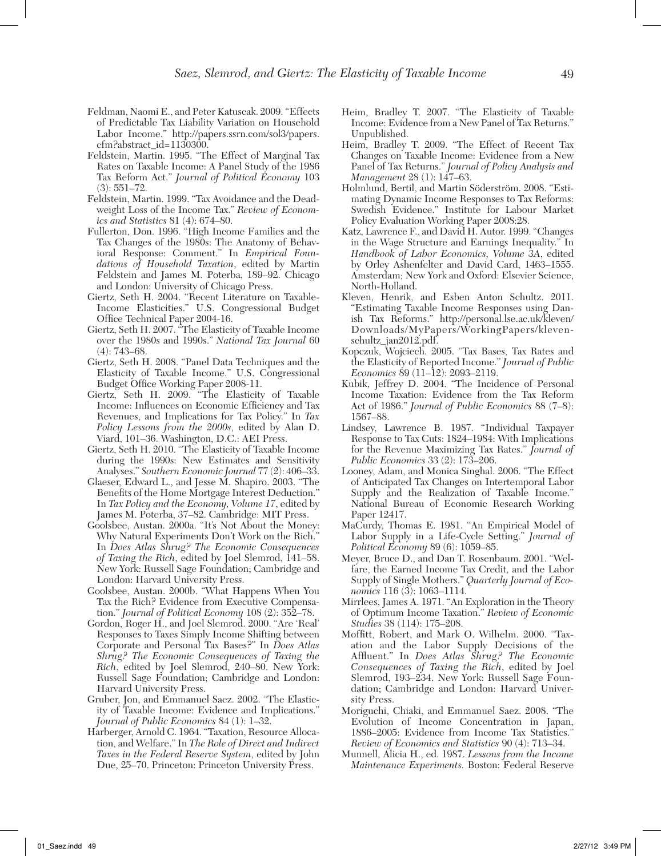- Feldman, Naomi E., and Peter Katuscak. 2009. "Effects of Predictable Tax Liability Variation on Household Labor Income." http://papers.ssrn.com/sol3/papers. cfm?abstract\_id=1130300.
- Feldstein, Martin. 1995. "The Effect of Marginal Tax Rates on Taxable Income: A Panel Study of the 1986 Tax Reform Act." *Journal of Political Economy* 103 (3): 551–72.
- Feldstein, Martin. 1999. "Tax Avoidance and the Deadweight Loss of the Income Tax." *Review of Economics and Statistics* 81 (4): 674–80.
- Fullerton, Don. 1996. "High Income Families and the Tax Changes of the 1980s: The Anatomy of Behavioral Response: Comment." In *Empirical Foundations of Household Taxation*, edited by Martin Feldstein and James M. Poterba, 189–92. Chicago and London: University of Chicago Press.
- Giertz, Seth H. 2004. "Recent Literature on Taxable-Income Elasticities." U.S. Congressional Budget Office Technical Paper 2004-16.
- Giertz, Seth H. 2007. "The Elasticity of Taxable Income over the 1980s and 1990s." *National Tax Journal* 60 (4): 743–68.
- Giertz, Seth H. 2008. "Panel Data Techniques and the Elasticity of Taxable Income." U.S. Congressional Budget Office Working Paper 2008-11.
- Giertz, Seth H. 2009. "The Elasticity of Taxable Income: Influences on Economic Efficiency and Tax Revenues, and Implications for Tax Policy." In *Tax Policy Lessons from the 2000s*, edited by Alan D. Viard, 101–36. Washington, D.C.: AEI Press.
- Giertz, Seth H. 2010. "The Elasticity of Taxable Income during the 1990s: New Estimates and Sensitivity Analyses." *Southern Economic Journal* 77 (2): 406–33.
- Glaeser, Edward L., and Jesse M. Shapiro. 2003. "The Benefits of the Home Mortgage Interest Deduction." In *Tax Policy and the Economy, Volume 17*, edited by James M. Poterba, 37–82. Cambridge: MIT Press.
- Goolsbee, Austan. 2000a. "It's Not About the Money: Why Natural Experiments Don't Work on the Rich." In *Does Atlas Shrug? The Economic Consequences of Taxing the Rich*, edited by Joel Slemrod, 141–58. New York: Russell Sage Foundation; Cambridge and London: Harvard University Press.
- Goolsbee, Austan. 2000b. "What Happens When You Tax the Rich? Evidence from Executive Compensation." *Journal of Political Economy* 108 (2): 352–78.
- Gordon, Roger H., and Joel Slemrod. 2000. "Are 'Real' Responses to Taxes Simply Income Shifting between Corporate and Personal Tax Bases?" In *Does Atlas Shrug? The Economic Consequences of Taxing the Rich*, edited by Joel Slemrod, 240–80. New York: Russell Sage Foundation; Cambridge and London: Harvard University Press.
- Gruber, Jon, and Emmanuel Saez. 2002. "The Elasticity of Taxable Income: Evidence and Implications." *Journal of Public Economics* 84 (1): 1–32.
- Harberger, Arnold C. 1964. "Taxation, Resource Allocation, and Welfare." In *The Role of Direct and Indirect Taxes in the Federal Reserve System*, edited by John Due, 25–70. Princeton: Princeton University Press.
- Heim, Bradley T. 2007. "The Elasticity of Taxable Income: Evidence from a New Panel of Tax Returns." Unpublished.
- Heim, Bradley T. 2009. "The Effect of Recent Tax Changes on Taxable Income: Evidence from a New Panel of Tax Returns." *Journal of Policy Analysis and Management* 28 (1): 147–63.
- Holmlund, Bertil, and Martin Söderström. 2008. "Estimating Dynamic Income Responses to Tax Reforms: Swedish Evidence." Institute for Labour Market Policy Evaluation Working Paper 2008:28.
- Katz, Lawrence F., and David H. Autor. 1999. "Changes in the Wage Structure and Earnings Inequality." In *Handbook of Labor Economics, Volume 3A*, edited by Orley Ashenfelter and David Card, 1463–1555. Amsterdam; New York and Oxford: Elsevier Science, North-Holland.
- Kleven, Henrik, and Esben Anton Schultz. 2011. "Estimating Taxable Income Responses using Danish Tax Reforms." http://personal.lse.ac.uk/kleven/ Downloads/MyPapers/WorkingPapers/klevenschultz\_jan2012.pdf.
- Kopczuk, Wojciech. 2005. "Tax Bases, Tax Rates and the Elasticity of Reported Income." *Journal of Public Economics* 89 (11–12): 2093–2119.
- Kubik, Jeffrey D. 2004. "The Incidence of Personal Income Taxation: Evidence from the Tax Reform Act of 1986." *Journal of Public Economics* 88 (7–8): 1567–88.
- Lindsey, Lawrence B. 1987. "Individual Taxpayer Response to Tax Cuts: 1824–1984: With Implications for the Revenue Maximizing Tax Rates." *Journal of Public Economics* 33 (2): 173–206.
- Looney, Adam, and Monica Singhal. 2006. "The Effect of Anticipated Tax Changes on Intertemporal Labor Supply and the Realization of Taxable Income." National Bureau of Economic Research Working Paper 12417.
- MaCurdy, Thomas E. 1981. "An Empirical Model of Labor Supply in a Life-Cycle Setting." *Journal of Political Economy* 89 (6): 1059–85.
- Meyer, Bruce D., and Dan T. Rosenbaum. 2001. "Welfare, the Earned Income Tax Credit, and the Labor Supply of Single Mothers." *Quarterly Journal of Economics* 116 (3): 1063–1114.
- Mirrlees, James A. 1971. "An Exploration in the Theory of Optimum Income Taxation." *Review of Economic Studies* 38 (114): 175–208.
- Moffitt, Robert, and Mark O. Wilhelm. 2000. "Taxation and the Labor Supply Decisions of the Affluent." In *Does Atlas Shrug? The Economic Consequences of Taxing the Rich*, edited by Joel Slemrod, 193–234. New York: Russell Sage Foundation; Cambridge and London: Harvard University Press.
- Moriguchi, Chiaki, and Emmanuel Saez. 2008. "The Evolution of Income Concentration in Japan, 1886–2005: Evidence from Income Tax Statistics." *Review of Economics and Statistics* 90 (4): 713–34.
- Munnell, Alicia H., ed. 1987. *Lessons from the Income Maintenance Experiments.* Boston: Federal Reserve